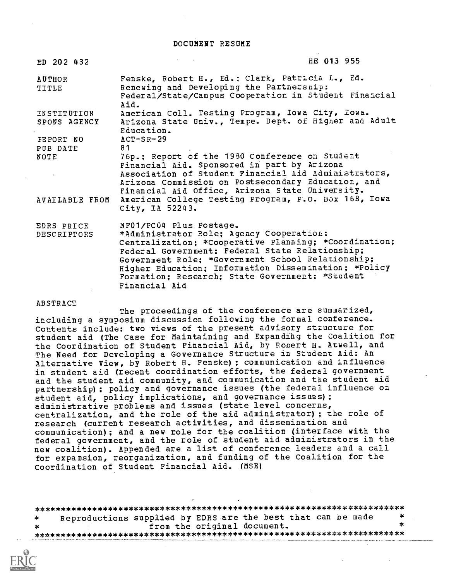DOCUMENT RESUME

| ED 202 432                         |                                                                                                                                                                                                                                                                                                                                                                  | HE 013 955 |
|------------------------------------|------------------------------------------------------------------------------------------------------------------------------------------------------------------------------------------------------------------------------------------------------------------------------------------------------------------------------------------------------------------|------------|
| AUTHOR<br>TITLE                    | Fenske, Robert H., Ed.: Clark, Patricia L., Ed.<br>Renewing and Developing the Partnersnip:<br>Federal/State/Campus Cooperation in Student Financial<br>Aid.                                                                                                                                                                                                     |            |
| <b>INSTITUTION</b><br>SPONS AGENCY | American Coll. Testing Program, Iowa City, Iowa.<br>Arizona State Univ., Tempe. Dept. of Higher and Adult<br>Education.                                                                                                                                                                                                                                          |            |
| FEPORT NO                          | $ACT-SR-29$<br>81                                                                                                                                                                                                                                                                                                                                                |            |
| PUB DATE<br>NOTE                   | 76p.: Report of the 1980 Conference on Student<br>Financial Aid. Sponsored in part by Arizona                                                                                                                                                                                                                                                                    |            |
|                                    | Association of Student Financial Aid Administrators,<br>Arizona Commission on Postsecondary Education, and<br>Financial Aid Office, Arizona State University.                                                                                                                                                                                                    |            |
| AVAILABLE FROM                     | American College Testing Program, P.O. Box 168, Iowa<br>City, IA 52243.                                                                                                                                                                                                                                                                                          |            |
| EDRS PRICE<br>DESCRIPTORS          | MF01/PC04 Plus Postage.<br>*Administrator Role; Agency Cooperation;<br>Centralization; *Cooperative Planning; *Coordination;<br>Federal Government: Federal State Relationship;<br>Government Role; *Government School Relationship;<br>Higher Education; Information Dissemination; *Policy<br>Formation; Research; State Government; *Student<br>Financial Aid |            |

ABSTRACT

The proceedings of the conference are summarized, including a symposium discussion following the formal conference. Contents include: two views of the present advisory structure for student aid (The Case for Maintaining and Expandihg the Coalition for the Coordination of Student Financial Aid, by Robert H. Atwell, and The Need for Developing a Governance Structure in Student Aid: An Alternative View, by Robert H. Fenske); communication and influence in student aid (recent coordination efforts, the federal government and the student aid community, and communication and the student aid partnership); policy and governance issues (the federal influence on student aid, policy implications, and governance issues) ; administrative problems and issues (state level concerns, centralization, and the role of the aid administrator) ; the role of research (current research activities, and dissemination and communication); and a new role for the coalition (interface with the federal government, and the role of student aid administrators in the new coalition). Appended are a list of conference leaders and a call for expansion, reorganization, and funding of the Coalition for the Coordination of Student Financial Aid\_ (MSE)

\*\*\*\*\*\*\*\*\*\*\*\*\*\*\*\*\*\*\*\*\*\*\*\*\*\*\*\*\*\*\*\*\*\*\*\*\*\*\*\*\*\*\*\*\*\*\*\*\*\*\*\*\*\*\*\*\*\*\*\*\*\*\*\*\*\*\*\*\*\*\* Reproductions supplied by EDRS are the best that can be made<br>from the original document. \* from the original document. \*\*\*\*\*\*\*\*\*\*\*\*\*\*\*\*\*\*\*\*\*\*\*\*\*\*\*\*\*\*\*\*\*\*\*\*\*\*\*\*\*\*\*\*\*\*\*\*\*\*\*\*\*\*\*\*\*\*\*\*\*\*\*\*\*\*\*\*\*\*\*

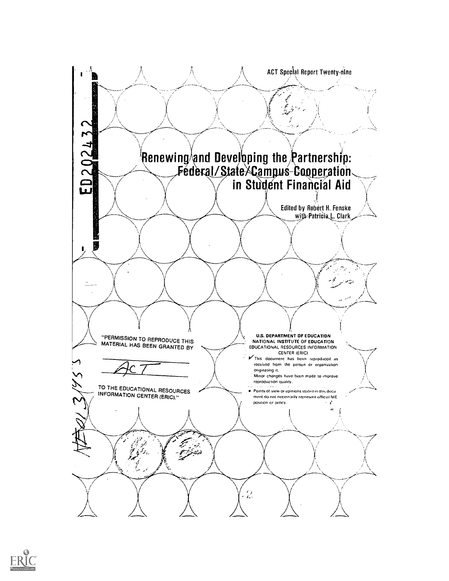

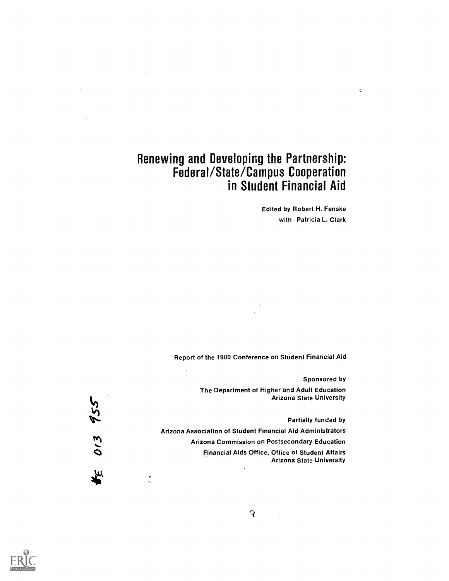# Renewing and Developing the Partnership: Federal/State/Campus Cooperation in Student Financial Aid

Edited by Robert H. Fenske with Patricia L. Clark  $\sigma_{\rm e}$ 

Report of the 1980 Conference on Student Financial Aid

Sponsored by

The Department of Higher and Adult Education Arizona State University

Partially funded by

Arizona Association of Student Financial Aid Administrators

Arizona Commission on Postsecondary Education

Financial Aids Office, Office of Student Affairs Arizona State University



 $\frac{1}{2}$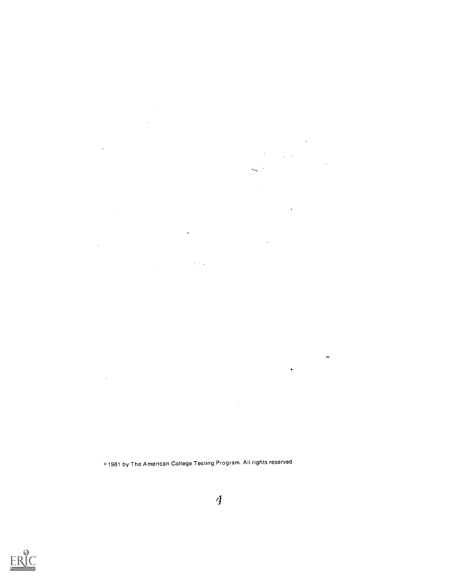c,1981 by The American College Testing Program. All rights reserved.

 $\epsilon$ 

 $\gamma$  ,  $\gamma$ 

 $\sim$ 

 $\mathcal{A}$ 

 $\sim$ 

 $\hat{\mathcal{A}}$ 

 $\sim$ 



 $\overline{4}$ 

 $\hat{\mathcal{A}}$ 

 $\mathcal{L}^{\text{max}}_{\text{max}}$ 

 $\bar{\mathbf{v}}$ 

 $\ddot{\phantom{a}}$ 

 $\hat{\phi}$ 

 $\mathcal{O}(\mathcal{O}_\mathcal{O})$  . The set of  $\mathcal{O}_\mathcal{O}$ 

 $\sim$ 

 $\bar{\mathcal{A}}$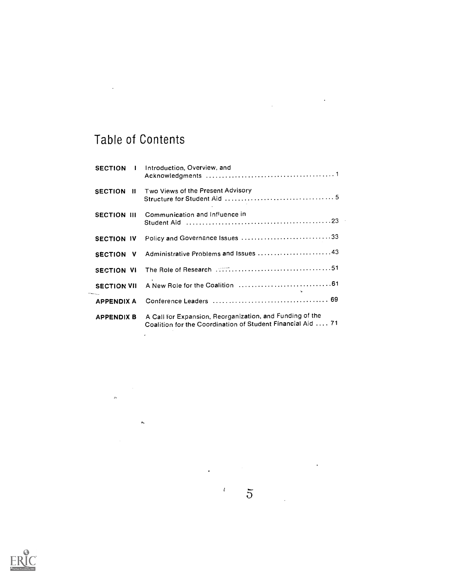# Table of Contents

 $\bar{\gamma}$ 

 $\langle \cdot, \cdot \rangle$ 

 $\hat{\boldsymbol{\theta}}$ 

 $\label{eq:2.1} \mathcal{L}(\mathcal{L}^{\mathcal{L}}_{\mathcal{L}}(\mathcal{L}^{\mathcal{L}}_{\mathcal{L}})) = \mathcal{L}(\mathcal{L}^{\mathcal{L}}_{\mathcal{L}}(\mathcal{L}^{\mathcal{L}}_{\mathcal{L}}))$ 

| <b>SECTION</b><br>$\mathbf{1}$ | Introduction, Overview, and                                                                                             |
|--------------------------------|-------------------------------------------------------------------------------------------------------------------------|
| <b>SECTION</b><br>- 11         | Two Views of the Present Advisory                                                                                       |
| <b>SECTION III</b>             | Communication and Influence in                                                                                          |
| <b>SECTION IV</b>              | Policy and Governance Issues 33                                                                                         |
| <b>SECTION</b><br><b>V</b>     | Administrative Problems and Issues 43                                                                                   |
| <b>SECTION VI</b>              |                                                                                                                         |
| <b>SECTION VII</b>             |                                                                                                                         |
| <b>APPENDIX A</b>              |                                                                                                                         |
| <b>APPENDIX B</b>              | A Call for Expansion, Reorganization, and Funding of the<br>Coalition for the Coordination of Student Financial Aid  71 |

 $\mathcal{L}^{\text{max}}_{\text{max}}$  and  $\mathcal{L}^{\text{max}}_{\text{max}}$ 



 $\mathcal{L}(\mathcal{L}(\mathcal{L}))$ 



 $\frac{1}{2}$   $\frac{1}{2}$   $\frac{1}{2}$ 

 $\sim 10$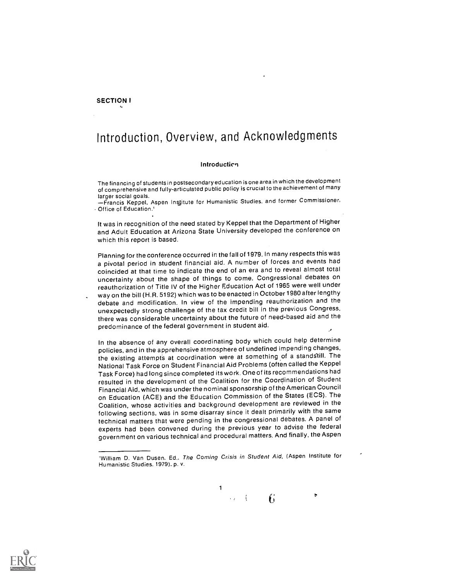#### SECTION I

## Introduction, Overview, and Acknowledgments

#### **Introduction**

The financing of students in postsecondaryeducation is one area in which the development of comprehensive and fully-articulated public policy is crucial to the achievement of many

larger social goals.<br>—Francis Keppel, Aspen Institute for Humanistic Studies. and former Commissioner, Office of Education.'

It was in recognition of the need stated by Keppel that the Department of Higher and Adult Education at Arizona State University developed the conference on which this report is based.

Planning for the conference occurred in the fall of 1979. In many respects this was a pivotal period in student financial aid. A number of forces and events had coincided at that time to indicate the end of an era and to reveal almost total uncertainty about the shape of things to come. Congressional debates on reauthorization of Title IV of the Higher Education Act of 1965 were well under way on the bill (H.R. 5192) which was to be enacted inOctober 1980 after lengthy debate and modification. In view of the impending reauthorization and the unexpectedly strong challenge of the tax credit bill in the previous Congress, there was considerable uncertainty about the future of need-based aid and the predominance of the federal government in student aid.

In the absence of any overall coordinating body which could help determine policies, and in the apprehensive atmosphere of undefined impending changes, the existing attempts at coordination were at something of a standstill. The National Task Force on Student Financial Aid Problems (often called the Keppel Task Force) had long since completed its work. One of its recommendations had resulted in the development of the Coalition for the Coordination of Student Financial Aid, which was under the nominal sponsorship of the American Council on Education (ACE) and the Education Commission of the States (ECS). The Coalition, whose activities and background development are reviewed in the following sections, was in some disarray since it dealt primarily with the same technical matters that were pending in the congressional debates. A panel of experts had been convened during the previous year to advise the federal government on various technical and procedural matters. And finally, the Aspen

1



 $\mathbf{f}$ 

 $\overline{\mathbf{c}}$ 

<sup>&#</sup>x27;William D. Van Dusen, Ed., The Coming Crisis in Student Aid, (Aspen Institute for Humanistic Studies, 1979). p. v.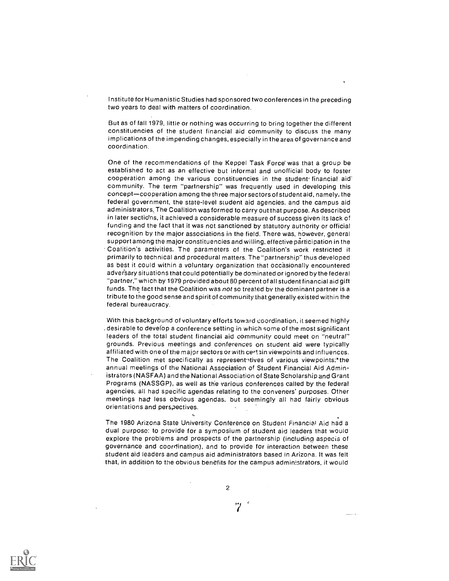Institute for Humanistic Studies had sponsored two conferences in the preceding two years to deal with matters of coordination.

But as of fall 1979, little or nothing was occurring to bring together the different constituencies of the student financial aid community to discuss the many implications of the impending changes, especially in the area of governance and coordination.

One of the recommendations of the Keppel Task Force was that a group be established to act as an effective but informal and unofficial body to foster cooperation among the various constituencies in the student financial aid' community. The term "partnership" was frequently used in developing this concept-cooperation among the three major sectors of student aid, namely. the federal government, the state-level student aid agencies, and the campus aid ad ministrators,The Coalition was formed to carry out that purpose. As described in later sections, it achieved a considerable measure of success given its lack of funding and the fact that it was not sanctioned by statutory authority or official recognition by the major associations in the field. There was, however, general support among the major constituencies and willing. effective participation in the Coalition's activities. The parameters of the Coalition's work restricted it primarily to technical and procedural matters. The "partnership" thus developed as best it could within a voluntary organization that occasionally encountered adversary situations that could potentially be dominated or ignored by the federal "partner," which by 1979 provided about 80 percent of all student financial aid gift funds. The fact that the Coalition was not so treated by the dominant partner is a tribute to the good sense and spirit of community that generally existed within the federal bureaucracy.

With this background of voluntary efforts toward coordination. it seemed highly . desirable to develop a conference setting in which some of the most significant leaders of the total student financial aid community could meet on "neutral" grounds. Previous meetings and conferences on student aid were typically affiliated with one of the major sectors or with certain viewpoints and influences. The Coalition met specifically as representatives of various viewpoints:\*the annual meetings of the National Association of Student Financial Aid Administrators (NASFAA) and the National Association of State Scholarship and Grant Programs (NASSGP), as well as the various conferences called by the federal agencies, all had specific agendas relating to the conveners' purposes. Other meetings had less obvious agendas. but seemingly all had fairly obvious orientations and perspectives.

The 1980 Arizona State University Conference on Student Financial Aid had a dual purpose: to provide for a symposium of student aid leaders that would explore the problems and prospects of the partnership (including aspecis of governance and coordination), and to provide for interaction between these student aid leaders and campus aid administrators based in Arizona. It was felt that, in addition to the obvious benefits for the campus administrators, it would

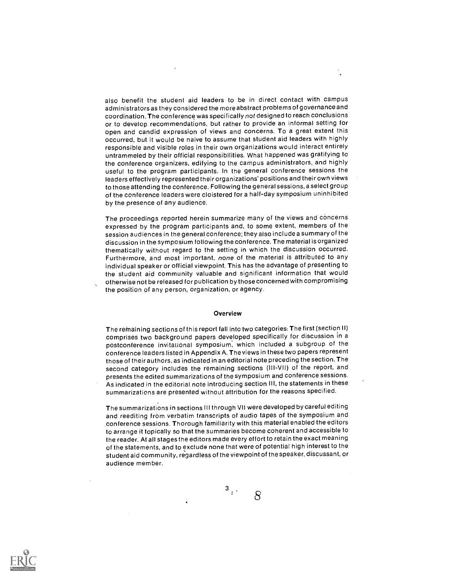also benefit the student aid leaders to be in direct contact with campus administrators as they considered the more abstract problems of governance and coordination. The conference was specifically not designed to reach conclusions or to develop recommendations, but rather to provide an informal setting for open and candid expression of views and concerns. To a great extent this occurred, but it would be naive to assume that student aid leaders with highly responsible and visible roles in their own organizations would interact entirely untrammeled by their official responsibilities. What happened was gratifying to the conference organizers, edifying to the campus administrators, and highly useful to the program participants. In the general conference sessions the leaders effectively represented their organizations' positions and their own views to those attending the conference. Following the general sessions, a select group of the conference leaders were cloistered for a half-day symposium uninhibited by the presence of any audience.

The proceedings reported herein summarize many of the views and concerns expressed by the program participants and, to some extent, members of the session audiences in the general conference; they also include a summary of the discussion in the symposium following the conference. The material is organized thematically without regard to the setting in which the discussion occurred. Furthermore, and most important, none of the material is attributed to any individual speaker or official viewpoint. This has the advantage of presenting to the student aid community valuable and significant information that would otherwise not be released for publication by those concerned with compromising the position of any person, organization, or agency.

#### Overview

The remaining sections of this report fall into two categories.. The first (section II) comprises two background papers developed specifically for discussion in a postconference invitational symposium, which included a subgroup of the conference leaders listed in Appendix A. The views in these two papers represent those of their authors, as indicated in an editorial note preceding the section. The second category includes the remaining sections (III-VII) of the report, and presents the edited summarizations of the symposium and conference sessions. As indicated in the editorial note introducing section III, the statements in these summarizations are presented without attribution for the reasons specified.

The summarizations in sections III through VII were developed by careful editing and reediting from verbatim transcripts of audio tapes of the symposium and conference sessions. Thorough familiarity with this material enabled the editors to arrange it topically so that the summaries become coherent and accessible to the reader. At all stages the editors made every effort to retain the exact meaning of the statements, and to exclude none that were of potential high interest to the student aid community, regardless of the viewpoint of the speaker, discussant, or audience member.



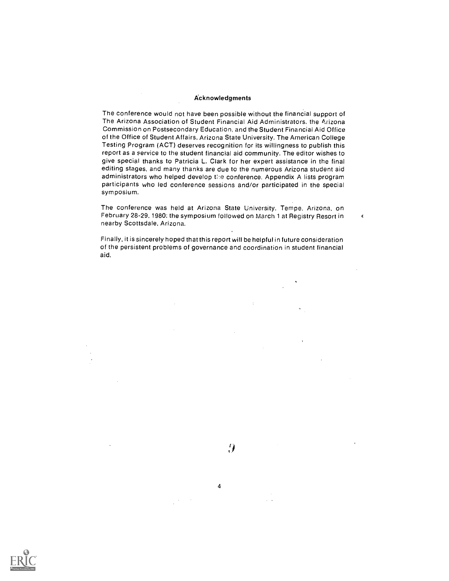#### Acknowledgments

The conference would not have been possible without the financial support of The Arizona Association of Student Financial Aid Administrators, the Arizona Commission on Postsecondary Education, and the Student Financial Aid Office of the Office of Student Affairs, Arizona State University. The American College Testing Program (ACT) deserves recognition for its willingness to publish this report as a service to the student financial aid community. The editor wishes to give special thanks to Patricia L. Clark for her expert assistance in the final editing stages, and many thanks are due to the numerous Arizona student aid administrators who helped develop the conference. Appendix A lists program participants who led conference sessions and/or participated in the special symposium.

The conference was held at Arizona State University. Tempe. Arizona, on February 28-29, 1980: the symposium followed on March 1 at Registry Resort in  $\sim$ nearby Scottsdale, Arizona.

Finally, it is sincerely hoped that this report will be helpful in future consideration of the persistent problems of governance and coordination in student financial aid.

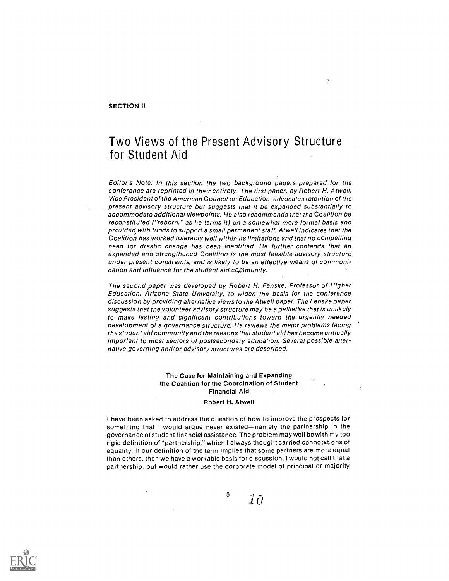#### SECTION II

### Two Views of the Present Advisory Structure for Student Aid

Editor's Note: In this section the two background papers prepared for the conference are reprinted in their entirety. The first paper, by Robert H. Atwell, Vice President of the American Council on Education, advocates retention of the present advisory structure but suggests that it be expanded substantially to accommodate additional viewpoints. He also recommends that the Coalition be reconstituted ("reborn," as he terms it) on a somewhat more formal basis and provided with funds to support a small permanent staff. Atwell indicates that the Coalition has worked tolerably well within its limitations and that no compelling need for drastic change has been identified. He further contends that an expanded and strengthened Coalition is the most feasible advisory structure under present constraints, and is likely to be an effective means of communication and influence for the student aid community.

The second paper was developed by Robert H. Fenske, Professor of Higher Education, Arizona State University, to widen the basis for the conference discussion by providing alternative views to the Atwell paper. The Fenske paper suggests that the volunteer advisory structure may be a palliative that is unlikely to make lasting and significant contributions toward the urgently needed development of a governance structure. He reviews the major problems facing the student aid community and the reasons that student aid has become critically important to most sectors of postsecondary education. Several possible alternative governing and/or advisory structures are described.

#### The Case for Maintaining and Expanding the Coalition for the Coordination of Student Financial Aid

#### Robert H. Atwell

I have been asked to address the question of how to improve the prospects for something that I would argue never existed-namely the partnership in the governance of student financial assistance. The problem may well be with my too rigid definition of "partnership," which I always thought carried connotations of equality. If our definition of the term implies that some partners are more equal than others, then we have a workable basis for discussion. I would not call that a partnership, but would rather use the corporate model of principal or majority

 $\overline{\mathbf{j}}$   $\overline{\mathbf{j}}$   $\overline{\mathbf{0}}$ 

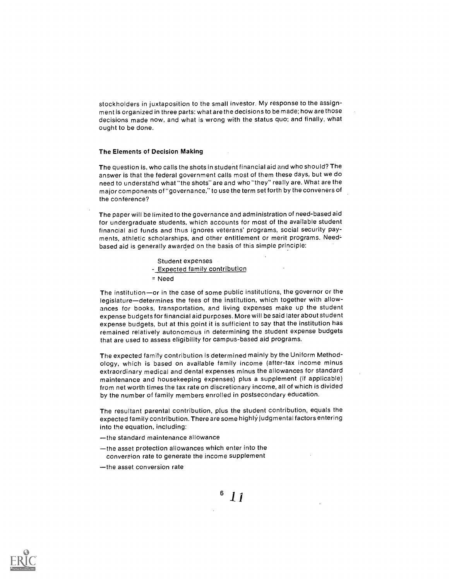stockholders in juxtaposition to the small investor. My response to the assignment is organized in three parts: what are the decisions to be made; how are those decisions made now, and what is wrong with the status quo; and finally, what ought to be done.

#### The Elements of Decision Making

The question is, who calls the shots in student financial aid and who should? The answer is that the federal government calls most of them these days, but we do need to understghd what "the shots" are and who "they" really are. What are the major components of "governance," to use the term set forth by the conveners of the conference?

The paper will be limited to the governance and administration of need-based aid for undergraduate students, which accounts for most of the available student financial aid funds and thus ignores veterans' programs, social security payments, athletic scholarships, and other entitlement or merit programs. Needbased aid is generally awarded on the basis of this simple principle:

Student expenses

- Expected family contribution
- = Need

The institution-or in the case of some public institutions, the governor or the legislature-determines the fees of the institution, which together with allowances for books, transportation, and living expenses make up the student expense budgets for financial aid purposes. More will be said later about student expense budgets, but at this point it is sufficient to say that the institution has remained relatively autonomous in determining the student expense budgets that are used to assess eligibility for campus-based aid programs.

The expected family contribution is determined mainly by the Uniform Methodology, which is based on available family income (after-tax income minus extraordinary medical and dental expenses minus the allowances for standard maintenance and housekeeping expenses) plus a supplement (if applicable) from net worth times the tax rate on discretionary income, all of which is divided by the number of family members enrolled in postsecondary education.

The resultant parental contribution, plus the student contribution, equals the expected family contribution. There are some highly judgmental factors entering into the equation, including:

- -the standard maintenance allowance
- -the asset protection allowances which enter into the conversion rate to generate the income supplement
- -the asset conversion rate

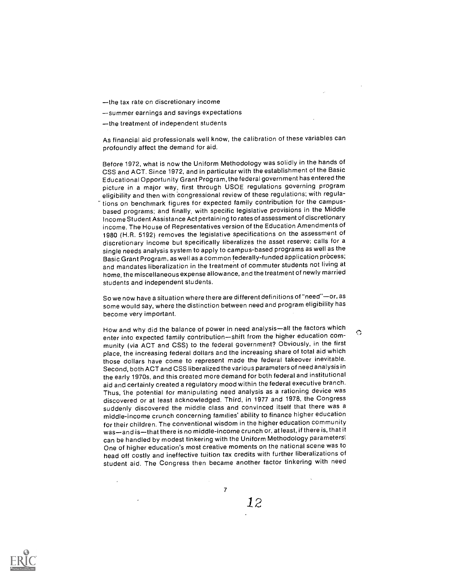-the tax rate on discretionary income

summer earnings and savings expectations

-the treatment of independent students

As financial aid professionals well know, the calibration of these variables can profoundly affect the demand for aid.

Before 1972, what is now the Uniform Methodology was solidly in the hands of CSS and ACT. Since 1972, and in particular with the establishment of the Basic Educational Opportunity Grant Program, the federal government has enteredthe picture in a major way, first through USOE regulations governing program eligibility and then with congressional review of these regulations; with regulations on benchmark figures for expected family contribution for the campusbased programs; and finally. with specific legislative provisions in the Middle Income Student Assistance Act pertaining to rates of assessment of discretionary income. The House of Representatives version of the Education Amendments of 1980 (H.R. 5192) removes the legislative specifications on the assessment of discretionary income but specifically liberalizes the asset reserve; calls for a single needs analysis system to apply to campus-based programs as well as the Basic Grant Program, as well as a common federally-funded application prôcess; and mandates liberalization in the treatment of commuter students not living at home, the miscellaneous expense allowance, and the treatment of newly married students and independent students.

So we now have a situation where there are different definitions of "need"—or, as some would say, where the distinction between need and program eligibility has become very important.

How and why did the balance of power in need analysis—all the factors which enter into expected family contribution-shift from the higher education community (via ACT and CSS) to the federal government? Obviously, in the first place, the increasing federal dollars and the increasing share of total aid which those dollars have come to represent made the federal takeover inevitable. Second, both ACT and CSS liberalized the various parameters of need analysis in the early 1970s, and this created more demand for both federal and institutional aid and certainly created a regulatory mood within the federal executive branch. Thus, the potential for manipulating need analysis as a rationing device was discovered or at least acknowledged. Third, in 1977 and 1978, the Congress suddenly discovered the middle class and convinced itself that there was a middle-income crunch concerning families' ability to finance higher education for their children. The conventional wisdom in the highereducation community was-and is-that there is no middle-income crunch or, at least, if there is, that it can be handled by modest tinkering with the Uniform Methodology parameters: One of higher education's most creative moments on the national scene was to head off costly and ineffective tuition tax credits with further liberalizations of student aid. The Congress then became another factor tinkering with need

7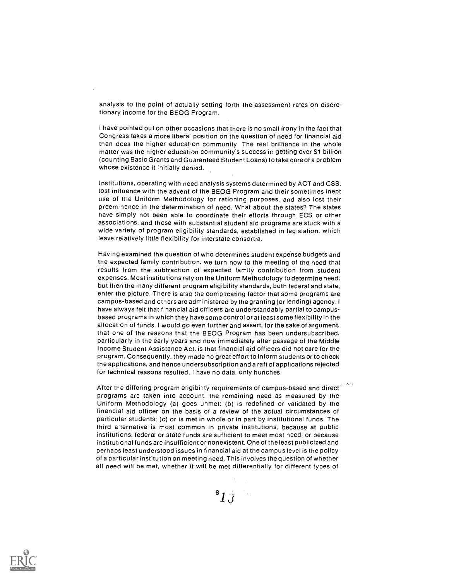analysis to the point of actually setting forth the assessment rates on discretionary income for the BEOG Program.

I have pointed out on other occasions that there is no small irony in the fact that Congress takes a more liberal position on the question of need for financial aid than does the higher education community. The real brilliance in the whole matter was the higher education community's success in getting over \$1 billion (counting Basic Grants and Guaranteed Student Loans) to take careof a problem whose existenze it initially denied.

Institutions, operating with need analysis systems determined by ACT and CSS, lost influence with the advent of the BEOG Program and their sometimes inept use of the Uniform Methodology for rationing purposes, and also lost their preeminence in the determination of need. What about the states? The states have simply not been able to coordinate their efforts through ECS or other associations, and those with substantial student aid programs are stuck with a wide variety of program eligibility standards, established in legislation, which leave relatively little flexibility for interstate consortia.

Having examined the question of who determines student expense budgets and the expected family contribution, we turn now to the meeting of the need that results from the subtraction of expected family contribution from student expenses. Most institutions rely on the Uniform Methodology to determine need; but then the many different program eligibility standards, both federal and state, enter the picture. There is also the complicating factor that some programs are campus-based and others are administered by the granting (or lending) agency. I have always felt that financial aid officers are understandably partial to campusbased programs in which they have some control or at least some flexibility in the allocation of funds. I would go even further and assert, for the sake of argument. that one of the reasons that the BEOG Program has been undersubscribed, particularly in the early years and now immediately after passage of the Middle Income Student Assistance Act, is that financial aid officers did not care for the program. Consequently, they made no great effort to inform students or to check the applications, and hence undersubscription and a raft of applications rejected for technical reasons resulted. I have no data, only hunches.

After the differing program eligibility requirements of campus-based and direct programs are taken into account, the remaining need as measured by the Uniform Methodology (a) goes unmet; (b) is redefined or validated by the financial aid officer on the basis of a review of the actual circumstances of particular students; (c) or is met in whole or in part by institutional funds. The third alternative is most common in private institutions, because at public institutions, federal or state funds are sufficient to meet most need, or because institutional funds are insufficient or nonexistent. One of the least publicized and perhaps least understood issues in financial aid at the campus level is the policy of a particular institution on meeting need. This involves the question of whether all need will be met, whether it will be met differentially for different types of

 $^{\rm 8}1\mathrm{J}$  .

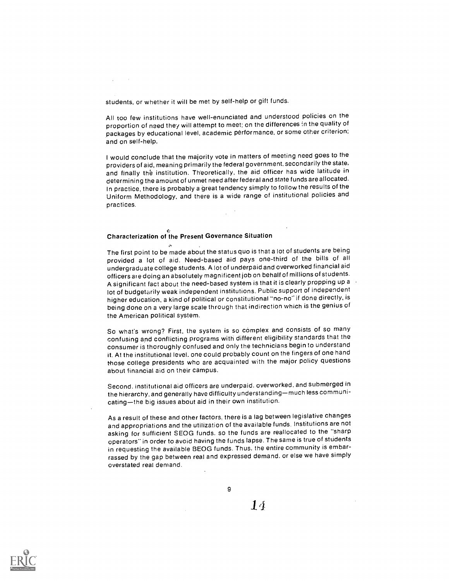students, or whether it will be met by self-help or gift funds.

All too few institutions have well-enunciated and understood policies on the proportion of need they will attempt to meet; on the differences in the quality of packages by educational level, academic performance, or some other criterion: and on self-help.

I would conclude that the majority vote in matters of meeting need goes to the providers of aid, meaning primarily the federal government, secondarily the state, and finally the institution. Theoretically, the aid officer has wide latitude in determining the amount of unmet need after federal and state funds are allocated. In practice, there is probably a great tendency simply to follow the results of the Uniform Methodology, and there is a wide range of institutional policies and practices.

#### Characterization of the Present Governance Situation

The first point to be made about the status quo is that a lot of students are being provided a lot of aid. Need-based aid pays one-third of the bills of all undergraduate college students. A lot of underpaid and overworked financial aid officers are doing an absolutely magnificent job on behalf of millions of students. A significant fact about the need-based system is that it is clearly propping up a  $\rightarrow$ lot of budgetarily weak independent institutions. Public support of independent higher education, a kind of political or constitutional "no-no" if done directly, is being done on a very large scale through that indirection which is the genius of the American political system.

So what's wrong? First, the system is so complex and consists of so many confusing and conflicting programs with different eligibility standards that the consumer is thoroughly confused and only the technicians begin to understand it. At the institutional level. one could probably count on the fingers of one hand (hose college presidents who are acquainted with the major policy questions about financial aid on their campus.

Second. institutional aid officers are underpaid. overworked, and submerged in the hierarchy, and generally have difficulty understanding—much less communicating-the big issues about aid in their own institution.

As a result of these and other factors. there is a lag between legislative changes and appropriations and the utilization of the available funds. Institutions are not asking for sufficient SEOG funds. so the funds are reallocated to the "sharp operators" in order to avoid having the funds lapse. The same is true of students in requesting the available BEOG funds. Thus, the entire community is embarrassed by the gap between real and expressed demand, or else we have simply overstated real demand.

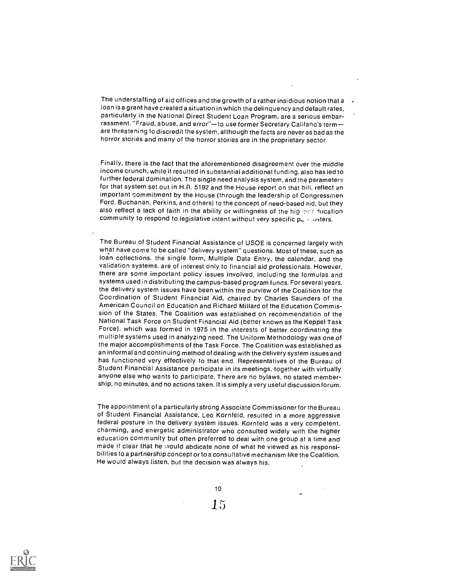The understaffing of aid offices and the growth of a rather insidious notion that a loan is a grant have created a situation in which the delinquency and default rates, particularly in the National Direct Student Loan Program, are a serious embarrassment. "Fraud, abuse, and error"-to use former Secretary Califano's termare threatening to discredit the system, although the facts are never as bad as the horror stories and many of the horror stories are in the proprietary sector.

Finally, there is the fact that the aforementioned disagreement over the middle income crunch, while it resulted in substantial additional funding, also has led to further federal domination. The single need analysis system, and the parameters for that system set out in H.R. 5192 and the House report on that bill, reflect an important commitment by the House (through the leadership of Congressmen Ford, Buchanan, Perkins, and others) to the concept of need-based aid, but they also reflect a lack of faith in the ability or willingness of the hight at ducation community to respond to legislative intent without very specific pursuleters.

The Bureau of Student Financial Assistance of USOE is concerned largely with what have come to be called "delivery system" questions. Most of these, such as loan collections, the single form, Multiple Data Entry, the calendar, and the validation systems, are of interest only to financial aid professionals. However, there are some important policy issues involved, including the formulas and systems used in distributing the campus-based program funds. For several years, the delivery system issues have been within the purview of the Coalition for the Coordination of Student Financial Aid, chaired by Charles Saunders of the American Council on Education and Richard Millard of the Education Commission of the States. The Coalition was established on recommendation of the National Task Force on Student Financial Aid (better known as the Keppel Task Force). which was formed in 1975 in the interests of better coordinating the multiple systems used in analyzing need. The Uniform Methodology was one of the major accomplishments of the Task Force. The Coalition was established as an informal and continuing method of dealing with the delivery system issues and has functioned very effectively to that end. Representatives of the Bureau of Student Financial Assistance participate in its meetings, together with virtually anyone else who wants to participate. There are no bylaws, no stated membership. no minutes, and no actions taken. It is simply a very useful discussion forum.

The appointment of a particularly strong Associate Commissioner for the Bureau of Student Financial Assistance, Leo Kornfeld, resulted in a more aggressive federal posture in the delivery system issues. Kornfeld was a very competent, charming, and energetic administrator who consulted widely with the higher education community but often preferred to deal with one group at a time and made it clear that he vould abdicate none of what he viewed as his responsibilities to a partnership concept or to a consultative mechanism like the Coalition. He would always listen, but the decision was always his.



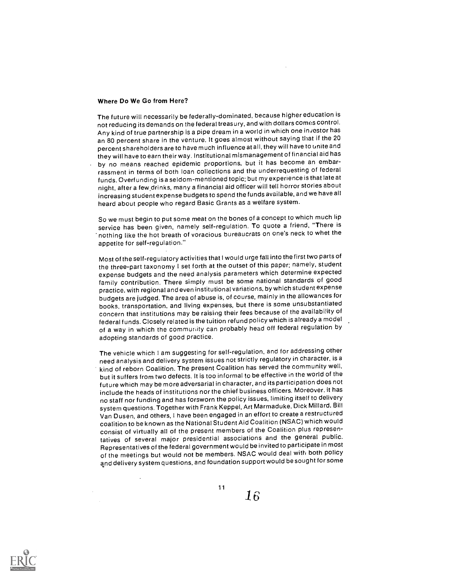#### Where Do We Go from Here?

The future will necessarily be federally-dominated, because highereducation is not reducing its demands on the federal treasury, and with dollars comes control. Any kind of true partnership is a pipe dream in a world in which one investor has an 80 percent share in the venture. It goes almost without saying that if the 20 percent shareholders are to have much influence at all, they will have to unite and they will have to earn their way. Institutional mismanagement of financial aid has by no means reached epidemic proportions, but it has become an embarrassment in terms of both loan collections and the underrequesting of federal funds. Overfunding is a seldom-mentioned topic; but my experience is that late at night, after a few,drinks, many a financial aid officer will tell horror stories about increasing student expense budgets to spend the funds available, and wehave all heard about people who regard Basic Grants as a welfare system.

So we must begin to put some meat on the bones of a concept to which much lip service has been given, namely self-regulation. To quote a friend, "There is nothing like the hot breath of voracious bureaucrats on one's neck to whet the appetite for self-regulation."

Most of the self-regulatory activities that I would urge fall into the first two parts of the three-part taxonomy I set forth at the outset of this paper; namely, student expense budgets and the need analysis parameters which determine expected family contribution. There simply must be some national standards of good practice, with regional and even institutional variations, by which student expense budgets are judged. The area of abuse is, of course, mainly in the allowances for books, transportation, and living expenses, but there is some unsubstantiated concern that institutions may be raising their fees because of the availability of federal funds. Closely related is the tuition refund policy which is already a model of a way in which the community can probably head off federal regulation by adopting standards of good practice.

The vehicle which I am suggesting for self-regulation, and for addressing other need analysis and delivery system issues not strictly regulatory in character, is a kind of reborn Coalition. The present Coalition has served the community well, but it suffers from two defects. It is too informal to be effective in the world of the future which may be more adversarial in character, and itsparticipation does not include the heads of institutions nor the chief business officers. Moreover, it has no staff nor funding and has forsworn the policy issues, limiting itself to delivery system questions. Together with Frank Keppel, Art Marmaduke, Dick Millard. Bill Van Dusen, and others, I have been engaged in an effort to create a restructured coalition to be known as the National Student Aid Coalition (NSAC) which would consist of virtually all of the present members of the Coalition plus representatives of several major presidential associations and the general public. Representatives of the federal government would be invited to participate in most of the meetings but would not be members. NSAC would deal with both policy and delivery system questions, and foundation support would be sought for some

11

 $16 \,$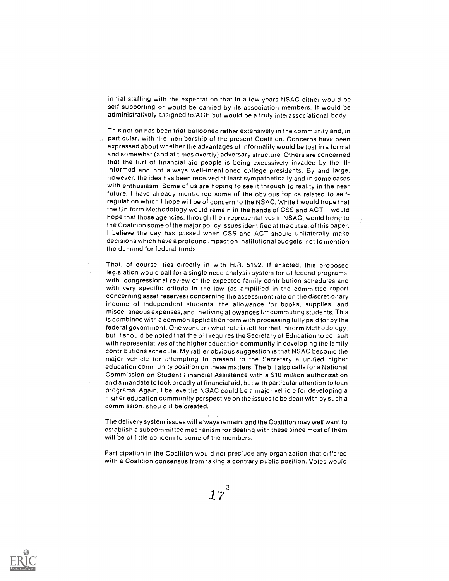initial staffing with the expectation that in a few years NSAC either would be self-supporting or would be carried by its association members. It would be administratively assigned to ACE but would be a truly interassociational body.

This notion has been trial-ballooned rather extensively in the community and, in particular, with the membership of the present Coalition. Concerns have been expressed about whether the advantages of informality would be lost in a formal and somewhat (and at times overtly) adversary structure. Others are concerned that the turf of financial aid people is being excessively invaded by the illinformed and not always well-intentioned college presidents. By and large, however, the idea has been received at least sympathetically and in some cases with enthusiasm. Some of us are hoping to see it through to reality in the near future. ! have already mentioned some of the obvious topics related to selfregulation which I hope will be of concern to the NSAC. While I would hope that the Uniform Methodology would remain in the hands of CSS and ACT, I would hope that those agencies, through their representatives in NSAC, would bring to the Coalition some of the major policy issues identified at the outset of this paper. <sup>I</sup> believe the day has passed when CSS and ACT should unilaterally make decisions which have a profound impact on institutional budgets, not to mention the demand for federal funds.

That, of course, ties directly in with H.R. 5192. If enacted, this proposed legislation would call for a single need analysis system for all federal programs, with congressional review of the expected family contribution schedules and with very specific criteria in the law (as amplified in the committee report concerning asset reserves) concerning the assessment rate on the discretionary income of independent students, the allowance for books, supplies, and miscellaneous expenses, and the living allowances to' commuting students. This is combined with a common application form with processing fully paid for by the federal government. One wonders what role is left for the Uniform Methodology, but it should be noted that the bill requires the Secretary of Education to consult with representatives of the higher education community in developing the family contributions schedule. My rather obvious suggestion is that NSAC become the major vehicle for attempting to present to the Secretary a unified higher education community position on these matters. The bill also calls for a National Commission on Student Financial Assistance with a \$10 million authorization and a mandate to look broadly at financial aid, but with particular attention to loan programs. Again, I believe the NSAC could be a major vehicle for developing a higher education community perspective on the issues to be dealt with by such a commission, should it be created.

The delivery system issues will always remain, and the Coalition may well want to establish a subcommittee mechanism for dealing with these since most of them will be of little concern to some of the members.

Participation in the Coalition would not preclude any organization that differed with a Coalition consensus from taking a contrary public position. Votes would

 $1^{2^{12}}$ 

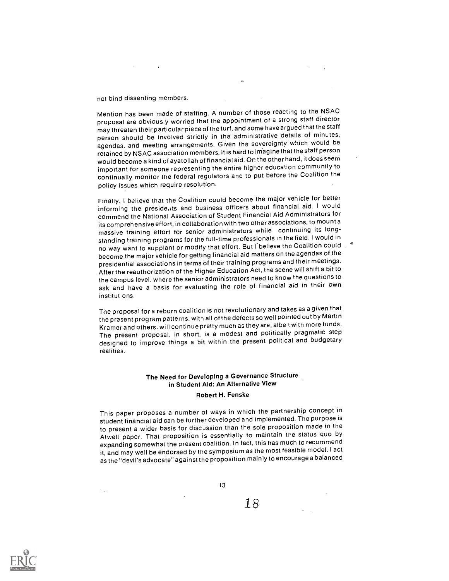not bind dissenting members.

Mention has been made of staffing. A number of those reacting to the NSAC proposal are obviously worried that the appointment of a strong staff director may threaten their particular piece of the turf, and some have argued that the staff person should be involved strictly in the administrative details of minutes, agendas, and meeting arrangements. Given the sovereignty which would be retained by NSAC association members, it is hard to imagine that the staff person would become a kind of ayatollah of financial aid. On the other hand, it does seem important for someone representing the entire higher education community to continually monitor the federal regulators and to put before the Coalition the policy issues which require resolution.

Finally. I believe that the Coalition could become the major vehicle for better informing the presidents and business officers about financial aid. I would commend the National Association of Student Financial Aid Administrators for its comprehensive effort, in collaboration with two other associations, to mount a massive training effort for senior administrators while continuing its longstanding training programs for the full-time professionals in the field. I would in no way want to supplant or modify that effort. But I believe the Coalition could  $\cdot$ become the major vehicle for getting financial aid matters on the agendas of the presidential associations in terms of their training programs and their meetings. After the reauthorization of the Higher Education Act, the scene will shift a bit to the campus level, where the senior administrators need to know the questions to ask and have a basis for evaluating the role of financial aid in their own institutions.

The proposal for a reborn coalition is not revolutionary and takes as a given that the present program patterns, with all of the defects so well pointed out by Martin Kramer and others, will continue pretty much as they are, albeit with more funds. The present proposal, in short, is a modest and politically pragmatic step designed to improve things a bit within the present political and budgetary realities.

### The Need for Developing a Governance Structure in Student Aid: An Alternative View

#### Robert H. Fenske

This paper proposes a number of ways in which the partnership concept in student financial aid can be further developed and implemented. The purpose is to present a wider basis for discussion than the sole proposition made in the Atwell paper. That proposition is essentially to maintain the status quo by expanding somewhat the present coalition. In fact, this has much to recommend it, and may well be endorsed by the symposium as the most feasible model. I act as the "devil's advocate" against the proposition mainly to encourage a balanced

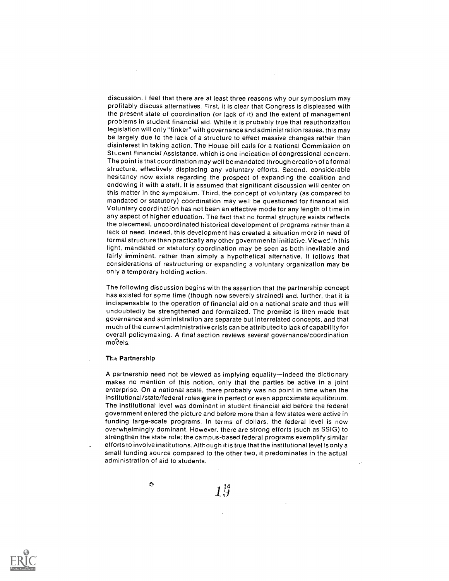discussion. I feel that there are at least three reasons why our symposium may profitably discuss alternatives. First, it is clear that Congress is displeased with the present state of coordination (or lack of it) and the extent of management problems in student financial aid. While it is probably true that reauthorization legislation will only "tinker" with governance and administration issues, this may be largely due to the lack of a structure to effect massive changes rather than disinterest in taking action. The House bill calls for a National Commission on Student Financial Assistance, which is one indication of congressional concern. The point is that coordination may well be mandated through creation of a formal structure, effectively displacing any voluntary efforts. Second, considerable hesitancy now exists regarding the prospect of expanding the coalition and endowing it with a staff.. It is assumed that significant discussion will center on this matter in the symposium. Third, the concept of voluntary (as compared to mandated or statutory) coordination may well be questioned for financial aid. Voluntary coordination has not been an effective mode for any length of time in any aspect of higher education. The fact that no formal structure exists reflects the piecemeal, uncoordinated historical development of programs rather than a lack of need. Indeed, this development has created a situation more in need of formal structure than practically any other governmental initiative. Viewer :n this light, mandated or statutory coordination may be seen as both inevitable and fairly imminent, rather than simply a hypothetical alternative. It follows that considerations of restructuring or expanding a voluntary organization may be only a temporary holding action.

The following discussion begins with the assertion that the partnership concept has existed for some time (though now severely strained) and, further, that it is indispensable to the operation of financial aid on a national scale and thus will undoubtedly be strengthened and formalized. The premise is then made that governance and administration are separate but interrelated concepts, and that much of the current administrative crisis can be attributed to lack of capability for overall policymaking. A final section reviews several governance/coordination models.

#### The Partnership

A partnership need not be viewed as implying equality—indeed the dictionary makes no mention of this notion, only that the parties be active in a joint enterprise. On a national scale, there probably was no point in time when the institutional/state/federal roles were in perfect or even approximate equilibrium. The institutional level was dominant in student financial aid before the federal government entered the picture and before more than a few states were active in funding large-scale programs. In terms of dollars, the federal level is now overwhelmingly dominant. However, there are strong efforts (such as SSIG) to strengthen the state role; the campus-based federal programs exemplify similar efforts to involve institutions. Although it is true that the institutional level is only a small funding source compared to the other two, it predominates in the actual administration of aid to students.

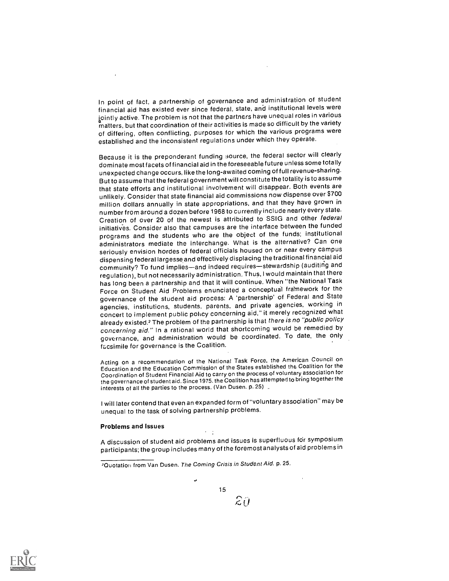In point of fact, a partnership of governance and administration of student financial aid has existed ever since federal, state, and institutional levels were jointly active. The problem is not that the partners have unequal roles in various matters, but that coordination of their activities is made so difficult by the variety of differing, often conflicting, purposes for which the various programs were established and the inconsistent regulations under which they operate.

Because it is the preponderant funding source, the federal sector will clearly dominate most facets of financial aid in the foreseeable future unless some totally unexpected change occurs, like the long-awaited coming of full revenue-sharing. But to assume that the federal government will constitute the totality is to assume that state efforts and institutional involvement will disappear. Both events are unlikely. Consider that state financial aid commissions now dispense over \$700 million dollars annually in state appropriations, and that they have grown in number from around a dozen before 1968 to currently include nearly every state. Creation of over 20 of the newest is attributed to SSIG and other federal initiatives. Consider also that campuses are the interface between the funded programs and the students who are the object of the funds; institutional administrators mediate the interchange. What is the alternative? Can one seriously envision hordes of federal officials housed on or near every campus dispensing federal largesse and effectively displacing the traditional financial aid community? To fund implies-and indeed requires-stewardship (auditing and regulation), but not necessarily administration. Thus, I would maintain that there has long been a partnership and that it will continue. When "the National Task Force on Student Aid Problems enunciated a conceptual framework for the governance of the student aid process: A 'partnership' of Federal and State agencies, institutions, students, parents, and private agencies, working in concert to implement public policy concerning aid," it merely recognized what already existed.2 The problem of the partnership is that there is no "public policy concerning aid." In a rational world that shortcoming would be remedied by governance, and administration would be coordinated. To date, the only facsimile for governance is the Coalition.

Acting on a recommendation of the National Task Force, the American Council on Education and the Education Commission of the States established the Coalition for the Coordination of Student Financial Aid to carry on the process of voluntary association for the governance of student aid. Since 1975, the Coalition hasattempted to bring together the interests of all the parties to the process. (Van Dusen, p. 25)

I will later contend that even an expanded form of "voluntary association" may be unequal to the task of solving partnership problems.

#### Problems and Issues

A discussion of student aid problems and issues is superfluous for symposium participants; the group includes many of the foremost analysts of aid problems in

 $\epsilon = \frac{1}{2}$ 



15

 $\mathcal{Z}\hat{U}$ 

<sup>?</sup>Quotation from Van Dusen, The Coming Crisis in Student Aid. p. 25.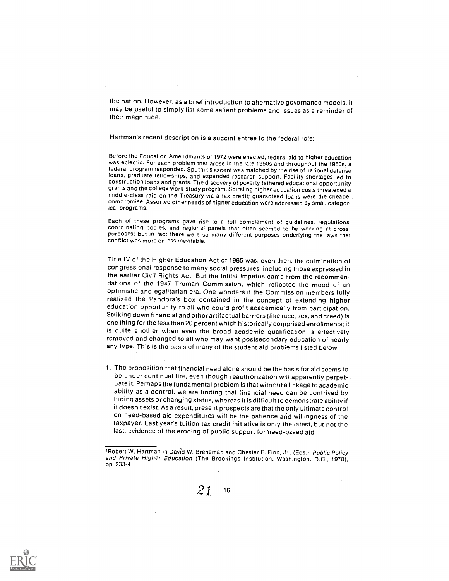the nation. However, as a brief introduction to alternative governance models, it may be useful to simply list some salient problems and issues as a reminder of their magnitude.

Hartman's recent description is a succint entree to the federal role:

Before the Education Amendments of 1972 were enacted, federal aid to higher education was eclectic. For each problem that arose in the late 1950s and throughout the 1960s. a federal program responded. Sputnik's ascent was matched by the rise of national defense loans, graduate fellowships, and expanded research support. Facility shortages led to construction loans and grants. The discovery of poverty fathered educational opportunity grants and the college work-study program. Spiraling higher education costs threatened<sup>a</sup> middle-class raid on the Treasury via a tax credit; guaranteed loans were the cheaper compromise. Assorted other needs of higher education were addressed by small categorical programs.

Each of these programs gave rise to a full complement of guidelines, regulations. coordinating bodies, and regional panels that often seemed to be working at crosspurposes; but in fact there were so many different purposes underlying the laws that conflict was more or less inevitable.<sup>3</sup>

Title IV of the Higher Education Act of 1965 was, even then, the culmination of congressional response to many social pressures, including those expressed in the earlier Civil Rights Act. But the initial impetus came from the recommendations of the 1947 Truman Commission, which reflected the mood of an optimistic and egalitarian era. One wonders if the Commission members fully realized the Pandora's box contained in the concept of extending higher education opportunity to all who could profit academically from participation. Striking down financial and other artifactual barriers (like race, sex, and creed) is one thing for the less than 20 percent which historically comprised enrollments: it is quite another when even the broad academic qualification is effectively removed and changed to all who may want postsecondary education of nearly any type. This is the basis of many of the student aid probiems listed below.

1. The proposition that financial need alone should be the basis for aid seems to be under continual fire, even though reauthorization will apparently perpetuate it. Perhaps the fundamental problem is that without a linkage to academic ability as a control, we are finding that financial need can be contrived by hiding assets or changing status, whereas it is difficult to demonstrate ability if it doesn't exist. As a result, present prospectsare that the only ultimate control on need-based aid expenditures will be the patience and willingness of the taxpayer. Last year's tuition tax credit initiative is only the latest, but not the last, evidence of the eroding of public support for need-based aid.

<sup>&</sup>lt;sup>3</sup>Robert W. Hartman in David W. Breneman and Chester E. Finn, Jr., (Eds.). Public Policy and Private Higher Education (The Brookings Institution, Washington, D.C., 1978), pp. 233-4.



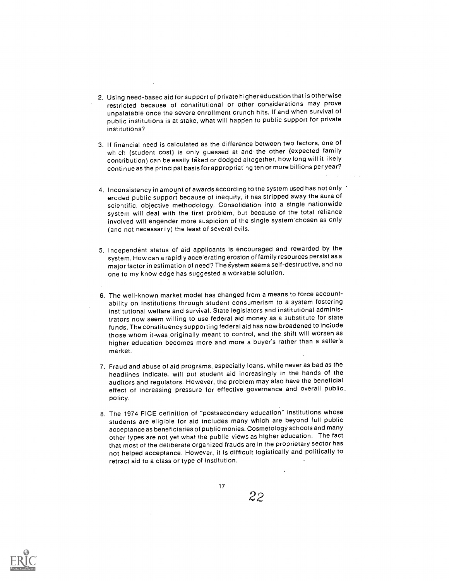- 2. Using need-based aid for support of private higher education that is otherwise restricted because of constitutional or other considerations may prove unpalatable once the severe enrollment crunch hits. If and when survival of public institutions is at stake, what will happen to public support for private institutions?
- 3. If financial need is calculated as the difference between two factors, one of which (student cost) is only guessed at and the other (expected family contribution) can be easily faked or dodged altogether, how long will it likely continue as the principal basis for appropriating ten or more billions per year?
- 4. Inconsistency in amount of awards according to the system used has not only  $\pm$ eroded public support because of inequity, it has stripped away the aura of scientific, objective methodology. Consolidation into a single nationwide system will deal with the first problem, but because of the total reliance involved will engender more suspicion of the single system-chosen as only (and not necessarily) the least of several evils.
- 5. Independent status of aid applicants is encouraged and rewarded by the system. How can a rapidly accelerating erosion of family resources persist as a major factor in estimation of need? The system seems self-destructive, and no one to my knowledge has suggested a workable solution.
- 6. The well-known market model has changed from a means to force accountability on institutions through student consumerism to a system fostering institutional welfare and survival. State legislators and institutional administrators now seem willing to use federal aid money as a substitute for state funds. The constituency supporting federal aid has now broadened to include those whom it-was originally meant to control, and the shift will worsen as higher education becomes more and more a buyer's rather than a seller's market.
- 7. Fraud and abuse of aid programs, especially loans, while never as bad as the headlines indicate, will put student aid increasingly in the hands of the auditors and regulators. However, the problem may also have the beneficial effect of increasing pressure for effective governance and overall public. policy.
- 8. The 1974 FICE definition of "postsecondary education" institutions whose students are eligible for aid includes many which are beyond full public acceptance as beneficiaries of public monies. Cosmetology schools and many other types are not yet what the public views as higher education. The fact that most of the deliberate organized frauds are in the proprietary sector has not helped acceptance. However, it is difficult logistically and politically to retract aid to a class or type of institution.

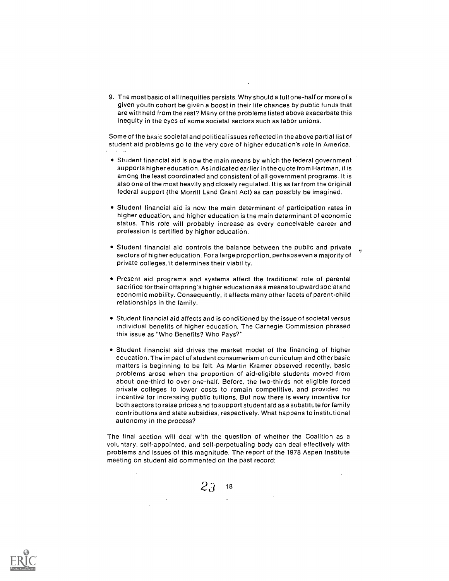9. The most basic of all inequities persists. Why should a futl one-half or more of a given youth cohort be given a boost in their life chances by public funds that are withheld from the rest? Many of the problems listed above exacerbate this inequity in the eyes of some societal sectors such as labor unions.

Some of the basic societal and political issues reflected in the above partial list of student aid problems go to the very core of higher education's role in America.

- Student financial aid is now the main means by which the federal government supports higher education. As indicated earlier in the quote from Hartman, it is among the least coordinated and consistent of all government programs. It is also one of the most heavily and closely regulated. It is as far from the original federal support (the Morrill Land Grant Act) as can possibly be imagined.
- Student financial aid is now the main determinant of participation rates in higher education, and higher education is the main determinant of economic status. This role will probably increase as every conceivable career and profession is certified by higher education.
- Student financial aid controls the balance between the public and private  $\frac{1}{n}$ sectors of higher education. For a large proportion, perhaps even a majority of private colleges,'it determines their viability.
- Present aid programs and systems affect the traditional role of parental sacrifice for their offspring's higher education as a means to upward social and economic mobility. Consequently, it affects many other facets of parent-child relationships in the family.
- Student financial aid affects and is conditioned by the issue of societal versus individual benefits of higher education. The Carnegie Commission phrased this issue as "Who Benefits? Who Pays?"
- Student financial aid drives the market model of the financing of higher education. The impact of student consumerism on curriculum and other basic matters is beginning to be felt. As Martin Kramer observed recently, basic problems arose when the proportion of aid-eligible students moved from about one-third to over one-half. Before, the two-thirds not eligible forced private colleges to lower costs to remain competitive, and provided no incentive for increasing public tuitions. But now there is every incentive for both sectors to raise prices and tosupport student aid as a substitute for family contributions and state subsidies, respectively. What happens to institutional autonomy in the process?

The final section will deal with the question of whether the Coalition as a voluntary, self-appointed, and self-perpetuating body can deal effectively with problems and issues of this magnitude. The report of the 1978 Aspen Institute meeting on student aid commented on the past record:



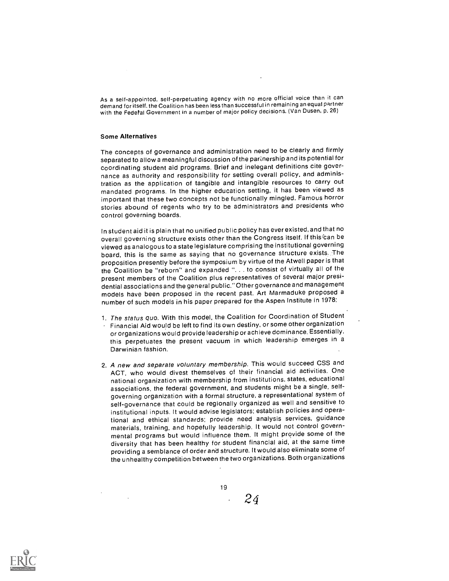As a self-appointed, self-perpetuating agency with no more official voice than it can demand for itself, the Coalition has been less than successful in remaining an equal partner with the Fedefal Government in a number of major policy decisions. (Van Dusen, p. 26)

#### Some Alternatives

The concepts of governance and administration need to be clearly and firmly separated to allow a meaningful discussion of the partnership and its potential for coordinating student aid programs. Brief and inelegant definitions cite governance as authority and responsibility for setting overall policy, and administration as the application of tangible and intangible resources to carry out mandated programs. In the higher education setting, it has been viewed as important that these two concepts not be functionally mingled. Famous horror stories abound of regents who try to be administrators and presidents who control governing boards.

In student aid it is plain that no unified public policy has ever existed, and that no overall governing structure exists other than the Congress itself. If thisfcan be viewed as analogous to a state legislature comprising the institutional governing board, this is the same as saying that no governance structure exists. The proposition presently before the symposium by virtue of the Atwell paper is that the Coalition be "reborn" and expanded ". . to consist of virtually all of the present members of the Coalition plus representatives of several major presidential associations and the general public." Other governance and management models have been proposed in the recent past. Art Marmaduke proposed a number of such models in his paper prepared for the Aspen Institute in 1978:

- 1. The status quo. With this model, the Coalition for Coordination of Student Financial Aid would be left to find its own destiny, or some other organization or organizations would provide leadership or achieve dominance. Essentially, this perpetuates the present vacuum in which leadership 'emerges in a Darwinian fashion.
- 2. A new and separate voluntary membership. This would succeed CSS and ACT, who would divest themselves of their financial aid activities. One national organization with membership from institutions, states, educational associations, the federal government, and students might be a single, selfgoverning organization with a formal structure, a representational system of self-governance that could be regionally organized as well and sensitive to institutional inputs. It would advise legislators; establish policies and operational and ethical standards; provide need analysis services, guidance materials, training, and hopefully leadership. It would not control governmental programs but would influence them. It might provide some of the diversity that has been healthy for student financial aid, at the same time providing a semblance of order and structure. It would also eliminate some of the unhealthy competition between the two organizations. Both organizations

19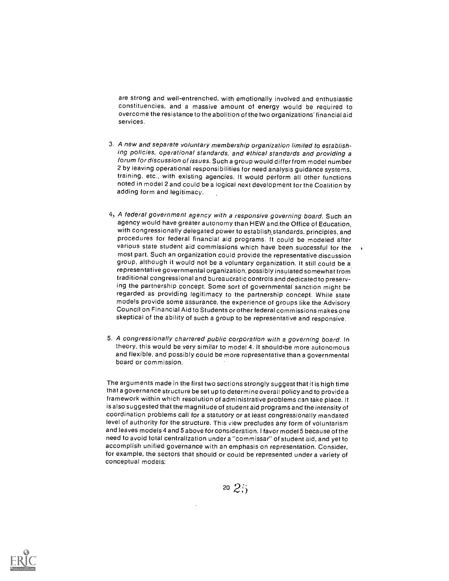are strong and well-entrenched, with emotionally involved and enthusiastic constituencies, and a massive amount of energy would be required to overcome the resistance to the abolition of the two organizations' financial aid services.

- 3. A new and separate voluntary membership organization limited to establishing policies, operational standards, and ethical standards and providing <sup>a</sup> forum for discussion of issues. Such a group would differ from model number 2 by leaving operational responsibilities for need analysis guidance systems, training, etc., with existing agencies. It would perform all other functions noted in model 2 and could be a logical next development for the Coalition by adding form and legitimacy.
- 4, A federal government agency with a responsive governing board. Such an agency would have greater autonomy than HEW and,the Office of Education, with congressionally delegated power to establish-standards, principles, and procedures for federal financial aid programs. It could be modeled after various state student aid commissions which have been successful for the most part. Such an organization could provide the representative discussion group, although it would not be a voluntary organization. It still could be a representative governmental organization, possibly insulated somewhat from traditional congressional and bureaucratic controls and dedicated to preserving the partnership concept. Some sort of governmental sanction might be regarded as providing legitimacy to the partnership concept. While state models provide some assurance, the experience of groups like the Advisory Council on Financial Aid to Students or other federal commissions makes one skeptical of the ability of such a group to be representative and responsive.
- 5. A congressionally chartered public corporation with a governing board. In theory, this would be very similar to model 4. It should be more autonomous and flexible, and possibly could be more representative than a governmental board or commission.

The arguments made in the first two sections strongly suggest that it is high time that a governance structure be set up to determine overall policy and to provide a framework within which resolution of administrative problems can take place. It is also suggested that the magnitude of student aid programs and the intensity of coordination problems call for a statutory or at least congressionally mandated level of authority for the structure. This view precludes any form of voluntarism and leaves models 4 and 5 above for consideration. I favor model 5 because of the need to avoid total centralization under a "commissar" of student aid, and yet to accomplish unified governance with an emphasis on representation. Consider, for example, the sectors that should or could be represented under a variety of conceptual models:

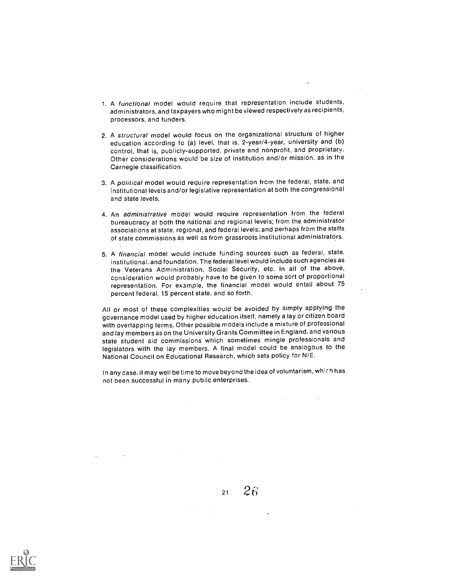- 1. A functional model would require that representation include students, administrators, and taxpayers who might be viewed respectively as recipients, processors, and funders.
- 2. A structural model would focus on the organizational structure of higher education according to (a) level, that is, 2-year/4-year, university and (b) control, that is, publicly-supported, private and nonprofit, and proprietary. Other considerations would be size of institution and/or mission, as in the Carnegie classification.
- 3. A political model would require representation from the federal, state, and institutional levels and/or legislative representation at both the congressional and state levels.
- 4. An administrative model would require representation from the federal bureaucracy at both the national and regional levels; from the administrator associations at state, regional, and federal levels; and perhaps from the staffs of state commissions as well as from grassroots institutional administrators.
- 5. A financial model would include funding sources such as federal, state, institutional, and foundation. The federal level would include such agencies as the Veterans Administration, Social Security, etc. In all of the above, consideration would probably have to be given to some sort of proportional representation. For example, the financial model would entail about 75 percent federal, 15 percent state, and so forth.
- All or most of these complexities would be avoided by simply applying the governance model used by higher education itself, namely a lay or citizen board with overlapping terms. Other possible models include a mixture of professional and lay members as on the University Grants Committee in England, and various state student aid commissions which sometimes mingle professionals and legislators with the lay members. A final model could be analogous to the National Council on Educational Research, which sets policy for NIE.

In any case, it may well be time to move beyond the idea of voluntarism, which has not been successful in many public enterprises.



 $21 \quad 26$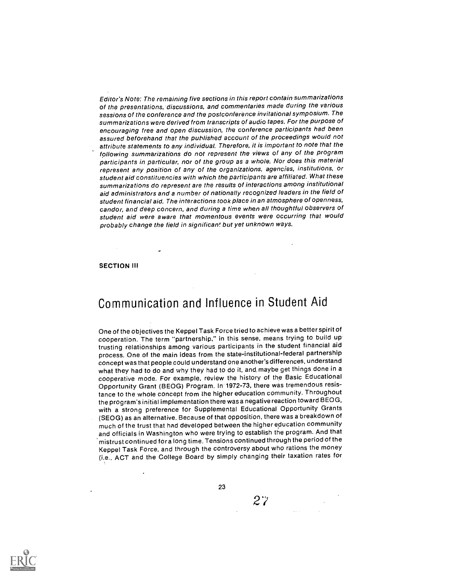Editor's Note: The remaining five sections in this report contain summarizations of the presentations, discussions, and commentaries made during the various sessions of the conference and the postconference invitational symposium. The summarizations were derived from transcripts of audio tapes. For the purpose of encouraging free and open discussion, the conference participants had been assured beforehand that the published account of the proceedings would not attribute statements to any individual. Therefore, it is important to note that the following summarizations do not represent the views of any of the program participants in particular, nor of the group as a whole. Nor does this material represent any position of any of the organizations, agencies, institutions, or student aid constituencies with which the participants are affiliated. What these summarizations do represent are the results of interactions among institutional aid administrators and a number of nationally recognized leaders in the field of student financial aid. The interactions took place in an atmosphere of openness, candor, and deep concern, and during a time when all thoughtful observers of student aid were aware that momentous events were occurring that would probably change the field in significan! but yet unknown ways.

#### SECTION III

# Communication and Influence in Student Aid

One of the objectives the Keppel Task Force tried to achieve was a better spirit of cooperation. The term "partnership," in this sense, means trying to build up trusting relationships among various participants in the student financial aid process. One of the main ideas from the state-institutional-federal partnership concept was that people could understand one another's differences, understand what they had to do and why they had to do it, and maybe get things done in a cooperative mode. For example, review the history of the Basic Educational Opportunity Grant (BEOG) Program. In 1972-73, there was tremendous resistance to the whole concept from the higher education community. Throughout the program's initial implementation there was a negative reaction towardBEOG, with a strong preference for Supplemental Educational Opportunity Grants (SEOG) as an alternative. Because of that opposition, there was a breakdown of much of the trust that had developed between the higher education community and officials in Washington who were trying to establish the program. And that mistrust continued fora long time. Tensions continued through the period of the Keppel Task Force, and through the controversy about who rations the money (i.e., ACT and the College Board by simply changing their taxation rates for

23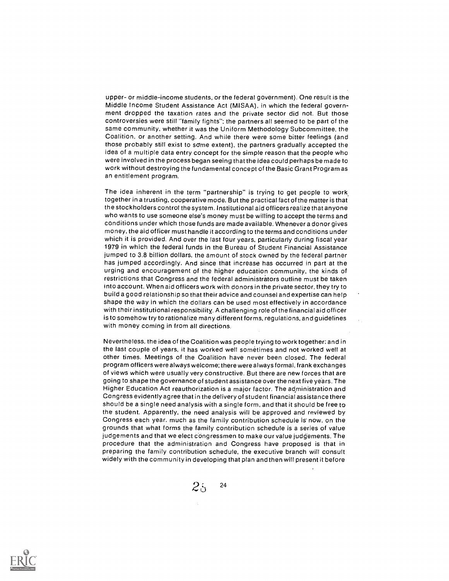upper- or middle-income students, or the federal government). One result is the Middle Income Student Assistance Act (MISAA), in which the federal government dropped the taxation rates and the private sector did not. But those controversies were still "family fights"; the partners all seemed to be part of the same community, whether it was the Uniform Methodology Subcommittee, the Coalition, or another setting. And while there were some bitter feelings (and those probably still exist to some extent), the partners gradually accepted the idea of a multiple data entry concept for the simple reason that the people who were involved in the process began seeing that the idea could perhaps be made to work without destroying the fundamental concept of the Basic Grant Program as an entitlement program.

The idea inherent in the term "partnership" is trying to get people to work together in a trusting, cooperative mode. But the practical fact of the matter is that the stockholders control the system. Institutional aid officers realize that anyone who wants to use someone else's money must be willing to accept the terms and conditions under which those funds are made available. Whenever a donor gives money, the aid officer must handle it according to the terms and conditions under which it is provided. And over the last four years, particularly during fiscal year 1979 in which the federal funds in the Bureau of Student Financial Assistance jumped to 3.8 billion dollars, the amount of stock owned by the federal partner has jumped accordingly. And since that increase has occurred in part at the urging and encouragement of the higher education community, the kinds of restrictions that Congress and the federal administrators outline must be taken into account. When aid officers work with donors in the private sector, they try to build a good relationship so that their advice and counsel and expertise can help shape the way in which the dollars can be used most effectively in accordance with their institutional responsibility. A challenging role of the financial aid officer is to somehow try to rationalize many different forms, regulations, and guidelines with money coming in from all directions.

Nevertheless, the idea of the Coalition was people trying to work together; and in the last couple of years, it has worked well sometimes and not worked well at other times. Meetings of the Coalition have never been closed. The federal program officers were always welcome; there were always formal, frank exchanges of views which were usually very constructive. But there are new forces that are going to shape the governance of student assistance over the next five years. The Higher Education Act reauthorization is a major factor. The administration and Congress evidently agree that in the delivery of student financial assistance there should be a single need analysis with a single form, and that it should be free to the student. Apparently, the need analysis will be approved and reviewed by Congress each year. much as the family contribution schedule is now, on the grounds that what forms the family contribution schedule is a series of value judgements and that we elect congressmen to make our value judgements. The procedure that the administration and Congress have proposed is that in preparing the family contribution schedule, the executive branch will consult widely with the community in developing that plan and then will present it before

 $25$ 24

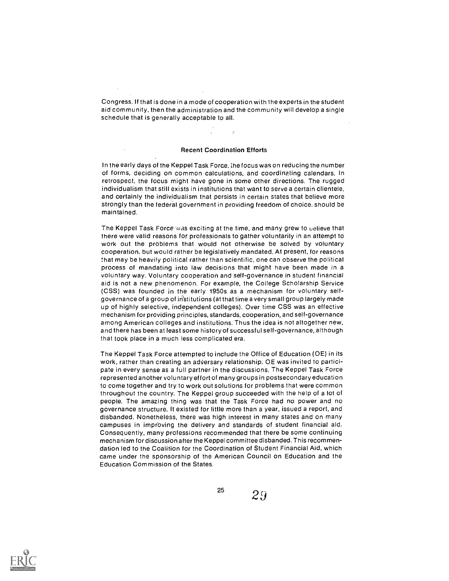Congress. If that is done in a mode of cooperation with the experts in the student aid community, then the administration and the community will develop a single schedule that is generally acceptable to all.

#### Recent Coordination Efforts

In the early days of the Keppel Task Force, the focus was on reducing the number of forms, deciding on common calculations, and coordinating calendars. In retrospect, the focus might have gone in some other directions. The rugged individualism that still exists in institutions that want to serve a certain clientele, and certainly the individualism that persists in certain states that believe more strongly than the federal government in providing freedom of choice, should be maintained.

The Keppel Task Force was exciting at the time, and many grew to uelieve that there were valid reasons for professionals to gather voluntarily in an attempt to work out the problems that would not otherwise be solved by voluntary cooperation, but would rather be legislatively mandated. At present, for reasons that may be heavily political rather than scientific, one can observe the political process of mandating into law decisions that might have been made in a voluntary way. Voluntary cooperation and self-governance in student financial aid is not a new phenomenon. For example, the College Scholarship Service (CSS) was founded in the early 1950s as a mechanism for voluntary selfgovernance of a group of institutions (at that time a very small group largely made up of highly selective, independent colleges). Over time CSS was an effective mechanism for providing principles, standards, cooperation, and self-governance among American colleges and institutions. Thus the idea is not altogether new, and there has been at least some historyof successful self-governance, although that took place in a much less complicated era.

The Keppel Task Force attempted to include the Office of Education (OE) in its work, rather than creating an adversary relationship. OE was invited to participate in every sense as a full partner in the discussions. The Keppel Task Force represented another voluntary ef fort of many groups in postsecondary education to come together and try to work out solutions for problems that were common throughout the country. The Keppel group succeeded with the help of a lot of people. The amazing thing was that the Task Force had no power and no governance structure. It existed for little more than a year, issued a report, and disbanded. Nonetheless, there was high interest in many states and on many campuses in improving the delivery and standards of student financial aid. Consequently, many professions recommended that there be some continuing mechanism for discussion after the Keppel committee disbanded. This recommendation led to the Coalition for the Coordination of Student Financial Aid, which came under the sponsorship of the American Council on Education and the Education Commission of the States.

<sup>25</sup> 29

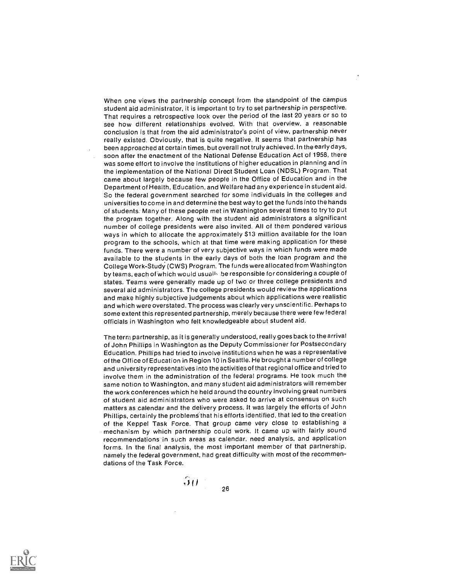When one views the partnership concept from the standpoint of the campus student aid administrator, it is important to try to set partnership in perspective. That requires a retrospective look over the period of the last 20 years or so to see how different relationships evolved. With that overview, a reasonable conclusion is that from the aid administrator's point of view, partnership never really existed. Obviously, that is quite negative. It seems that partnership has been approached at certain times, but overall not truly achieved. In the early days, soon after the enactment of the National Defense Education Act of 1958, there was some effort to involve the institutions of higher education in planning and in the implementation of the National Direct Student Loan (NDSL) Program. That came about largely because few people in the Office of Education and in the Department of Health, Education, and Welfare had any experience in student aid. So the federal government searched for some individuals in the colleges and universities to come in and determine the best way to get the funds into the hands of students. Many of these people met in Washington several times to try-to put the program together. Along with the student aid administrators a significant number of college presidents were also invited. All of them pondered various ways in which to allocate the approximately \$13 million available for the loan program to the schools, which at that time were making application for these funds. There were a number of very subjective ways in which funds were made available to the students in the early days of both the loan program and the College Work-Study (CWS) Program. The funds were allocated from Washington by teams, each of which would usually be responsible for considering a couple of states. Teams were generally made up of two or three college presidents and several aid administrators. The college presidents would review the applications and make highly subjective judgements about which applications were realistic and which were overstated. The process was clearly very unscientific. Perhaps to some extent this represented partnership, merely because there were few federal officials in Washington who felt knowledgeable about student aid.

The term partnership, as it is generally understood, really goes back to the arrival of John Phillips in Washington as the Deputy Commissioner for Postsecondary Education. Phillips had tried to involve institutions when he was a representative of the Office of Education in Region 10 in Seattle. He brought a number of college and university representatives into the activities of that regional office and tried to involve them in the administration of the federal programs. He took much the same notion to Washington, and many student aid administrators will remember the work conferences which he held around the country involving great numbers of student aid administrators who were asked to arrive at consensus on such matters as calendar and the delivery process. It was largely the efforts of John Phillips, certainly the problems that his efforts identified, that led to the creation of the Keppel Task Force. That group came very close to establishing a mechanism by which partnership could work. It came up with fairly sound recommendations in such areas as calendar, need analysis, and application forms. In the final analysis, the most important member of that partnership, namely the federal government, had great difficulty with most of the recommendations of the Task Force.

26

 $\mathfrak{m}$ 

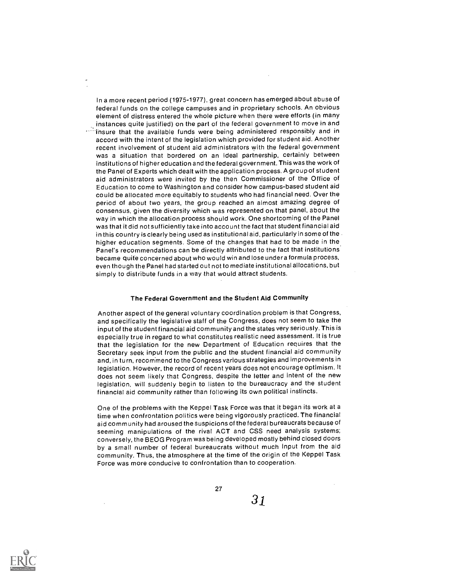In a more recent period (1975-1977), great concern has emerged about abuse of federal funds on the college campuses and in proprietary schools. An obvious element of distress entered the whole picture when there were efforts (in many instances quite justified) on the part of the federal government to move in and  $\cdots$  insure that the available funds were being administered responsibly and in accord with the intent of the legislation which provided for student aid. Another recent involvement of student aid administrators with the federal government was a situation that bordered on an ideal partnership, certainly between institutions of higher education and the federal government. This was the work of the Panel of Experts which dealt with the application process. A group of student aid administrators were invited by the then Commissioner of the Office of Education to come to Washington and consider how campus-based student aid could be allocated more equitably to students who had financial need. Over the period of about two years, the group reached an almost amazing degree of consensus, given the diversity which was represented on that panel, about the way in which the allocation process should work. One shortcoming of the Panel was that it did not sufficiently take into account the fact that student financial aid in this country is clearly being used as institutional aid, particularly in some of the. higher education segments. Some of the changes that had to be made in the. Panel's recommendations can be directly attributed to the fact that institutions became quite concerned about who would win and lose under a formula process, even though the Panel had started out not to mediate institutional allocations, but simply to distribute funds in a way that would attract students.

#### The Federal Government and the Student Aid Community

Another aspect of the general voluntary coordination problem is that Congress, and specifically the legislative staff of the Congress, does not seem to take the input of the student financial aid community and the states very seriously. This is especially true in regard to what constitutes realistic need assessment. It is true that the legislation for the new Department of Education requires that the Secretary seek input from the public and the student financial aid community and, in turn, recommend to the Congress various strategies and improvements in legislation. However, the record of recent years does not encourage optimism. It does not seem likely that Congress, despite the letter and intent of the new legislation, will suddenly begin to listen to the bureaucracy and the student financial aid community rather than following its own political instincts.

One of the problems with the Keppel Task Force was that it began its work at a time when confrontation politics were being vigorously practiced. The financial aid community had aroused the suspicions of the federal bureaucrats because of seeming manipulations of the rival ACT and CSS need analysis systems; conversely, the BEOG Program was being developed mostly behind closed doors by a small number of federal bureaucrats without much input from the aid community. Thus, the atmosphere at the time of the origin of the Keppel Task Force was more conducive to confrontation than to cooperation.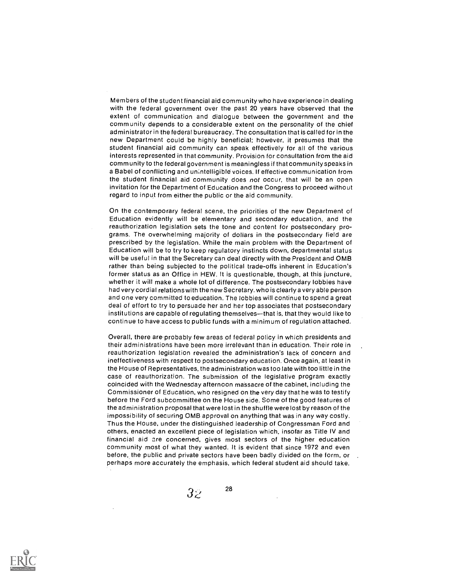Members of the student financial aid community who have experience in dealing with the federal government over the past 20 years have observed that the extent of communication and dialogue between the government and the comm unity depends to a considerable extent on the personality of the chief administrator in the federal bureaucracy. The consultation that is called for in the new Department could be highly beneficial; however, it presumes that the student financial aid community can speak effectively for all of the various interests represented in that community. Provision for consultation from the aid community to the federal government is meaningless if that community speaks in a Babel of conflicting and unintelligible voices. If effective communication from the student financial aid community does not occur, that will be an open invitation for the Department of Education and the Congress to proceed without regard to input from either the public or the aid community.

On the contemporary federal scene, the priorities of the new Department of Education evidently will be elementary and secondary education, and the reauthorization legislation sets the tone and content for postsecondary programs. The overwhelming majority of dollars in the postsecondary field are prescribed by the legislation. While the main problem with the Department of Education will be to try to keep regulatory instincts down, departmental status will be useful in that the Secretary can deal directly with the President and OMB rather than being subjected to the political trade-offs inherent in Education's former status as an Office in HEW. it is questionable, though, at this juncture, whether it will make a whole lot of difference. The postsecondary lobbies have had very cordial relations with the new Secretary. who is clearly a very able person and one very committed to education. The lobbies will continue to spend a great deal of effort to try to persuade her and her top associates that postsecondary institutions are capable of regulating themselves-that is, that they would like to continue to have access to public funds with a minimum of regulation attached.

Overall, there are probably few areas of federal policy in which presidents and their administrations have been more irrelevant than in education. Their role in reauthorization legislation revealed the administration's lack of concern and ineffectiveness with respect to postsecondary education. Once again, at least in the House of Representatives, the administration was too late with too little in the case of reauthorization. The submission of the legislative program exactly coincided with the Wednesday afternoon massacre of the cabinet, including the Commissioner of Education, who resigned on the very day that he was to testify before the Ford subcommittee on the House side. Some of the good features of the administration proposal that were lost in the shuffle were lost by reason of the impossibility of securing OMB approval on anything that was in any way costly. Thus the House, under the distinguished leadership of Congressman Ford and others, enacted an excellent piece of legislation which, insofar as Title IV and financial aid are concerned, gives most sectors of the higher education community most of what they wanted. It is evident that since 1972 and even before, the public and private sectors have been badly divided on the form, or perhaps more accurately the emphasis, which federal student aid should take.

28

 $3\overline{z}$ 

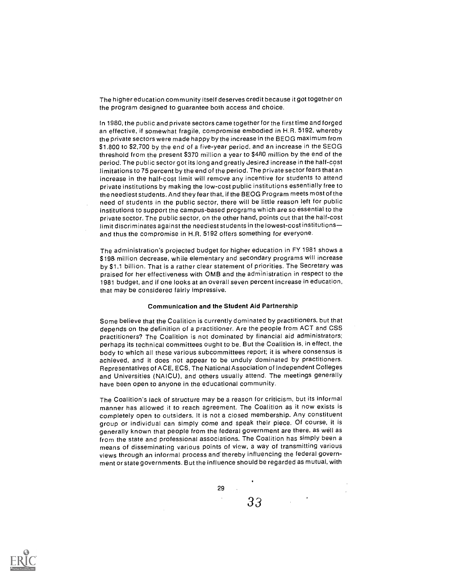The higher education community itself deserves credit because it got together on the program designed to guarantee both access and choice.

In 1980, the public and private sectors came together for the first time and forged an effective, if somewhat fragile, compromise embodied in H.R. 5192, whereby the private sectors were made happy by the increase in the BEOG maximum from S1.800 to \$2,700 by the end of a five-year period, and an increase in the SEOG threshold from the present S370 million a year to \$480 million by the end of the period. The public sector got its long and greatly Jesired increase in the half-cost limitations to 75 percent by the end of the period. The private sector fears that an increase in the half-cost limit will remove any incentive for students to attend private institutions by making the low-cost public institutions essentially free to the neediest students. And they fear that, if the BEOG Program meets most of the need of students in the public sector, there will be little reason left for public institutions to support the campus-based programs which are so essential to the private sector. The public sector, on the other hand, points out that the half-cost limit discriminates against the neediest students in the lowest-cost institutions and thus the compromise in H.R. 5192 offers something for everyone.

The administration's projected budget for higher education in FY 1981 shows a \$198. million decrease, while elementary and secondary programs will increase by S1.1 billion. That is a rather clear statement of priorities. The Secretary was praised for her effectiveness with OMB and the administration in respect to the 1981 budget, and if one looks at an overall seven percent increase in education, that may be considered fairly impressive.

#### Communication and the Student Aid Partnership

Some believe that the Coalition is currently dominated by practitioners, but that depends on the definition of a practitioner. Are the people from ACT and CSS practitioners? The Coalition is not dominated by financial aid administrators; perhaps its technical committees ought to be. But the Coalition is, in effect, the body to which all these various subcommittees report; it is where consensus is achieved, and it does not appear to be unduly dominated by practitioners. Representatives of ACE, ECS, The National Association of Independent Colleges and Universities (NAICU), and others usually attend. The meetings generally have been open to anyone in the educational community.

The Coalition's lack of structure may be a reason for criticism, but its informal manner has allowed it to reach agreement. The Coalition as it now exists is completely open to outsiders. It is not a closed membership. Any constituent group or individual can simply come and speak their piece. Of course, it is generally known that people from the federal government are there, as well as from the state and professional associations. The Coalition has simply been a means of disseminating various points of view, a way of transmitting various views through an informal process and thereby influencing the federal government or state governments. But the influence should be regarded as mutual, with

29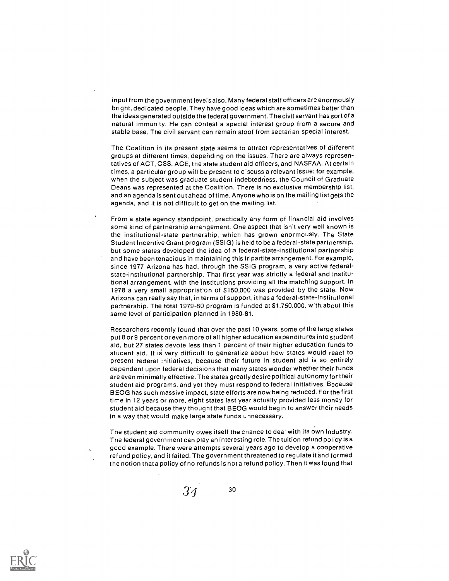input from the government levels also. Many federal staff officers are enormously bright, dedicated people. They have good ideas which are sometimes better than the ideas generated outside the federal government. The civil servant has sort of a natural immunity. He can contest a special interest group from a secure and stable base. The civil servant can remain aloof from sectarian special interest.

The Coalition in its present state seems to attract representatives of different groups at different times, depehding on the issues. There are always representatives of ACT, CSS, ACE, the state student aid officers, and NASFAA. At certain times, a particular group will be present to discuss a relevant issue: for example, when the subject was graduate student indebtedness, the Council of Graduate Deans was represented at the Coalition. There is no exclusive membership list, and an agenda is sent out ahead of time. Anyone who is on the mailing list gets the agenda, and it is not difficult to get on the mailing, list.

From a state agency standpoint, practically any form of financial aid involves some kind of partnership arrangement. One aspect that isn't very well known is the institutional-state partnership, which has grown enormously. The State Student Incentive Grant program (SSIG) is held to be a federal-state partnership, but some states developed the idea of a federal-state-institutional partnership and have been tenacious in maintaining this tripartite arrangement. For example, since 1977 Arizona has had, through the SSIG program, a very active federalstate-institutional partnership. That first year was strictly a federal and institutional arrangement, with the institutions providing all the matching support. In 1978 a very small appropriation of \$150,000 was provided by the state. Now Arizona can really say that, in terms of support, it has a federal-state-institutional partnership. The total 1979-80 program is funded at \$1,750,000, with about this same level of participation planned in 1980-81.

Researchers recently found that over the past 10 years, some of the large states put 8 or 9 percent or even more of all higher education expenditures into student aid, but 27 states devote less than 1 percent of their higher education funds to student aid. It is very difficult to generalize about how states would react to present federal initiatives, because their future in student aid is so entirely dependent upon federal decisions that many states wonder whether their funds are even minimally effective. The states greatly desire political autonomy for their student aid programs, and yet they must respond to federal initiatives. Because BEOG has such massive impact, state efforts are now being reduced. For the first time in 12 years or more, eight states last year actually provided less money for student aid because they thought that BEOG would begin to answer their needs in a way that would make large state funds unnecessary.

The student aid community owes itself the chance to deal with its own industry. The federal government can play an interesting role. The tuition refund policy is a good example. There were attempts several years ago to develop a cooperative refund policy, and it failed. The government threatened to regulate it and formed the notion that a policy of no refunds is not a refund policy. Then it was found that

34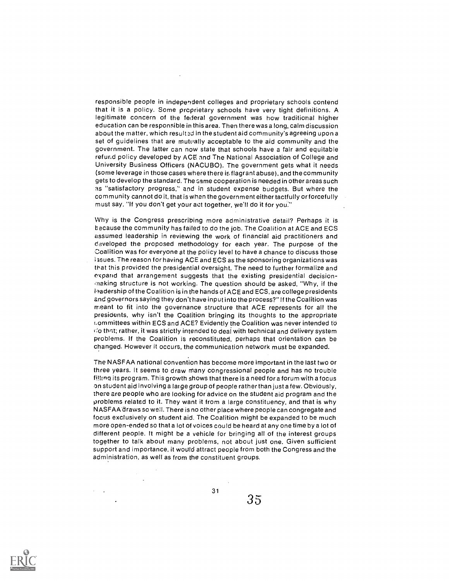responsible people in independent colleges and proprietary schools contend that it is a policy. Some proprietary schools have very tight definitions. A legitimate concern of the federal government was how traditional higher education can be responsible in this area. Then there was a long, calm discussion about the matter, which resulted in the student aid community's agreeing upon a set of guidelines that are mutually acceptable to the aid community and the government. The latter can now state that schools have a fair and equitable refund policy developed by ACE and The National Association of College and University Business Officers (NACUBO). The government gets what it needs (some leverage in those cases where there is flagrant abuse), and the community gets to develop the standard. The Game cooperation is needed in other areas such as "satisfactory progress," and in student expense budgets. But where the community cannot do it, that is when the government either tactfully or forcefully must say, "If you don't get your act together, we'll do it for you:"

Why is the Congress prescribing more administrative detail? Perhaps it is the cause the community has failed to do the job. The Coalition at ACE and ECS assumed leadership in reviewing the work of financial aid practitioners and developed the proposed methodology for each year. The purpose of the Coalition was for everyone at the policy level to have a chance to discuss those ;sues. The reason for having ACE and ECS as the sponsoring organizations was that this provided the presidential oversight. The need to further formalize and expand that arrangement suggests that the existing presidential decision- .neking structure is not working. The question should be asked, "Why, if the 1.mdership of the Coalition is in the hands of ACE and ECS, are college presidents and governors saying they don't have input into the process?" If the Coalition was meant to fit into the governance structure that ACE represents for all the presidents, why isn't the Coalition bringing its thoughts to the appropriate r.ommittees within ECS and ACE? Evidently the Coalition was never intended to  $\vec{a}$  o that; rather, it was strictly intended to deal with technical and delivery system problems. If the Coalition is reconstituted, perhaps that orientation can be changed. However it occurs, the communication network must be expanded.

The NASFAA national convention has become more important in the last two or three years. It seems to draw many congressional people and has no trouble fil!Inq its program. This growth shows that there is a need for a forum with a focus on student aid involving a large group of people rather than just a few. Obviously, there are people who are looking for advice on the student aid program and the problems related to it. They want it from a large constituency, and that is why NASFAA draws so well. There is no other place where people can congregate and focus exclusively on student aid. The Coalition might be expanded to be much more open-ended so that a lot of voices could be heard at any one time by a lot of different people. It might be a vehicle for bringing all of the interest groups together to talk about many problems, not about just one. Given sufficient support and importance, it would attract people from both the Congress and the administration, as well as from the constituent groups.

31

35

 $\cdot$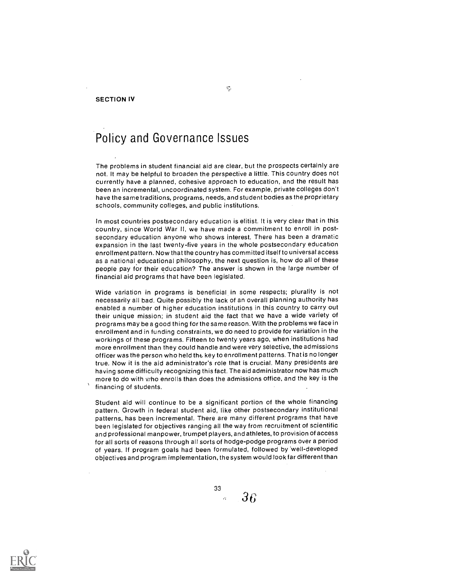SECTION IV

### Policy and Governance Issues

The problems in student financial aid are clear, but the prospects certainly are not. It may be helpful to broaden the perspective a little. This country does not currently have a planned, cohesive approach to education, and the result has been an incremental, uncoordinated system. For example, private colleges don't have the same traditions, programs, needs, and student bodies as the proprietary schools, community colleges, and public institutions.

In most countries postsecondary education is elitist. It is very clear that in this country, since World War II, we have made a commitment to enroll in postsecondary education anyone who shows interest. There has been a dramatic expansion in the last twenty-five years in the whole postsecondary education enrollment pattern. Now that the country has committed itself to universal access as a national educational philosophy, the next question is, how do all of these people pay for their education? The answer is shown in the large number of financial aid programs that have been legislated.

Wide variation in programs is beneficial in some respects; plurality is not necessarily all bad. Quite possibly the lack of an overall planning authority has enabled a number of higher education institutions in this country to carry out their unique mission; in student aid the fact that we have a wide variety of programs may be a good thing for the same reason. With the problems we face in enrollment and in funding constraints, we do need to provide for variation in the workings of these programs. Fifteen to twenty years ago, when institutions had more enrollment than they could handle and were very selective, the admissions officer was the person who held the key to enrollment patterns. That is no longer true. Now it is the aid administrator's role that is crucial. Many presidents are having some difficulty recognizing this fact. The aid administrator now has much more to do with who enrolls than does the admissions office, and the key is the financing of students.

Student aid will continue to be a significant portion of the whole financing pattern. Growth in federal student aid, like other postsecondary institutional patterns, has been incremental. There are many different programs that have been legislated for objectives ranging all the way from recruitment of scientific and professional manpower, trumpet players, and athletes, to provision of access for all sorts of reasons through all sorts of hodge-podge programs over a period of years. If program goals had been formulated, followed by 'well-developed objectives and program implementation, the system would look far different than

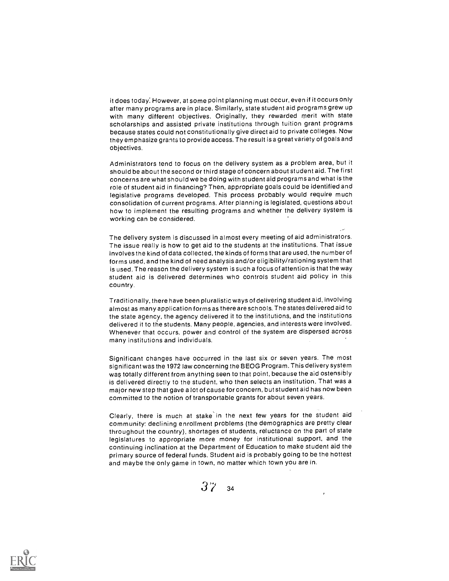it does today: However, at some point planning must occur, even if it occurs only after many programs are in place. Similarly, state student aid programs grew up with many different objectives. Originally, they rewarded merit with state scholarships and assisted private institutions through tuition grant programs because states could not constitutionally give direct aid to private colleges. Now they emphasize grants to provide access. The result is a great variety of goals and objectives.

Administrators tend to focus on the delivery system as a problem area, but it should be about the second or third stage of concern about student aid. The first concerns are what should we be doing with student aid programs and what is the role of student aid in financing? Then, appropriate goals could be identified and legislative programs developed. This process probably would require much consolidation of current programs. After planning is legislated, questions about how to implement the resulting programs and whether the delivery system is working can be considered.

The delivery system is discussed in almost every meeting of aid administrators. The issue really is how to get aid to the students at the institutions. That issue involves the kind of data collected, the kinds of forms that are used, the number of forms used, and the kind of need analysis and/or eligibility/rationing system that is used. The reason the delivery system is such a focus of attention is that the way student aid is delivered determines who controls student aid policy in this country.

Traditionally, there have been pluralistic ways of delivering student aid, involving almost as many application forms as thereare schools. The states delivered aid to the state agency, the agency delivered it to the institutions, and the institutions delivered it to the students. Many people, agencies, and interests were involved. Whenever that occurs, power and control of the system are dispersed across many institutions and individuals.

Significant changes have occurred in the last six or seven years. The most significant was the 1972 law concerning the BEOG Program. This delivery system was totally different from anything seen to that point, because the aid ostensibly is delivered directly to the student, who then selects an institution. That was a major new step that gave a lot of cause for concern, but student aid has now been committed to the notion of transportable grants for about seven years.

Clearly, there is much at stake' in the next few years for the student aid community: declining enrollment problems (the demographics are pretty clear throughout the country), shortages of students, reluctance on the part of state legislatures to appropriate more money for institutional support, and the continuing inclination at the Department of Education to make student aid the primary source of federal funds. Student aid is probably going to be the hottest and maybe the only game in town, no matter which town you are in.



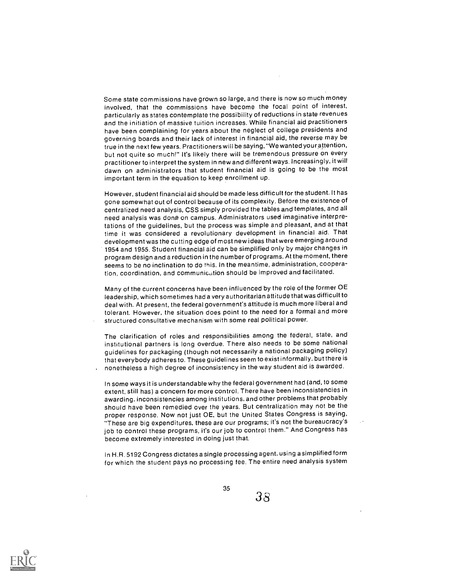Some state commissions have grown so large, and there is now so much money involved, that the commissions have become the focal point of interest, particularly as states contemplate the possibility of reductions in state revenues and the initiation of massive tuition increases. While financial aid practitioners have been complaining for years about the neglect of college presidents and governing boards and their lack of interest in financial aid, the reverse may be true in the next few years. Practitioners will be saying, "We wanted your attention, but not quite so much!" It's likely there will be tremendous pressure on every practitioner to interpret the system in new and different ways. Increasingly, it will dawn on administrators that student financial aid is going to be the most important term in the equation to keep enrollment up.

However, student financial aid should be made less difficult for the student. It has gone somewhat out of control because of its complexity. Before the existence of centralized need analysis, CSS simply provided the tables and templates, and all need analysis was done on campus. Administrators used imaginative interpretations of the guidelines, but the process was simple and pleasant, and at that time it was considered a revolutionary development in financial aid. That development was the cutting edge of most new ideas that were emerging around 1954 and 1955. Student financial aid can be simplified only by major changes in program design and a reduction in the number of programs. At the moment, there seems to be no inclination to do this. In the meantime, administration, cooperation, coordination, and communication should be improved and facilitated.

Many of the current concerns have been influenced by the role of the former OE leadership, which sometimes had a very authoritarian attitude that was difficult to deal with. At present, the federal government's attitude is much more liberal and tolerant. However, the situation does point to the need for a formal and more structured consultative mechanism with some real political power.

The clarification of roles and responsibilities among the federal, state, and institutional partners is long overdue. There also needs to be some national guidelines for packaging (though not necessarily a national packaging policy) that everybody adheres to. These guidelines seem to exist informally, but there is nonetheless a high degree of inconsistency in the way student aid is awarded.

In some ways it is understandable why the federal government had (and, to some extent, still has) a concern for more control. There have been inconsistencies in awarding, inconsistencies among institutions, and other problems that probably should have been remedied over the years. But centralization may not be the proper response. Now not just OE, but the United States Congress is saying, "These are big expenditures, these are our programs; it's not the bureaucracy's job to control these programs, it's our job to control them." And Congress has become extremely interested in doing just that.

In H.R. 5192 Congress dictates a single processing agent, using a simplified form for which the student pays no processing fee. The entire need analysis system

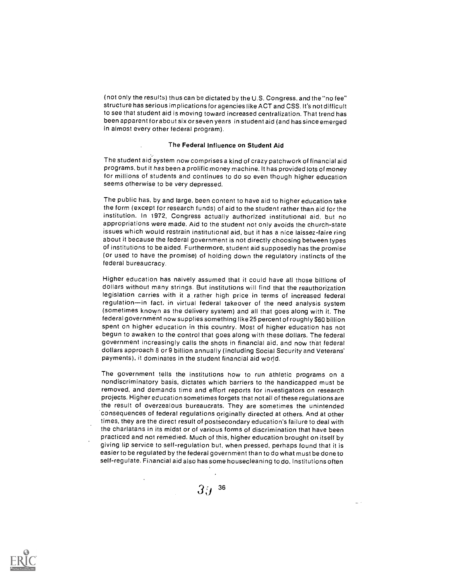(not only the results) thus can be dictated by the U.S. Congress, and the "no fee" structure has serious implications for agencies like ACT and CSS. It's not difficult to see that student aid is moving toward increased centralization. That trend has been apparent for about six or seven years in student aid (and has since emerged in almost every other federal program).

## The Federal Influence on Student Aid

The student aid system now comprises a kind of crazy patchwork of financial aid programs, but it has been a prolific money machine. It has provided lots of money for millions of students and continues to do so even though higher education seems otherwise to be very depressed.

The public has, by and large, been content to have aid to higher education take the form (except for research funds) of aid to the student rather than aid for the institution. In 1972, Congress actually authorized institutional aid, but no appropriations were made. Aid to the student not only avoids the church-state issues which would restrain institutional aid, but it has a nice laissez-faire ring about it because the federal government is not directly choosing between types of institutions to be aided. Furthermore, student aid supposedly has the promise (or used to have the promise) of holding down the regulatory instincts of the federal bureaucracy.

Higher education has naively assumed that it could have all those billions of dollars without many strings. But institutions will find that the reauthorization legislation carries with it a rather high price in terms of increased federal regulation-in fact, in virtual federal takeover of the need analysis system (sometimes known as the delivery system) and all that goes along with it. The federal government now supplies something like 25 percent of roughly S60 billion spent on higher education in this country. Most of higher education has not begun to awaken to the control that goes along with these dollars. The federal government increasingly calls the shots in financial aid, and now that federal dollars approach 8 or 9 billion annually (including Social Security and Veterans' payments). it dominates in the student financial aid world.

The government tells the institutions how to run athletic programs on a nondiscriminatory basis, dictates which barriers to the handicapped must be removed, and demands time and effort reports for investigators on research projects. Higher education sometimes forgets that not all of these regulations are the result of overzealous bureaucrats. They are sometimes the unintended consequences of federal regulations originally directed at others. And at other times, they are the direct result of postsecondary education's failure to deal with the charlatans in its midst or of various forms of discrimination that have been practiced and not remedied. Much of this, higher education brought on itself by giving lip service to self-regulation but, when pressed, perhaps found that it is easier to be regulated by the federal government than to do what must be done to self-regulate. Financial aid also has some housecleaning to do. Institutions often

 $3^{.4}$   $^{36}$ 

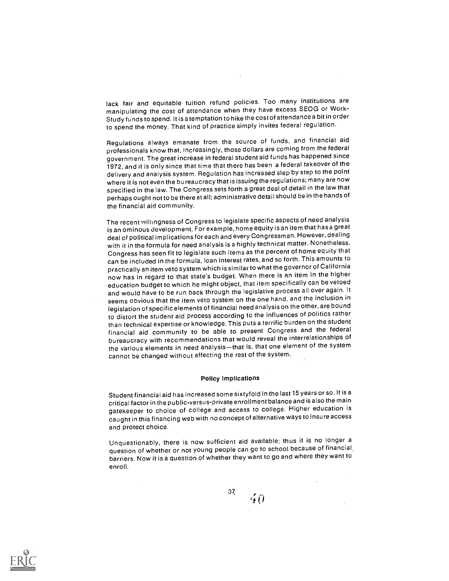lack fair and equitable tuition refund policies. Too many institutions are manipulating the cost of attendance when they have excess SEOG or Work-Study funds to spend. It is a temptation to hike the cost of attendance a bit in order to spend the money. That kind of practice simply invites federal regulation.

Regulations always emanate from the source of funds, and financial aid professionals know that, increasingly, those dollars are coming from the federal government. The great increase in federal student aid funds has happened since 1972, and it is only since that time that there has been a federal takeover of the delivery and analysis system. Regulation has increased step by step to the point where it is not even the bureaucracy that is issuing the regulations; many are now specified in the law. The Congress sets forth a great deal of detail in the law that perhaps ought not to be there at all; administrative detail should be in the hands of the financial aid community.

The recent willingness of Congress to legislate specific aspects of need analysis is an ominous development. For example, home equity is an item that has a great deal of political implications for each and every Congressman. However, dealing with it in the formula for need analysis is a highly technical matter. Nonetheless, Congress has seen fit to legislate such items as the percent of home equity that can be included in the formula, loan interest rates, and so forth. This amounts to practically an item veto system which is similar to what the governor of California now has in regard to that state's budget. When there is an item in the higher education budget to which he might object, that item specifically can be vetoed and would have to be run back through the legislative process all over again. It seems obvious that the item veto system on the one hand, and the inclusion in legislation of specific elements of financial need analysis on the other, are bound to distort the student aid process according to the influences of politics rather than technical expertise or knowledge. This puts a terrific burden on the student financial aid community to be able to present Congress and the federal bureaucracy with recommendations that would reveal the interrelationships of the various elements in need analysis-that is, that one element of the system cannot be changed without affecting the rest of the system.

## Policy Implications

Student financial aid has increased some sixtyf old in the last 15 years or so. It is a critical factor in the public-versus-private enrollment balance and is also the main gatekeeper to choice of college and access to college. Higher education is caught in this financing web with no concept of alternative ways to insure access and protect choice.

Unquestionably, there is now sufficient aid available; thus it is no longer a question of whether or not young people can go to school because of financial. barriers. Now it is a question of whether they want to go and where they want to enroll.



37,40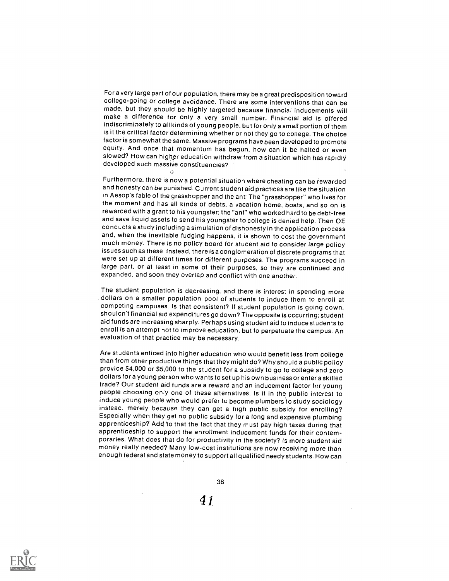For a very large part of our population, there may be a great predisposition toward college-going or college avoidance. There are some interventions that can be made, but they should be highly targeted because financial inducements will make a difference for only a very small number. Financial aid is offered indiscriminately to all kinds of young people, but for onlya small portion of them is it the critical factor determining whether or not they go to college. The choice factor is somewhat the same. Massive programs have been developed to promote equity. And once that momentum has begun, how can it be halted or even slowed? How can higher education withdraw from a situation which has rapidly developed such massive constituencies?

-ch

Furthermore, there is now a potential situation where cheating can be rewarded and honesty can be punished. Current student aid practices are like the situation in Aesop's fable of the grasshopper and the ant: The "grasshopper" who lives for the moment and has all kinds of debts, a vacation home, boats, and so on is rewarded with a grant to his youngster; the "ant" who worked hard to be debt-free and save liquid assets to send his youngster to college is denied help. Then OE conducts a study including a simulation of dishonesty in the application process and, when the inevitable fudging happens, it is shown to cost the government much money. There is no policy board for student aid to consider large policy issues such as these. Instead, there is a conglomeration of discrete programs that were set up at different times for different purposes. The programs succeed in large part, or at least in some of their purposes, so they are continued and expanded, and soon they overlap and conflict with one another.

The student population is decreasing, and there is interest in spending more . dollars on a smaller population pool of students to induce them to enroll at competing campuses. Is that consistent? If student population is going down, shouldn't financial aid expenditures go down? The opposite is occurring; student aid funds are increasing sharply. Perhaps using student aid to induce students to enroll is an attempt not to improve education, but to perpetuate the campus. An evaluation of that practice may be necessary.

Are students enticed into higher education who would benefit less from college than from other productive things that they might do? Why should a public policy provide \$4,000 or \$5,000 to the student for a subsidy to go to college and zero dollars for a young person who wants to set up his own business or enter a skilled trade? Our student aid funds are a reward and an inducement factor for young people choosing only one of these alternatives. Is it in the public interest to induce young people who would prefer to become plumbers to study sociology instead, merely because they can get a high public subsidy for enrolling? Especially when they get no public subsidy for a long and expensive plumbing apprenticeship? Add to that the fact that they must pay high taxes during that apprenticeship to support the enrollment inducement funds for their contemporaries. What does that do for productivity in the society? Is more student aid money really needed? Many low-cost institutions are now receiving more than enough federal and state money to support all qualified needy students. How can



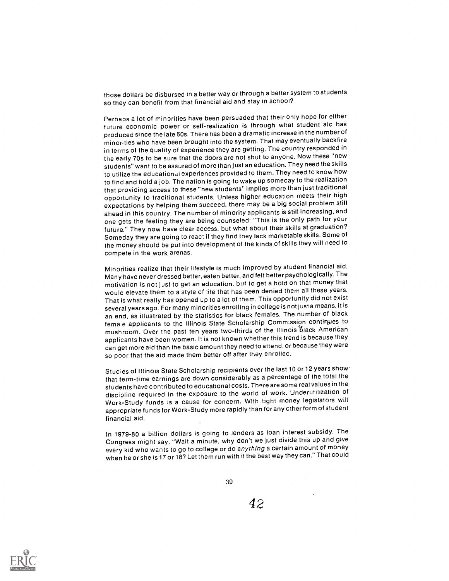those dollars be disbursed in a better way or through a better system to students so they can benefit from that financial aid and stay in school?

Perhaps a lot of minorities have been persuaded that their only hope for either future economic power or self-realization is through what student aid has produced since the late 60s. There has been a dramatic increase in the numberof minorities who have been brought into the system. That may eventually backfire in terms of the quality of experience they are getting. The country responded in the early 70s to be sure that the doors are not shut to anyone. Now these "new students" want to be assured of more than just an education. They need the skills to utilize the educational experiences provided to them. They need to know how to find and hold a job. The nation is going to wake up someday to the realization that providing access to these "new students" implies more than just traditional opportunity to traditional students. Unless higher education meets their high expectations by helping them succeed, there may be a big social problem still ahead in this country. The number of minority applicants is still increasing, and one gets the feeling they are being counseled: This is the only path for your future." They now have clear access, but what about their skills at graduation? Someday they are going to react if they find they lack marketableskills. Some of the money should be put into development of the kinds of skills they will need to compete in the work arenas.

Minorities realize that their lifestyle is much improved by student financial aid. Many have never dressed better, eaten better, and felt betterpsychologically. The motivation is not just to get an education, but to get a hold on that money that would elevate them to a style of life that has been denied them all these years. That is what really has opened up to a lot of them. This opportunity did not exist several years ago. For many minorities enrolling in college is not just a means, it is an end, as illustrated by the statistics for black females. The number of black female applicants to the Illinois State Scholarship Commission continues to mushroom. Over the past ten years two-thirds of the Illinois black American applicants have been women. It is not known whether this trend is because they can get more aid than the basic amount they need to attend, or because they were so poor that the aid made them better off after they enrolled.

Studies of Illinois State Scholarship recipients over the last 10 or 12 years show that term-time earnings are down considerably as a percentage of the total the students have contributed to educational costs. There are somereal values in the discipline required in the exposure to the world of work. Underutiiization of Work-Study funds is a cause for concern. With tight money legislators will appropriate funds for Work-Study more rapidly than for any other form of student financial aid.

In 1979-80 a billion dollars is going to lenders as loan interest subsidy. The Congress might say. "Wait a minute, why don't we just divide this up and give every kid who wants to go to college or do anything a certain amount of money when he or she is 17 or 18? Let them run with it the best way they can." That could



39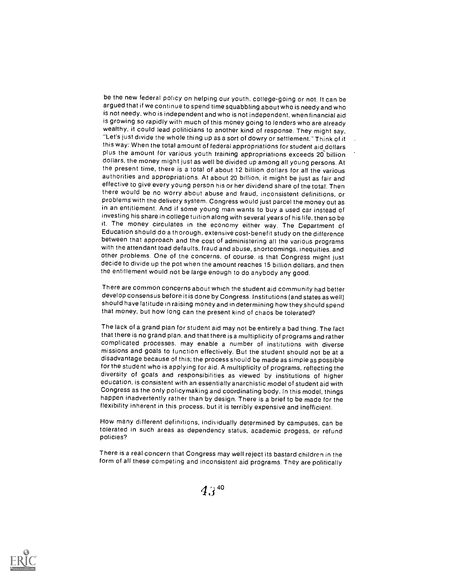be the new federal policy on helping our youth, college-going or not. It can be argued that if we continue to spend time squabbling about who is needy and who is not needy, who is independent and who is not independent, when financial aid is growing so rapidly with much of this money going to lenders who are already wealthy, it could lead politicians to another kind of response. They might say, "Let's just divide the whole thing up as a sort of dowry or settlement." Think of it this way: When the total amount of federal appropriations for student aid dollars plus the amount for various youth training appropriations exceeds 20 billion dollars, the money might just as well be divided up among all young persons. At the present time, there is a total of about 12 billion dollars for all the various authorities and appropriations. At about 20 billion, it might be just as fair and effective to give every young person his or her dividend share of the total. Then there would be no worry about abuse and fraud, inconsistent definitions, or problems with the delivery system. Congress would just parcel the money out as in an entitlement. And if some young man wants to buy a used car instead of investing his share in college tuition along with several years of his life, then so be it. The money circulates in the economy either way. The Department of Education should do a thorough, extensive cost-benefit study on the difference between that approach and the cost of administering all the various programs with the attendant load defaults, fraud and abuse, shortcomings, inequities. and other problems. One of the concerns, of course. is that Congress might just decide to divide up the pot when the amount reaches 15 billion dollars. and then the entitlement would not be large enough to do anybody any good.

There are common concerns about which the student aid community had better develop consensus before it is done by Congress. Institutions (and states as well) should have latitude in raising money and in determining how they should spend that money, but how long can the present kind of chaos be tolerated?

The lack of a grand plan for student aid may not be entirely a bad thing. The fact that there is no grand plan, and that there is a multiplicity of programs and rather complicated processes, may enable a number of institutions with diverse missions and goals to function effectively. But the student should not be at <sup>a</sup> disadvantage because of this; the process should be made as simple as possible for the student who is applying for aid. A multiplicity of programs, reflecting the diversity of goals and responsibilities as viewed by institutions of higher education, is consistent with an essentially anarchistic model of student aid with Congress as the only policymaking and coordinating body. In this model, things happen inadvertently rather than by design. There is a brief to be made for the flexibility inherent in this process. but it is terribly expensive and inefficient.

How many different definitions, individually determined by campuses, can be tolerated in such areas as dependency status, academic progess, or refund policies?

There is a real concern that Congress may well reject its bastard children in the form of all these competing and inconsistent aid programs. They are politically



 $4.3^{40}$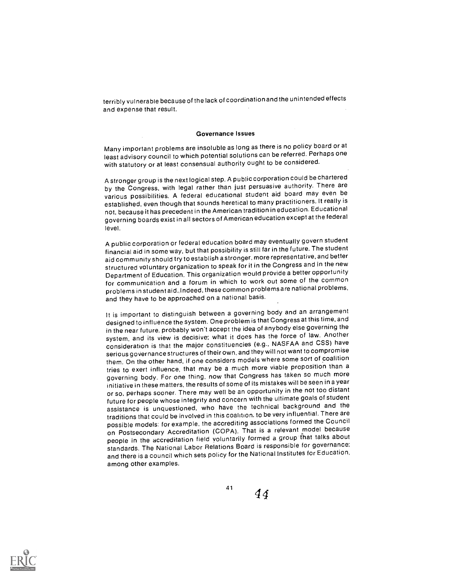terribly vulnerable because of the lack of coordinationandthe unintended effects and expense that result.

## Governance Issues

Many important problems are insoluble as long as there is no policy board or at least advisory council to which potential solutions can be referred. Perhaps one with statutory or at least consensual authority ought to be considered.

A stronger group is the next logical step. A public corporation could be chartered by the Congress, with legal rather than just persuasive authority. There are various possibilities. A federal educational student aid board may even be established, even though that sounds heretical to many practitioners. It really is not, because it has precedent in the American tradition in education. Educational governing boards exist in all sectors of American education except at the federal level.

A public corporation or federal education board may eventually govern student financial aid in some way, but that possibility is still far in the future. The student aid community should try to establish a stronger, more representative, and better structured voluntary organization to speak for it in the Congress and in the new Department of Education. This organization would provide a better opportunity for communication and a forum in which to work out some of the common problems in student aid..Indeed, these commonproblemsare national problems, and they have to be approached on a national basis.

It is important to distinguish between a governing body and an arrangement designed to influence the system. One problem is that Congress at this time, and in the near future. probably won't accept the idea of anybody else governing the system, and its view is decisive; what it does has the force of law. Another consideration is that the major constituencies (e.g., NASFAA and CSS) have serious governance structures of their own, and they will not want to compromise them. On the other hand, if one considers models where some sort of coalition tries to exert influence, that may be a much more viable proposition than a governing body. For one thing, now that Congress has taken so much more initiative in these matters, the results of some of its mistakes will be seen in a year or so, perhaps sooner. There may well be an opportunity in the not too distant future for people whose integrity and concern with the ultimate goals of student assistance is unquestioned, who have the technical background and the traditions that could be involved in this coalition, to be very influential. There are possible models: for example, the accrediting associations formed the Council on Postsecondary Accreditation (COPA). That is a relevant model because people in the accreditation field voluntarily formed a group that talks about standards. The National Labor Relations Board is responsible for governance; and there is a council which sets policy for the National Institutes for Education, among other examples.

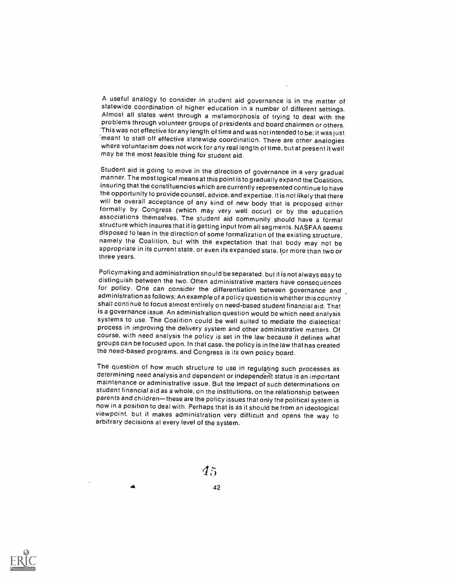A useful analogy to consider in student aid governance is in the matter of<br>statewide coordination of higher education in a number of different settings.<br>Almost all states went through a metamorphosis of trying to deal with problems through volunteer groups of presidents and board chairmen or others. This was not effective for any length of time and was not intended to be; it was just 'meant to stall off effective statewide coordination. There are other analogies where voluntarism does not work for any real length of time, but at present it well may be the most feasible thing for student aid.

Student aid is going to move in the direction of governance in a very gradual manner. The most logical means at this point is to gradually expand the Coalition, insuring that the constituencies which are currently represented continue to have will be overall acceptance of any kind of new body that is proposed either formally by Congress (which may very well occur) or by the education associations themselves. The student aid community should have a formal structure which insures that it is getting input from all segments. NASFAA seems disposed to lean in the direction of some formalization of the existing structure,<br>namely the Coalition, but with the expectation that that body may not be appropriate in its current state, or even its expanded state, for more than two or three years.

Policymaking and administration should be separated. but it is not always easy to distinguish between the two. Often administrative matters have consequences for policy. One can consider the differentiation between governance and administration as follows: An example of a policy question is whether this country shall continue to focus almost entirely on need-based student financial aid. That systems to use. The Coalition could be well suited to mediate the dialectical process in improving the delivery system and other administrative matters. Of course, with need analysis the policy is set in the law because it defines what groups can be focused upon. In that case, the policy is in the law that has created the need-based programs, and Congress is its own policy board.

The question of how much structure to use in regulating such processes as determining need analysis and dependent or independent status is an important maintenance or administrative issue. But the impact of such determinations on student financial aid as a whole, on the institutions,on the relationship between parents and children-these are the policy issues that only the political system is<br>now in a position to deal with. Perhaps that is as it should be from an ideological viewpoint, but it makes administration very difficult and opens the way to arbitrary decisions at every level of the system.

 $45\,$ 



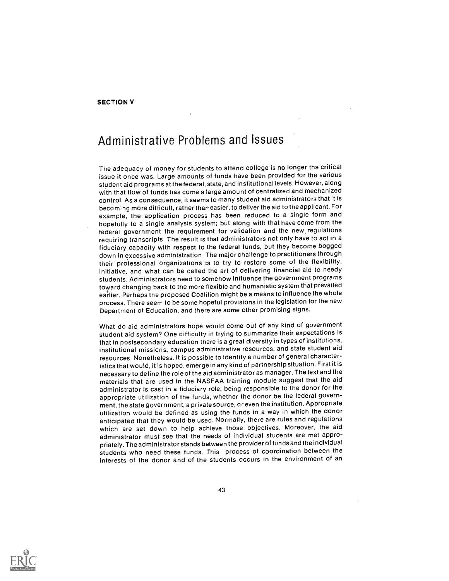# Administrative Problems and Issues

The adequacy of money for students to attend college is no longer the critical issue it once was. Large amounts of funds have been provided for the various student aid programs at the federal, state, and institutional levels. However, along with that flow of funds has come a large amount of centralized and mechanized control. As a consequence, it seems to many student aid administrators that it is becoming more difficult, rather thar easier, to deliver the aid to the applicant. For example, the application process has been reduced to a single form and hopefully to a single analysis system; but along with that have come from the federal government the requirement for validation and the new regulations requiring transcripts. The result is that administrators not only have to act in a fiduciary capacity with respect to the federal funds, but they become bogged down in excessive administration. The major challenge to practitioners through their professional organizations is to try to restore some of the flexibility, initiative, and what can be called the art of delivering financial aid to needy students. Administrators need to somehow influence the government programs toward changing back to the more flexible and humanistic system that prevailed earlier. Perhaps the proposed Coalition might be a means to influence the whole process. There seem to be some hopeful provisions in the legislation for the new Department of Education, and there are some other promising signs.

What do aid administrators hope would come out of any kind of government student aid system? One difficulty in trying to summarize their expectations is that in postsecondary education there is a great diversity in types of institutions, institutional missions, campus administrative resources, and state student aid resources. Nonetheless. it is possible to identify a number of general characteristics that would, it is hoped, emerge in any kind of partnership situation. First it is necessary to define the role of the aid administrator as manager. The text and the materials that are used in the NASFAA training module suggest that the aid administrator is cast in a fiduciary role, being responsible to the donor for the appropriate utilization of the funds, whether the donor be the federal government, the state government, a private source, or even the institution. Appropriate utilization would be defined as using the funds in a way in which the donor anticipated that they would be used. Normally, there are rules and regulations which are set down to help achieve those objectives. Moreover, the aid administrator must see that the needs of individual students are met appropriately. The administrator stands between the provider of funds and the individual students who need these funds. This process of coordination between the interests of the donor and of the students occurs in the environment of an

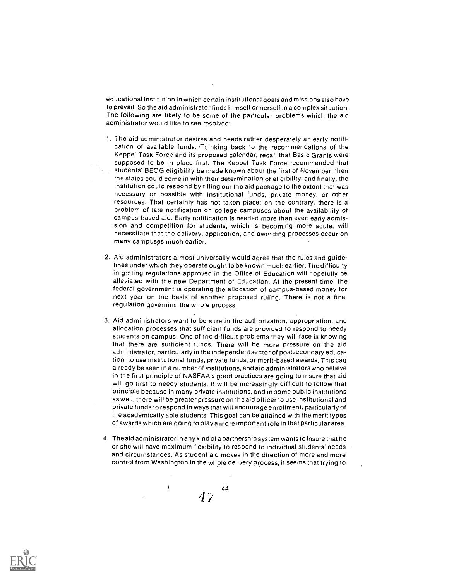educational institution in which certain institutional goals and missions also have to prevail. So the aid administrator finds himself or herself in a complex situation. The following are likely to be some of the particular problems which the aid administrator would like to see resolved:

- 1. The aid administrator desires and needs rather desperately an early notification of available funds. Thinking back to the recommendations of the Keppel Task Force and its proposed calendar, recall that Basic Grants were supposed to be in place first. The Keppel Task Force recommended that students' BEOG eligibility be made known about the first of November; then the states could come in with their determination of eligibility; and finally, the institution could respond by filling out the aid package to the extent that.was necessary or possible with institutional funds, private money, or other resources. That certainly has not taken place; on the contrary, there is a problem of late notification on college campuses about the availability of campus-based aid. Early notification is needed more than ever: early admission and competition for students, which is becoming more acute, will necessitate that the delivery, application, and awarding processes occur on many campuses much earlier.
- 2. Aid administrators almost universally would agree that the rules and guidelines under which they operate ought to be known much earlier. The difficulty in getting regulations approved in the Office of Education will hopefully be alleviated with the new Department of Education. At the present time, the federal government is operating the allocation of campus-based money for next year on the basis of another proposed ruling. There is not a final regulation governing the whole process.
- 3. Aid administrators want to be sure in the authorization, appropriation, and allocation processes that sufficient funds are provided to respond to needy students on campus. One of the difficult problems they will face is knowing that there are sufficient funds. There will be more pressure on the aid administrator, particularly in the independent sector of postsecondary education, to use institutional funds, private funds, or merit-based awards. This can already be seen in a number of institutions, and aid administratorswho believe in the first principle of NASFAA's good practices are going to insure that aid will go first to needy students. It will be increasingly difficult to follow that principle because in many private institutions, and in some public institutions as well, there will be greater pressure on the aid officer to use institutional and private funds to respond in ways that will encourage enrollment, particularly of the academically able students. This goal can be attained with the merit types of awards which are going to play a more important role in that particular area.
- 4. The aid administrator in any kind of a partnership system wants to insure that he or she will have maximum flexibility to respond to individual students' needs and circumstances. As student aid moves in the direction of more and more control from Washington in the whole delivery process, it seems that trying to

44  $47\,$ 

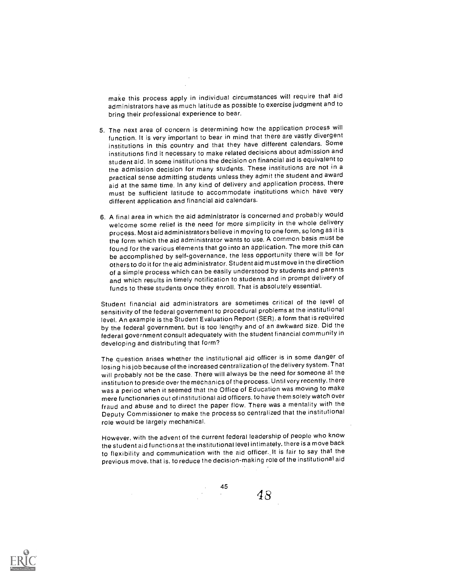make this process apply in individual circumstances will require that aid administrators have as much latitude as possible to exercise judgment and to bring their professional experience to bear.

- 5. The next area of concern is determining how the application process will function. It is very important to bear in mind that there are vastly divergent institutions in this country and that they have different calendars. Some institutions find it necessary to make related decisions about admission and student aid. In some institutions the decision on financial aid is equivalent to the admission decision for many students. These institutions are not in a practical sense admitting students unless they admit the student and award aid at the same time. In any kind of delivery and application process, there must be sufficient latitude to accommodate institutions which have very different application and financial aid calendars.
- 6. A final area in which the aid administrator is concerned and probably would welcome some relief is the need for more simplicity in the whole delivery process. Most aid administrators believe in moving to one form, so long as it is the form which the aid administrator wants to use. A common basis must be found for the various elements that go into an application. The more this can be accomplished by self-governance, the less opportunity there will be for others to do it for the aid administrator. Student aid must move in the direction of a simple process which can be easily understood by students and parents and which results in timely notification to students and in prompt delivery of funds to these students once they enroll. That is absolutely essential.

Student financial aid administrators are sometimes critical of the level of sensitivity of the federal government to procedural problems at the institutional level. An example is the Student Evaluation Report (SER). a form that is required by the federal government, but is too lengthy and of an awkward size. Did the federal government consult adequately with the student financial community in developing and distributing that form?

The question arises whether the institutional aid officer is in some danger of losing hisjob because of the increased centralization of the delivery system. That will probably not be the case. There will always be the need for someone at the institution to preside over the mechanics of the process. Until very recently, there was a period when it seemed that the Office of Education was moving to make mere functionaries out of institutional aid officers. to have them solely watch over fraud and abuse and to direct the paper flow. There was a mentality with the Deputy Commissioner to make the process so centralized that the institutional role would be largely mechanical.

However, with the advent of the current federal leadership of people who know the student aid functionsat the institutional level intimately, there is a move back to flexibility and communication with the aid officer.. It is fair to say that the previous move. that is. to reduce the decision-making role of the institutional aid

45

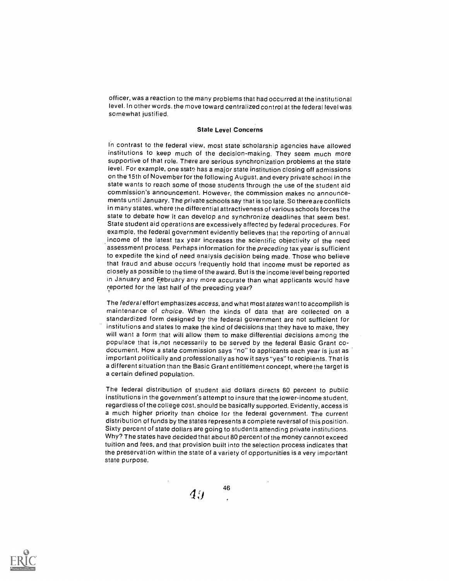officer, was a reaction to the many problems that had occurred at the institutional level. In other words, the move toward centralized control at the federal level was somewhat justified.

### State Level Concerns

In contrast to the federal view, most state scholarship agencies have allowed institutions to keep much of the decision-making. They seem much more supportive of that role. There are serious synchronization problems at the state level. For example, one state has a major state institution closing off admissions on the 15th of November for the following August, and every private school in the state wants to reach some of those students through the use of the student aid commission's announcement. However, the commission makes no announcements until January. The private schools say that is too late. So thereare conflicts in many states, where the differential attractiveness of various schools forces the state to debate how it can develop and synchronize deadlines that seem best. State student aid operations are excessively affected by federal procedures. For example, the federal government evidently believes that the reporting of annual income of the latest tax year increases the scientific objectivity of the need assessment process. Perhaps information for the preceding tax year is sufficient to expedite the kind of need analysis decision being made. Those who believe that fraud and abuse occurs frequently hold that income must be reported as closely as possible to the time of the award. But is the income level being reported in January and February any more accurate than what applicants would have reported for the last half of the preceding year?

The federal effort emphasizes access, and what most states want to accomplish is maintenance of choice. When the kinds of data that are collected on a standardized form designed by the federal government are not sufficient for institutions and states to make the kind of decisions that they have to make, they will want a form that will allow them to make differential decisions among the populace that isrnot necessarily to be served by the federal Basic Grant codocument. How a state commission says "no" to applicants each year is just as important politically and professionally as how it says "yes" to recipients. That is a different situation than the Basic Grant entitlement concept, where the target is a certain defined population.

The federal distribution of student aid dollars directs 60 percent to public institutions in the government's attempt to insure that the lower-income student, regardless of the college cost, should be basically supported. Evidently, access is a much higher priority than choice for the federal government. The current distribution of funds by the states represents a complete reversal of this position. Sixty percent of state dollars are going to students attending private institutions. Why? The states have decided that about 80 percent of the money cannot exceed tuition and fees, and that provision built into the selection process indicates that the preservation within the state of a variety of opportunities is a very important state purpose.

46

 $4.9$ 

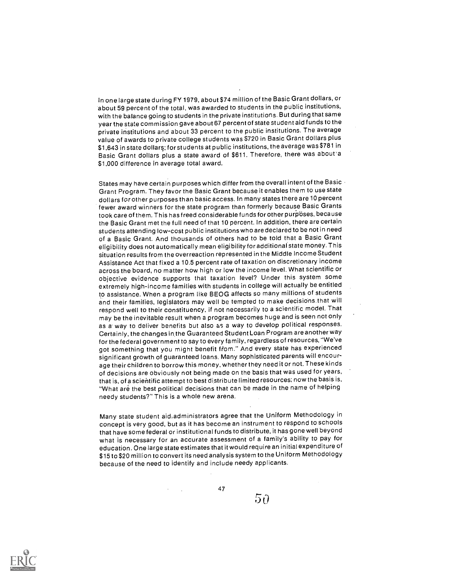In one large state during FY 1979, about \$74 million of the Basic Grant dollars, or about 59 percent of the total, was awarded to students in the public institutions, with the balance going to students in the private institutions. But during that same year the state commission gave about 67 percent of state student aid funds to the private institutions and about 33 percent to the public institutions. The average value of awards to private college students was \$720 in Basic Grant dollars plus \$1,643 in state dollars; for students at public institutions, the average was \$781 in Basic Grant dollars plus a state award of \$611. Therefore, there was about a \$1,000 difference in average total award.

States may have certain purposes which differ from the overall intent of the Basic  $\cdot$ Grant Program. They favor the Basic Grant because it enables them to use state dollars for other purposes than basic access, In many states there are 10 percent fewer award winners for the state program than formerly because Basic Grants took care of them. This has freed considerable funds for other purposes, because the Basic Grant met the full need of that 10 percent. In addition, there are certain students attending low-cost public institutions who are declared to be not in need of a Basic Grant. And thousands of others had to be told that a Basic Grant eligibility does not automatically mean eligibility for additional state money. This situation results from the overreaction represented in the Middle Income Student Assistance Act that fixed a 10.5 percent rate of taxation on discretionary income across the board, no matter how high or low the income level. What scientific or objective evidence supports that taxation level? Under this system some extremely high-income families with students in college will actually be entitled to assistance. When a program like BEOG affects so many millions of students and their families, legislators may well be tempted to make decisions that will respond well to their constituency, if not necessarily to a scientific model. That may be the inevitable result when a program becomes huge and is seen not only as a way to deliver benefits but also as a way to develop political responses. Certainly, the changes in the Guaranteed Student Loan Program are another way for the federal government to say to every family, regardless of resources, "We've got something that you might benefit ffom." And every state has experienced significant growth of guaranteed loans. Many sophisticated parents will encourage their children to borrow this money, whether they need it or not. These kinds of decisions are obviously not being made on the basis that was used for years, that is, of a scientific attempt to best distribute limited resources; now the basis is, "What are the best political decisions that can be made in the name of helping needy students?" This is a whole new arena.

Many state student aid.administrators agree that the Uniform Methodology in concept is very good, but as it has become an instrument to respond to schools that have some federal or institutional funds to distribute, it has gone well beyond what is necessary for an accurate assessment of a family's ability to pay for education. One large state estimates that it would require an initial expenditure of \$15 to \$20 million to convert its need analysis system to the Uniform Methodology because of the need to identify and include needy applicants.

47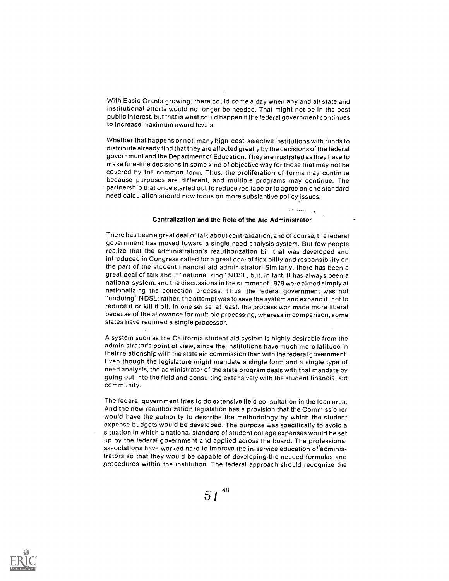With Basic Grants growing, there could come a day when any and all state and institutional efforts would no longer be needed. That might not be in the best public interest, but that is what could happen if the federal government continues to increase maximum award levels.

Whether that happens or not, many high-cost, selective institutions with funds to distribute already find that they are affected greatly by the decisions of the federal government and the Department of Education. They are frustrated as they have to make fine-line decisions in some kind of objective way for those that may not be covered by the common form. Thus, the proliferation of forms may continue because purposes are different, and multiple programs may continue. The partnership that once started out to reduce red tape or to agree on one standard need calculation should now focus on more substantive policy issues.

## Centralization and the Role of the Aid Administrator

There has been a great deal of talk about centralization, and of course, the federal government has moved toward a single need analysis system. But few people realize that the administration's reauthorization bill that was developed and introduced in Congress called for a great deal of flexibility and responsibility on the part of the student financial aid administrator. Similarly, there has been a great deal of talk about "nationalizing" NDSL, but, in fact, it has always been a national system, and the discussions in the summer of 1979 were aimed simply at nationalizing the collection process. Thus, the federal government was not "undoing" NDSL; rather, the attempt was to save the system and expand it, not to reduce it or kill it off. In one sense, at least, the process was made more liberal because of the allowance for multiple processing, whereas in comparison, some states have required a single processor.

A system such as the California student aid system is highly desirable from the administrator's point of view, since the institutions have much more latitude in their relationship with the state aid commission than with the federal government. Even though the legislature might mandate a single form and a single type of need analysis, the administrator of the state program deals with that mandate by going out into the field and consulting extensively with the student financial aid community.

The federal government tries to do extensive field consultation in the loan area. And the new reauthorization legislation has a provision that the Commissioner would have the authority to describe the methodology by which the student expense budgets would be developed. The purpose was specifically to avoid a situation in which a national standard of student college expenses would be set up by the federal government and applied across the board. The professional associations have worked hard to improve the in-service education of administrators so that they would be capable of developing the needed formulas and procedures within the institution. The federal approach should recognize the

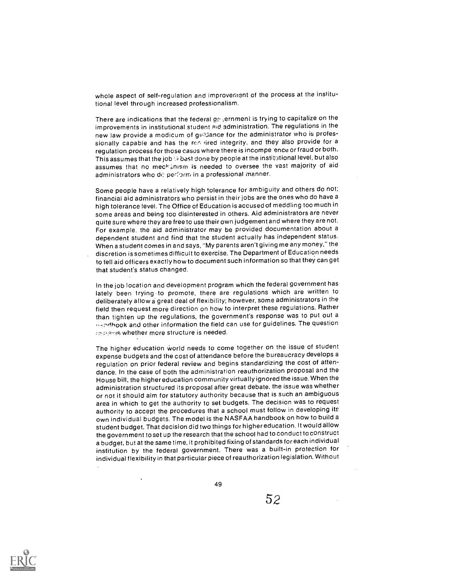whole aspect of self-regulation and improvement of the process at the institutional level through increased professionalism.

There are indications that the federal ge-sernment is trying to capitalize on the improvements in institutional student aid administration. The regulations in the new law provide a modicum of guildance for the administrator who is professionally capable and has the reductived integrity, and they also provide for a regulation process for those cases where there is incompe ence or fraud or both. This assumes that the job  $\otimes$  bast done by people at the institutional level, but also assumes that no meckanism is needed to oversee the vast majority of aid administrators who de perform in a professional manner.

Some people have a relatively high tolerance for ambiguity and others do not; financial aid administrators who persist in their jobs are the ones who do have a high tolerance level. The Office of Education is accused of meddling too much in some areas and being too disinterested in others. Aid administrators are never quite sure where they are free to use their own judgement and where they are not. For example. the aid administrator may be provided documentation about a dependent student and find that the student actually has independent status. When a student comes in and says, "My parents aren't giving me any money," the discretion is sometimes difficult to exercise. The Department of Education needs to tell aid officers exactly how to document such information so that they can get that student's status changed.

In the job location and development program which the federal government has lately been trying to promote, there are regulations which are written to deliberately allow a great deal of flexibility; however, some administrators in the field then request more direction on how to interpret these regulations. Rather than tighten up the regulations, the government's response was to put out a usedhook and other information the field can use for guidelines. The question zowers whether more structure is needed.

The higher education world needs to come together on the issue of student expense budgets and the cost of attendance before the bureaucracy develops a regulation on prior federal review and begins standardizing the cost of attendance. In the case of both the administration reauthorization proposal and the House bill, the higher education community virtually ignored the issue. When the administration structured its proposal after great debate, the issue was whether or not it should aim for statutory authority because that is such an ambiguous area in which to get the authority to set budgets. The decision was to request authority to accept the procedures that a school must follow in developing its own individual budgets. The model is the NASFAA handbook on how to build a student budget. That decision did two things for higher education. It would allow the government to set up the research that the school had to conduct to construct a budget, but at the same time, it prohibited fixing of standards for each individual institution by the federal government. There was a built-in protection for individual flexibility in that particular piece of reauthorization legislation. Without

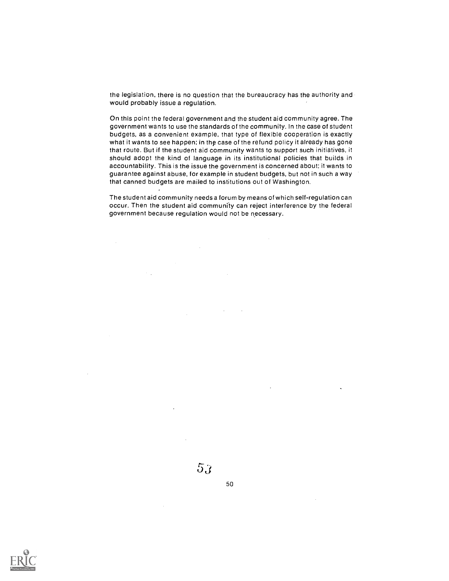the legislation, there is no question that the bureaucracy has the authority and would probably issue a regulation.

On this point the federal government and the student aid community agree. The government wants to use the standards of the community. In the case of student budgets, as a convenient example, that type of flexible cooperation is exactly what it wants to see happen; in thp case of the refund policy it already has gone that route. But if the student aid community wants to support such initiatives, it should adopt the kind of language in its institutional policies that builds in accountability. This is the issue the government is concerned about: it wants to guarantee against abuse, for example in student budgets, but not in such a way that canned budgets are mailed to institutions out of Washington.

The student aid community needs a forum by means of which self-regulation can occur. Then the student aid community can reject interference by the federal government because regulation would not be necessary.

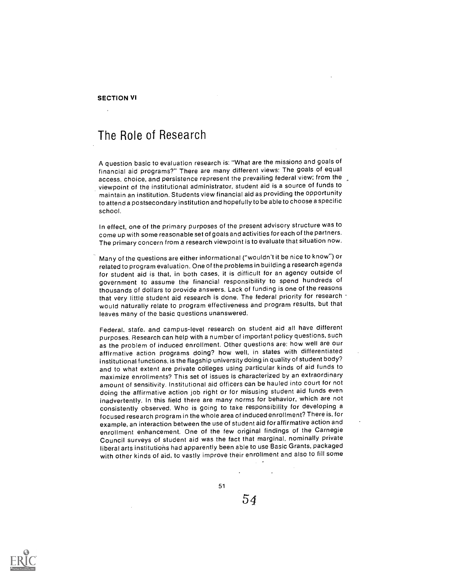SECTION VI

# The Role of Research

A question basic to evaluation research is: "What are the missions and goals of financial aid programs?" There are many different views: The goals of equal access, choice, and persistence represent the prevailing federal view; from the viewpoint of the institutional administrator, student aid is a source of funds to maintain an institution. Students view financial aid as providing the opportunity to attend a postsecondary institution and hopefully to be able to choose a specific school.

In effect, one of the primary purposes of the present advisory structure was to come up with some reasonable set of goals and activities for each of the partners. The primary concern from a research viewpoint is to evaluate that situation now.

Many of the questions are either informational ("wouldn't it be nice to know") or related to program evaluation. One of the problems in building a research agenda for student aid is that, in both cases, it is difficult for an agency outside of government to assume the financial responsibility to spend hundreds of thousands of dollars to provide answers. Lack of funding is one of the reasons that very little student aid research is done. The federal priority for research would naturally relate to program effectiveness and program results, but that leaves many of the basic questions unanswered.

Federal, state, and campus-level research on student aid all have different purposes. Research can help with a number of important policy questions, such as the problem of induced enrollment. Other questions are: how well are our affirmative action programs doing? how well, in states with differentiated institutional functions, is the flagship university doing in quality of student body? and to what extent are private colleges using particular kinds of aid funds to maximize enrollments? This set of issues is characterized by an extraordinary amount of sensitivity. Institutional aid officers can be hauled into court for not doing the affirmative action job right or for misusing student aid funds even inadvertently. In this field there are many norms for behavior, which are not consistently observed. Who is going to take responsibility for developing a focused research program in the whole area of induced enrollment? There is, for example, an interaction between the use of student aid for affirmative action and enrollment enhancement. One of the few original findings of the Carnegie Council surveys of student aid was the fact that marginal, nominally private liberal arts institutions had apparently been able to use Basic Grants, packaged with other kinds of aid, to vastly improve their enrollment and also to fill some

51

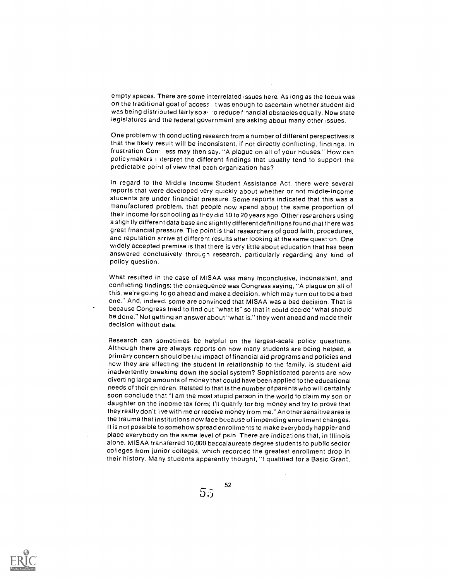empty spaces. There are some interrelated issues here. As long as the focus was on the traditional goal of access t was enough to ascertain whether student aid was being distributed fairly so  $a - 0$  reduce financial obstacles equally. Now state legislatures and the federal government are asking about many other issues.

One problem with conducting research from a number of different perspectives is that the likely result will be inconsistent, if not directly conflicting, findings. In frustration Con ess may then say, "A plague on all of your houses." How can policymakers interpret the different findings that usually tend to support the predictable point of view that each organization has?

In regard to the Middle Income Student Assistance Act, there were several reports that were developed very quickly about whether or not middle-income students are under financial pressure. Some reports indicated that this was a manufactured problem, that people now spend about the same proportion of their income for schooling as they did 10 to 20 years ago. Other researchers using a slightly different data base and slightly different definitions found that there was great financial pressure. The point is that researchers of good faith, procedures, and reputation arrive at different results after looking at the same question. One widely accepted premise is that there is very little about education that has been answered conclusively through research, particularly regarding any kind of policy question.

What resulted in the case of MISAA was many inconclusive, inconsistent, and conflicting findings; the consequence was Congress saying, "A plague on all of this, we're going to go ahead and make a decision, which may turn out to be a bad one." And, indeed, some are convinced that MISAA was a bad decision. That is because Congress tried to find out "what is" so that it could decide "what should be done." Not getting an answer about "what is," they went ahead and made their decision without data.

Research can sometimes be helpful on the largest-scale policy questions. Although there are always reports on how many students are being helped, a primary concern should be the impact of financial aid programs and policies and how they are affecting the student in relationship to the family. Is student aid inadvertently breaking down the social system? Sophisticated parents are now diverting large amounts of money that could have been applied to the educational needs of their children. Related to that is the number of parents who will certainly soon conclude that "I am the most stupid person in the world to claim my son or daughter on the income tax form; I'll qualify for big money and try to prove that they really don't live with me or receive money from me." Another sensitive area is the trauma that institutions now face because of impending enrollment changes. It is not possible to somehow spread enrollments to make everybody happierand place everybody on the same level of pain. There are indications that, in Illinois alone, MISAA transferred 10,000 baccalaureate degree students to public sector colleges from junior colleges, which recorded the greatest enrollment drop in their history. Many students apparently thought, "I qualified for a Basic Grant,

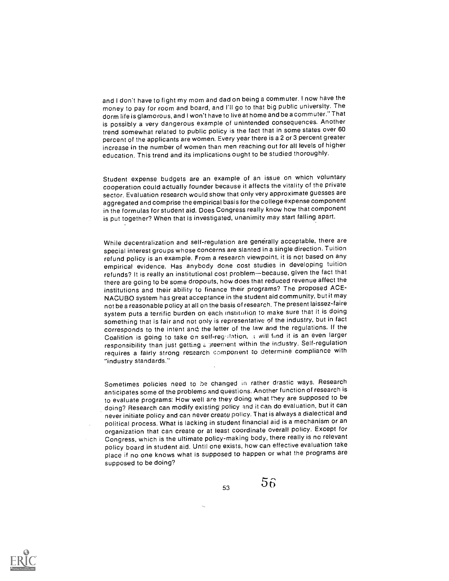and I don't have to fight my mom and dad on being a commuter. I now have the money to pay for room and board, and I'll go to that big public university. The dorm life is glamorous, and I won't have to live at home and be a commuter." That is possibly a very dangerous example of unintended consequences. Another trend somewhat related to public policy is the fact that in some states over 60 percent of the applicants are women. Every year there is a 2 or 3 percent greater increase in the number of women than men reaching out for all levels of higher education. This trend and its implications ought to be studied thoroughly.

Student expense budgets are an example of an issue on which voluntary cooperation could actually founder because it affects the vitality of the private sector. Evaluation research would show that only very approximate guesses are aggregated and comprise the empirical basis for the college expense component in the formulas for student aid. Does Congress really know how that component is put together? When that is investigated, unanimity may start falling apart.

While decentralization and self-regulation are generally acceptable, there are special interest groups whose concerns are slanted in a single direction. Tuition refund policy is an example. From a research viewpoint, it is not based on any empirical evidence. Has anybody done cost studies in developing tuition refunds? It is really an institutional cost problem-because, given the fact that there are going to be some dropouts, how does that reduced revenue affect the institutions and their ability to finance their programs? The proposed ACE-NACUBO system has great acceptance in the student aid community, but it may not be a reasonable policy at all on the basis of research. The present laissez-faire system puts a terrific burden on each institution to make sure that it is doing something that is fair and not only is representative 9f the industry, but in fact corresponds to the intent and the letter of the law and the regulations. If the Coalition is going to take on self-regulation, a will fund it is an even larger responsibility than just getting a greement within the industry. Self-regulation requires a fairly strong research component to determine compliance with "industry standards."

Sometimes policies need to be changed in rather drastic ways. Research anticipates some of the problems and questions. Another function of research is to evaluate programs: How well are they doing what t'ney are supposed to be doing? Research can modify existing policy and it can do evaluation, but it can never initiate policy and can never create policy. That is always a dialectical and political process. What is lacking in student financial aid is a mechanism or an organization that can create or at least coordinate overall policy. Except for Congress, which is the ultimate policy-making body, there really is no relevant policy board in student aid. Until one exists, how can effective evaluation take place if no one knows what is supposed to happen or what the programs are supposed to be doing?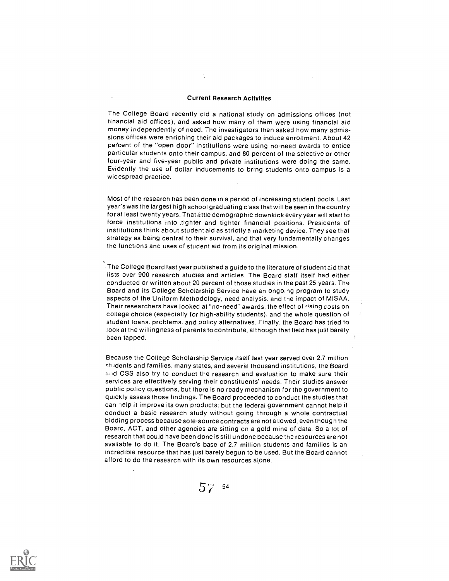#### Current Research Activities

The College Board recently did a national study on admissions offices (not financial aid offices), and asked how many of them were using financial aid money independently of need. The investigators then asked how many admissions offices were enriching their aid packages to induce enrollment. About 42 percent of the "open door" institutions were using no-need awards to entice particular students onto their campus, and 80 percent of the selective or other four-year and five-year public and private institutions were doing the same. Evidently the use of dollar inducements to bring students onto campus is a widespread practice.

Most of the research has been done in a period of increasing student pools. Last year's was the largest high school graduating class that will be seen in the country for at least twenty years. That little demographic downkick every year will start to force institutions into tighter and tighter financial positions. Presidents of institutions think about student aid as strictly a marketing device. They see that strategy as being central to their survival, and that very fundamentally changes the functions and uses of student aid from its original mission.

The College Board last year published a guide to the literature of student aid that lists over 900 research studies and articles. The Board staff itself had either conducted or written about 20 percent of those studies in the past 25 years. The Board and its College Scholarship Service have an ongoing program to study aspects of the Uniform Methodology, need analysis, and the impact of MISAA. Their researchers have looked at "no-need" awards, the effect of rising costs on college choice (especially for high-ability students), and the whole question of student loans, problems, and policy alternatives. Finally, the Board has tried to look at the willingness of parents to contribute, although that field has just barely been tapped.

Because the College Scholarship Service itself last year served over 2.7 million .tridents and families, many states, and several thousand institutions, the Board and CSS also try to conduct the research and evaluation to make sure their services are effectively serving their constituents' needs. Their studies answer public policy questions, but there is no ready mechanism for the government to quickly assess those findings. The Board proceeded to conduct the studies that can help it improve its own products; but the federal government cannot help it conduct a basic research study without going through a whole contractual bidding process because sole-source contracts are not allowed, even though the Board. ACT, and other agencies are sitting on a gold mine of data. So a lot of research that could have been done is still undone because the resources are not available to do it. The Board's base of 2.7 million students and families is an incredible resource that has just barely begun to be used. But the Board cannot afford to do the research with its own resources alone.

 $57^{4}$  54

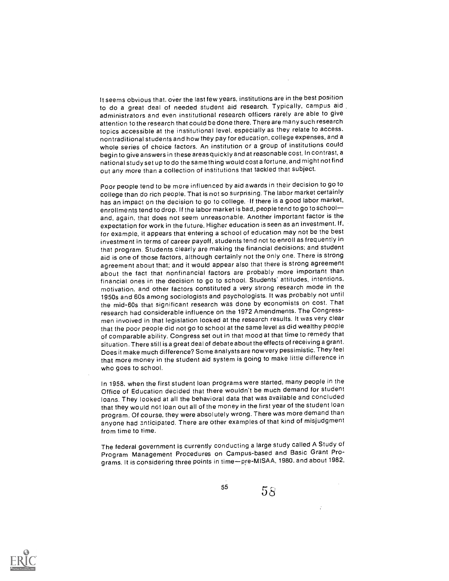It seems obvious that, over the last few years, institutions are in the best position to do a great deal of needed student aid research. Typically, campus aid administrators and even institutional research officers rarely are able to give attention to the research that could be done there. There are many such research topics accessible at the institutional level, especially as they relate to access. nontraditional students and how they pay for education, college expenses, and a whole series of choice factors. An institution or a group of institutions could begin to give answers in these areasquickly and at reasonable cost. In contrast, a national study set up to do the same thing would cost a fortune, and might not find out any more than a collection of institutions that tackled that subject.

Poor people tend to be more influenced by aid awards in their decision to go to college than do rich people. That is not so surprising. The labor market certainly has an impact on the decision to go to college. If there is a good labor market, enrollments tend to drop. If the labor market is bad, people tend to go toschool and, again, that does not seem unreasonable. Another important factor is the expectation for work in the future. Higher education is seen as an investment. If, for example, it appears that entering a school of education may not be the best investment in terms of career payoff, students tend not to enroll as frequently in that program. Students clearly are making the financial decisions; and student aid is one of those factors, although certainly not the only one. There is strong agreement about that; and it would appear also that there is strong agreement about the fact that nonfinancial factors are probably more important than financial ones in the decision to go to school. Students' attitudes, intentions, motivation, and other factors constituted a very strong research mode in the 1950s and 60s among sociologists and psychologists. It was probably not until the mid-60s that significant research was done by economists on cost. That research had considerable influence on the 1972 Amendments. The Congressmen involved in that legislation looked at the research results. It was very clear that the poor people did not go to school at the same level as did wealthy people of comparable ability. Congress set out in that mood at that time to remedy that situation. There still is a great deal of debate about the effects of receiving a grant. Does it make much difference? Some analysts are nowvery pessimistic. They feel that more money in the student aid system is going to make little difference in who goes to school.

In 1958. when the first student loan programs were started, many people in the Office of Education decided that there wouldn't be much demand for student loans. They looked at all the behavioral data that was available and concluded that they would not loan out all of the money in the first year of the student loan program. Of course, they were absolutely wrong. There was more demand than anyone had anticipated. There are other examples of that kind of misjudgment from time to time.

The federal government is currently conducting a large study called A Study of Program Management Procedures on Campus-based and Basic Grant Programs. It is considering three points in time-pre-MISAA, 1980. and about 1982,



 $5^5$  58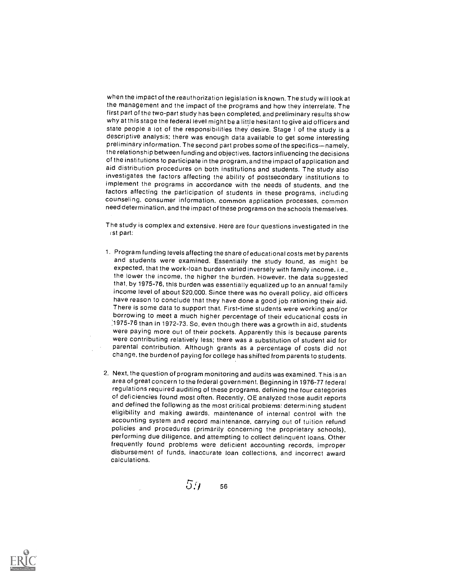when the impact of the reauthorization legislation is known. The study will look at the management and the impact of the programs and how they interrelate. The first part of the two-part study has been completed, and preliminary results show why at this stage the federal level might be a little hesitant to give aid officers and state people a lot of the responsibilities they desire. Stage I of the study is a descriptive analysis: there was enough data available to get some interesting preliminary information. The second part probes some of the specifics-namely, the relationship between funding and objectives, factors influencing the decisions of the institutions to participate in the program, and the impact of application and aid distribution procedures on both institutions and students. The study also investigates the factors affecting the ability of postsecondary institutions to implement the programs in accordance with the needs of students, and the factors affecting the participation of students in these programs, including counseling, consumer information, common application processes, common need determination, and the impact of these programs on the schools themselves.

The study is complex and extensive. Here are four questions investigated in the ist part:

- 1. Program funding levels affecting the share of educational costs met by parents and students were examined. Essentially the study found, as might be expected, that the work-loan burden varied inversely with family income, i.e., the lower the income, the higher the burden. However, the data suggested that, by 1975-76, this burden was essentially equalized up to an annual family income level of about \$20,000. Since there was no overall policy, aid officers have reason to conclude that they have done a good job rationing their aid. There is some data to support that. First-time students were working and/or borrowing to meet a much higher percentage of their educational costs in :1975-76 than in 1972-73. So, even though there was a growth in aid, students were paying more out of their pockets. Apparently this is because parents were contributing relatively less; there was a substitution of student aid for parental contribution. Although grants as a percentage of costs did not change, the burden of paying for college hasshifted from parents to students.
- 2. Next, the question of program monitoring and audits was examined. This is an area of great concern to the federal government. Beginning in 1976-77 federal regulations required auditing of these programs, defining the four categories of deficiencies found most often. Recently, OE analyzed those audit reports and defined the following as the most critical problems: determining student eligibility and making awards, maintenance of internal control with the accounting system and record maintenance, carrying out of tuition refund policies and procedures (primarily concerning the proprietary schools), performing due diligence, and attempting to collect delinquent loans. Other frequently found problems were deficient accounting records, improper disbursement of funds, inaccurate loan collections, and incorrect award calculations.

 $5.7$ 56

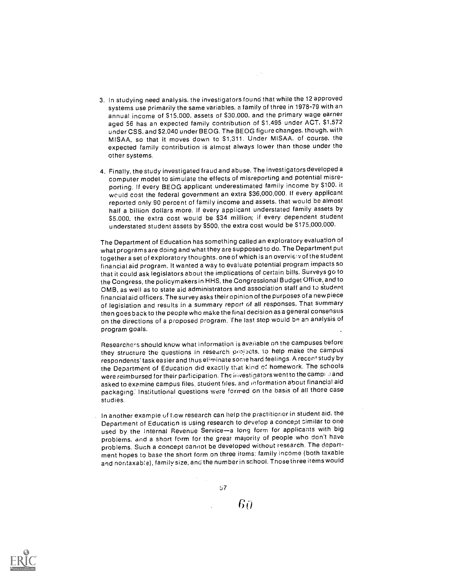- 3. In studying need analysis, the investigators found that while the 12 approved systems use primarily the same variables, a family of three in 1978-79 with an annual income of 515,000, assets of 530,000, and the primary wage earner aged 56 has an expected family contribution of \$1,495 under ACT, 51,572 under CSS, and 52,040 under BEOG. The BEOG figure changes, though, with MISAA, so that it moves down to 51,311. Under MISAA, of course, the expected family contribution is almost always lower than those under the other systems.
- 4. Finally, the study investigated fraud and abuse. The investigators developed a computer model to simulate the effects of misreporting and potential misreporting. If every BEOG applicant underestimated family income by \$100, it would cost the federal government an extra \$36,000,000. If every applicant reported only 90 percent of family income and assets, that would be almost half a billion dollars more. If every applicant understated family assets by 55,000, the extra cost would be 534 million: if every dependent student understated student assets by 5500, the extra cost would be \$175,000,000.

The Department of Education has something called an exploratory evaluation of what programs are doing and what they are supposed to do. The Department put together a set of exploratory thoughts, one of which is an overviety of the student financial aid program. It wanted a way to evaluate potential program impacts so that it could ask legislators about the implications of certain bills. Surveys go to the Congress, the policymakers in HHS, the Congressional Budget Office, and to OMB, as well as to state aid administrators and association staff and to student financial aid officers. The survey asks their opinion of the purposes of a new piece of legislation and results in a summary report of all responses. That summary then goes back to the people who make the final decision as a general consensus on the directions of a proposed program. The last step would be an analysis of program goals.

Researchers should know what information is available on the campuses before they structure the questions in research projects, to help make the campus respondents' task easier and thus eliminate some hard feelings. A recent study by the Department of Education did exactly that kind ef homework. The schools were reimbursed for their participation. The investigators went to the campide and asked to examine campus files, ztudent files, and information about financial aid packaging: Institutional questions were formed on the basis of all those case studies.

In another example of Low research can help the practitioner in student aid, the Department of Education is using research to develop a concept similar to one used by the Internal Revenue Service-a long form for applicants with big problems, and a short form for the great majority of people who don't have problems. Such a concept cannot be developed without research. The department hopes to base the short form on three items: family income (both taxable and nontaxab:e), family size, and the number in school. Those three items would



67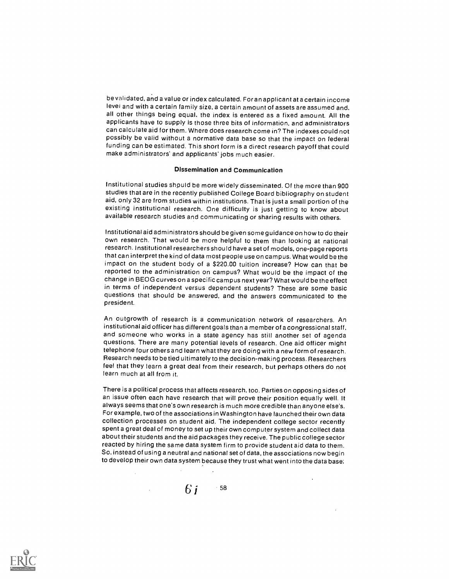be validated, and a value or index calculated. For an applicant at a certain income level and with a certain family size, a certain amount of assets are assumed and, all other things being equal, the index is entered as a fixed amount. All the applicants have to supply is those three bits of information, and administrators can calculate aid for them. Where does research come in? The indexes could not possibly be valid without a normative data base so that the impact on federal funding can be estimated. This short form is a direct research payoff that could make administrators' and applicants' jobs much easier.

# Dissemination and Communication

Institutional studies should be more widely disseminated. Of the more than 900 studies that are in the recently published College Board bibliography on student aid, only 32 are from studies within institutions. That is just a small portion of the existing institutional research. One difficulty is just getting to know about available research studies and communicating or sharing results with others.

Institutional aid administrators should be given some guidance on how to do their own research. That would be more helpful to them than looking at national research. Institutional researchers should have a set of models, one-page reports that can interpret the kind of data most people use on campus. What would be the impact on the student body of a \$220.00 tuition increase? How can that be reported to the administration on campus? What would be the impact of the change in BEOG curves on a specific campus next year? What would be the effect in terms of independent versus dependent students? These are some basic questions that should be answered, and the answers communicated to the president.

An outgrowth of research is a communication network of researchers. An institutional aid officer has different goals than a member of a congressional staff, and someone who works in a state agency has still another set of agenda questions. There are many potential levels of research. One aid officer might telephone four others and learn what they are doing with a new form of research. Research needs to be tied ultimately to the decision-making process. Researchers feel that they learn a great deal from their research, but perhaps others do not learn much at all from it.

There is a political process that affects research, too. Parties on opposing sides of an issue often each have research that will prove their position equally well. It always seems that one's own research is much more credible than anyone else's. For example, two of the associations in Washington have launched their own data collection processes on student aid. The independent college sector recently spent a great deal of money to set up their own computer system and collect data about their students and the aid packages they receive. The public college sector reacted by hiring the same data system firm to provide student aid data to them. So, instead of using a neutral and national set of data, the associations now begin to develop their own data system because they trust what went into the data base;

6 i  $\cdot$  58

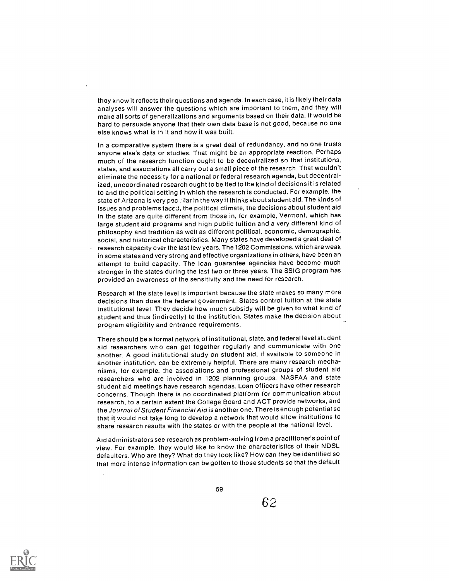they know it reflects their questions and agenda. In each case, it is likely their data analyses will answer the questions which are important to them, and they will make all sorts of generalizations and arguments based on their data. It would be hard to persuade anyone that their own data base is not good, because no one else knows what is in it and how it was built.

In a comparative system there is a great deal of redundancy, and no one trusts anyone else's data or studies. That might be an appropriate reaction. Perhaps much of the research function ought to be decentralized so that institutions, states, and associations all carry out a small piece of the research. That wouldn't eliminate the necessity for a national or federal research agenda, but decentralized, uncoordinated research ought to be tied to the kind of decisions it is related to and the political setting in which the research is conducted. For example, the state of Arizona is very pec :liar in the way it thinks about student aid. The kinds of issues and problems face J, the political climate, the decisions about student aid in the state are quite different from those in, for example, Vermont, which has large student aid programs and high public tuition and a very different kind of philosophy and tradition as well as different political, economic, demographic, social, and historical characteristics. Many states have developed a great deal of research capacity over the last few years. The 1202 Commissions, which are weak

in some states and very strong and effective organizations in others, have been an attempt to build capacity. The loan guarantee agencies have become much stronger in the states during the last two or three years. The SSIG program has provided an awareness of the sensitivity and the need for research.

Research at the state level is important because the state makes so many more decisions than does the federal government. States control tuition at the state institutional level. They decide how much subsidy will be given to what kind of student and thus (indirectly) to the institution. States make the decision about program eligibility and entrance requirements.

There should be a formal network of institutional, state, and federal level student aid researchers who can get together regularly and communicate with one another. A good institutional study on student aid, if available to someone in another institution, can be extremely helpful. There are many research mechanisms, for example, the associations and professional groups of student aid researchers who are involved in 1202 planning groups. NASFAA and state student aid meetings have research agendas. Loan officers have other research concerns. Though there is no coordinated platform for communication about research, to a certain extent the College Board and ACT provide networks, and the Journa; of Student Financial Aid is another one. There is enough potential so that it would not take long to develop a network that would allow institutions to share research results with the states or with the people at the national level.

Aid administrators see research as problem-solving from a practitioner's point of view. For example, they would like to know the characteristics of their NDSL defaulters. Who are they? What do they look like? How can they be identified so that more intense information can be gotten to those students so that the default

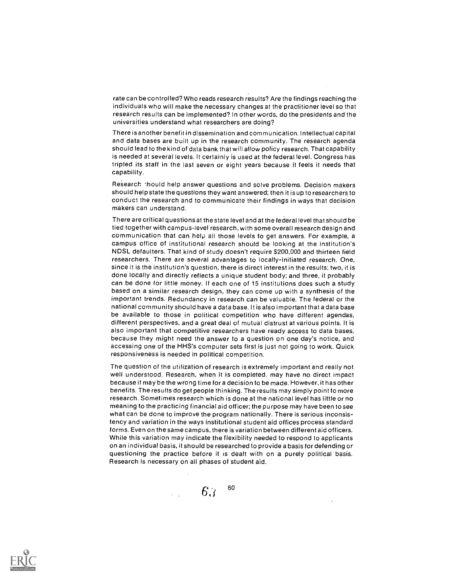rate can be controlled? Who reads research results? Are the findings reaching the individuals who will make the necessary changes at the practitioner level so that research results can be implemented? In other words, do the presidents and the universities understand what researchers are doing?

There is another benefit in dissemination and communication. Intellectual capital and data bases are built up in the research community. The research agenda should lead to the kind of data bank that will allow policy research. That capability is needed at several levels. It certainly is used at the federal level. Congress has tripled its staff in the last seven or eight years because it feels it needs that capability.

Research :hould help answer questions and solve problems. Decision makers should help state the questions they want answered; then it is up to researchers to conduct the research and to communicate their findings in ways that decision makers can understand.

There are critical questions at the state level and at the federal level that should be tied together with campus-level research, with some overall research design and communication that can help all those levels to get answers. For example, a campus office of institutional research should be looking at the institution's NDSL defaulters. That kind of study doesn't require \$200,000 and thirteen field researchers. There are several advantages to locally-initiated research. One, since it is the institution's question, there is direct interest in the results; two, it is done locally and directly reflects a unique student body; and three, it probably can be done for little money. If each one of 15 institutions does such a study based on a similar research design, they can come up with a synthesis of the important trends. Redundancy in research can be valuable. The federal or the national community should have a data base. It is also important that a data base be available to those in political competition who have different agendas, different perspectives, and a great deal of mutual distrust at various points. It is also important that competitive researchers have ready access to data bases, because they might need the answer to a question on one day's notice, and accessing one of the HHS's computer sets first is just not going to work. Quick responsiveness is needed in political competition.

The question of the utilization of research is extremely important and really not well understood. Research, when it is completed. may have no direct impact because it may be the wrong time for a decision to be made. However, it has other benefits. The results do get people thinking. The results may simply point to more research. Sometimes research which is done at the national level has little or no meaning to the practicing financial aid officer; the purpose may have been to see what can be done to improve the program nationally. There is serious inconsistency and variation in the ways institutional student aid offices process standard forms. Even on the same campus, there is variation between different aid officers. While this variation may indicate the flexibility needed to respond to applicants on an individual basis, it should be researched to provide a basis for defending or questioning the practice before it is dealt with on a purely political basis. Research is necessary on all phases of student aid.

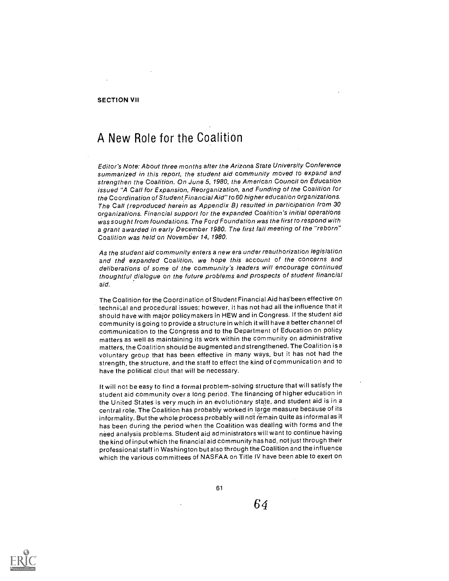## SECTION VII

# A New Role for the Coalition

Editor's Note: About three months after the Arizona State University Conference summarized in this report, the student aid community moved to expand and strengthen the Coalition. On June 5, 1980, the American Council on Education issued "A Call for Expansion, Reorganization, and Funding of the Coalition for the Coordination of Student Financial Aid" to 60 higher education organizations. The Call (reproduced herein as Appendix B) resulted in participation from 30 organizations. Financial support for the expanded Coalition's initial operations was sought from foundations. The Ford Foundation was the first to respond with a grant awarded in early December 1980. The first fall meeting of the "reborn" Coalition was held on November 14, 1980.

As the student aid community enters a new era under reauthorization legislation and the expanded Coalition, we hope this account of the concerns and deliberations of some of the community's leaders will encourage continued thoughtful dialogue on the future problems and prospects of student financial aid.

The Coalition for the Coordination of Student Financial Aid has'been effective on technical and procedural issues; however, it has not had all the influence that it should have with major policymakers in HEW and in Congress. If the student aid community is going to provide a structure in which it will have a better channel of communication to the Congress and to the Department of Education on policy matters as well as maintaining its work within the community on administrative matters, the Coalition should be augmented and strengthened. The Coalition is a voluntary group that has been effective in many ways, but it has not had the strength, the structure, and the staff to effect the kind of communication and to have the political clout that will be necessary.

It will not be easy to find a formal problem-solving structure that will satisfy the student aid community over a long period. The financing of higher education in the United States is very much in an evolutionary state, and student aid is in a central role. The Coalition has probably worked in large measure because of its informality. But the whole process probably will not remain quite as informal as it has been during the period when the Coalition was dealing with forms and the need analysis problems. Student aid administrators will want to continue having the kind of input which the financial aid community has had, not just through their professional staff in Washington but also through the Coalition and the influence which the various committees of NASFAA on Title IV have been able to exert on

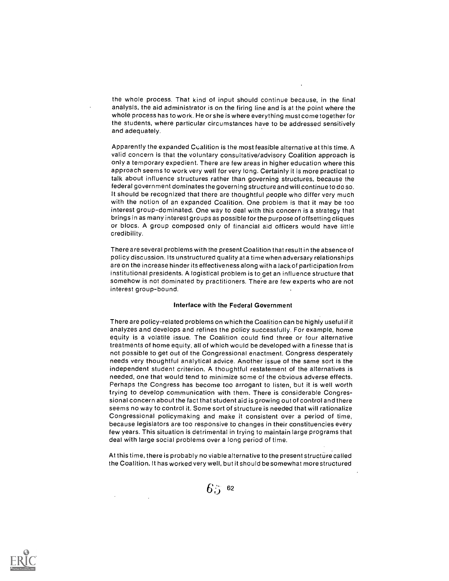the whole process. That kind of input should continue because, in the final analysis, the aid administrator is on the firing line and is at the point where the whole process has to work. He or she is where everything must come together for the students, where particular circumstances have to be addressed sensitively and adequately.

Apparently the expanded Coalition is the most feasible alternative at this time. A valid concern is that the voluntary consultative/advisory Coalition approach is only a temporary expedient. There are few areas in higher education where this approach seems to work very well for very long. Certainly it is more practical to talk about influence structures rather than governing structures, because the federal government dominates the governing structure and will continue to do so. It should be recognized that there are thoughtful people who differ very much with the notion of an expanded Coalition. One problem is that it may be too interest group-dominated. One way to deal with this concern is a strategy that brings in as many interest groups as possible for the purpose of offsetting cliques or blocs. A group composed only of financial aid officers would have little credibility.

There are several problems with the present Coalition that result in the absence of policy discussion. Its unstructured quality at a time when adversary relationships are on the increase hinder its effectiveness along with a lack of participation from institutional presidents. A logistical problem is to get an influence structure that somehow is not dominated by practitioners. There are few experts who are not interest group-bound.

#### Interface with the Federal Government

There are policy-related problems on which the Coalition can be highly useful if it analyzes and develops and refines the policy successfully. For example, home equity is a volatile issue. The Coalition could find three or four alternative treatments of home equity, all of which would be developed with a finesse that is not possible to get out of the Congressional enactment. Congress desperately needs very thoughtful analytical advice. Another issue of the same sort is the independent student criterion. A thoughtful restatement of the alternatives is needed, one that would tend to minimize some of the obvious adverse effects. Perhaps the Congress has become too arrogant to listen, but it is well worth trying to develop communication with them. There is considerable Congressional concern about the fact that student aid is growing out of control and there seems no way to control it. Some sort of structure is needed that will rationalize Congressional policymaking and make it consistent over a period of time, because legislators are too responsive to changes in their constituencies every few years. This situation is detrimental in trying to maintain large programs that deal with large social problems over a long period of time.

At this time, there is probably no viable alternative to the present structure called the Coalition. It has worked very well, but it should be somewhat more structured



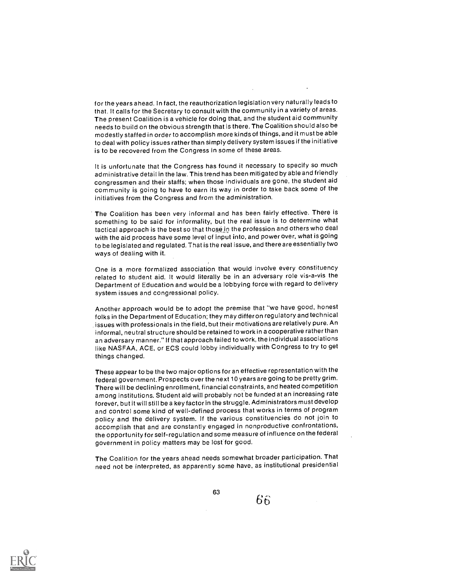for the years ahead. In fact, the reauthorization legislation very naturally leads to that. It calls for the Secretary to consult with the community in a variety of areas. The present Coalition is a vehicle for doing that, and the student aid community needs to build on the obvious strength that is there. The Coalition should also be modestly staffed in order to accomplish more kinds of things, and it must be able to deal with policy issues rather than simply delivery system issues if the initiative is to be recovered from the Congress in some of these areas.

It is unfortunate that the Congress has found it necessary to specify so much administrative detail in the law. This trend has been mitigated by able and friendly congressmen and their staffs; when those individuals are gone, the student aid community is going to have to earn its way in order to take back some of the initiatives from the Congress and from the administration.

The Coalition has been very informal and has been fairly effective. There is something to be said for informality, but the real issue is to determine what tactical approach is the best so that those in the profession and others who deal with the aid process have some level of input into, and power over, what is going to be legislated and regulated. That is the real issue, and there are essentially two ways of dealing with it.

One is a more formalized association that would involve every constituency related to student aid. It would literally be in an adversary role vis-a-vis the Department of Education and would be a lobbying force with regard to delivery system issues and congressional policy.

Another approach would be to adopt the premise that "we have good, honest folks in the Department of Education; they may differ on regulatory and technical issues with professionals in the field, but their motivations are relatively pure. An informal, neutral structure should be retained to work in a cooperative rather than an adversary manner." If that approach failed to work, the individual associations like NASFAA, ACE, or ECS could lobby individually with Congress to try to get things changed.

These appear to be the two major options for an effective representation with the federal government. Prospects over the next 10 years are going to be pretty grim. There will be declining enrollment, financial constraints, and heated competition among institutions. Student aid will probably not be funded at an increasing rate forever, but it will still be a key factor in the struggle. Administrators must develop and control some kind of well-defined process that works in terms of program policy and the delivery system. If the various constituencies do not join to accomplish that and are constantly engaged in nonproductive confrontations, the opportunity for self-regulation and some measure of influence on the federal government in policy matters may be lost for good.

The Coalition for the years ahead needs somewhat broader participation. That need not be interpreted, as apparently some have, as institutional presidential



63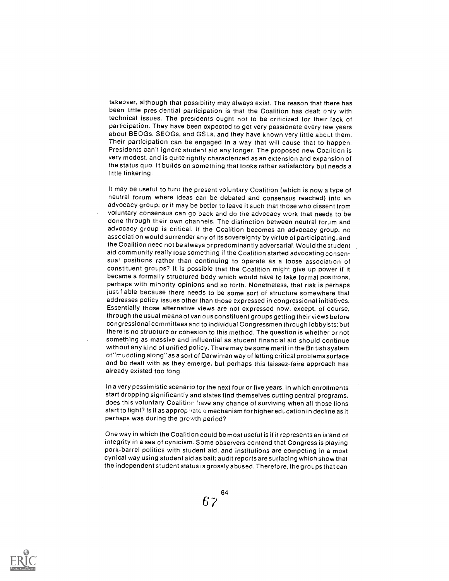takeover, although that possibility may always exist. The reason that there has been little presidential participation is that the Coalition has dealt only with technical issues. The presidents ought not to be criticized for their lack of participation. They have been expected to get very passionate every few years about BEOGs, SEOGs, and GSLs, and they have known very little about them. Their participation can be engaged in a way that will cause that to happen. Presidents can't ignore student aid any longer. The proposed new Coalition is very modest, and is quite rightly characterized as an extension and expansion of the status quo. It builds on something that looks rather satisfactory but needs a little tinkering.

It may be useful to turn the present voluntary Coalition (which is now a type of neutral forum where ideas can be debated and consensus reached) into an advocacy group; or it may be better to leave it such that those who dissent from voluntary consensus can go back and do the advocacy work that needs to be done through their own channels. The distinction between neutral forum and advocacy group is critical. If the Coalition becomes an advocacy group, no association would surrender any of its sovereignty by virtue of participating, and the Coalition need not be always or predominantly adversarial. Would the student aid community really lose something if the Coalition started advocating consensual positions rather than continuing to operate as a loose association of constituent groups? It is possible that the Coalition might give up power if it became a formally structured body which would have to take formal positions, perhaps with minority opinions and so forth. Nonetheless, that risk is perhaps justifiable because there needs to be some sort of structure somewhere that addresses policy issues other than those expressed in congressional initiatives. Essentially those alternative views are not expressed now, except, of course, through the usual means of various constituent groups getting their views before congressional committees and to individual Congressmen through lobbyists; but there is no structure or cohesion to this method. The question is whether or not something as massive and influential as student financial aid should continue without any kind of unified policy. There may be some merit in the British system of "muddling along" as a sort of Darwinian way of letting critical problemssurface and be dealt with as they emerge, but perhaps this laissez-faire approach has already existed too long.

In a very pessimistic scenario for the next four or five years, in which enrollments start dropping significantly and states find themselves cutting central programs, does this voluntary Coalition have any chance of surviving when all those lions start to fight? Is it as approphate a mechanism for higher education in decline as it perhaps was during the growth period?

One way in which the Coalition could be most useful is if it represents an island of integrity in a sea of cynicism. Some observers contend that Congress is playing pork-barrel politics with student aid, and institutions are competing in a most cynical way using student aid as bait; audit reports are surfacing which show that the independent student status is grossly abused. Therefore, the groups that can

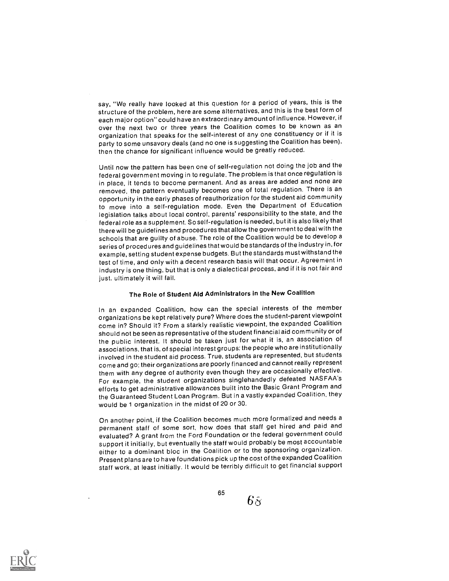say, "We really have looked at this question for a period of years, this is the structure of the problem, here are some alternatives, and this is the best form of each major option" could have an extraordinary amount of influence. However, if over the next two or three years the Coalition comes to be known as an organization that speaks for the self-interest of any one constituency or if it is party to some unsavory deals (and no one is suggesting the Coalition has been), then the chance for significant influence would be greatly reduced.

Until now the pattern has been one of self-regulation not doing the job and the federal government moving in to regulate. The problem is that once regulation is in place, it tends to become permanent. And as areas are added and none are removed, the pattern eventually becomes one of total regulation. There is an opportunity in the early phases of reauthorization for the student aid community to move into a self-regulation mode. Even the Department of Education legislation talks about local control, parents' responsibility to the state, and the federal role as a supplement. So self-regulation is needed, but it is also likely that there will be guidelines and procedures that allow the government to deal with the schools that are guilty of abuse. The role of the Coalition would be to develop a series of procedures and guidelines that would be standards of the industry in, for example, setting student expense budgets. But the standards must withstand the test of time, and only with a decent research basis will that occur. Agreement in industry is one thing, but that is only a dialectical process, and if it is not fair and just, ultimately it will fail.

# The Role of Student Aid Administrators in the New Coalition

In an expanded Coalition, how can the special interests of the member organizations be kept relatively pure? Where does the student-parent viewpoint come in? Should it? From a starkly realistic viewpoint, the expanded Coalition should not be seen as representative of the student financial aid community or of the public interest. It should be taken just for what it is, an association of associations, that is, of special interest groups: the people who are institutionally involved in the student aid process. True, students are represented, but students come and go: their organizations are poorly financed and cannot really represent them with any degree of authority even though they are occasionally effective. For example, the student organizations singlehandedly defeated NASFAA's efforts to get administrative allowances built into the Basic Grant Program and the Guaranteed Student Loan Program. But in a vastly expanded Coalition, they would be 1 organization in the midst of 20 or 30.

On another point, if the Coalition becomes much more formalized and needs a permanent staff of some sort, how does that staff get hired and paid and evaluated? A grant from the Ford Foundation or the federal government could support it initially, but eventually the staff would probably be most accountable either to a dominant bloc in the Coalition or to the sponsoring organization. Present plans are to have foundations pick up the cost of the expanded Coalition staff work, at least initially. It would be terribly difficult to get financial support



65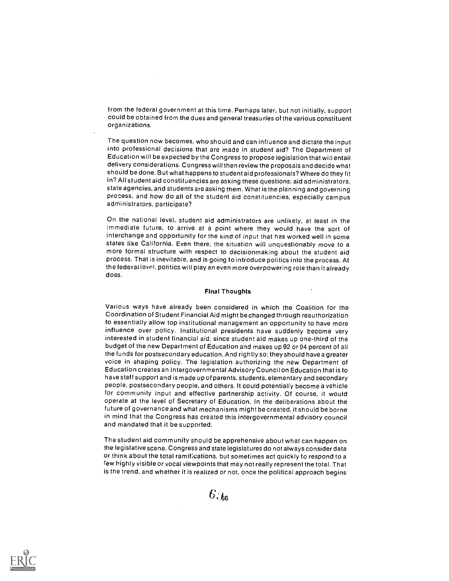from the federal government at this time. Perhaps later, but not initially, support could be obtained from the dues and general treasuries of the various constituent organizations.

The question now becomes, who should and can influence and dictate the input into professional decisions that are made in student aid? The Department of Education will be expected by the Congress to propose legislation that will entail delivery considerations. Congress will then review the proposals and decide what should be done. But what happens to student aid professionals? Where do they fit in? All student aid constituencies are asking these questions; aid administrators, state agencies, and students are asking them. What is the planning and governing process, and how do all of the student aid constituencies, especially campus administrators, participate?

On the national level, student aid administrators are unlikely, at least in the immediate future, to arrive at a point where they would have the sort of interchange and opportunity for the kind of input that has worked well in some states like California. Even there, the situation will unquestionably move to a more formal structure with respect to decisionmaking about the student aid process. That is inevitable, and is going to introduce politics into the process. At the federal level, politics will play an even more overpowering role than it already does.

## Final Thoughts

Various ways have already been considered in which the Coalition for the Coordination of Student Financial Aid might be changed through reauthorization to essentially allow top institutional management an opportunity to have more influence over policy. Institutional presidents have suddenly become very interested in student financial aid, since student aid makes up one-third of the budget of the new Department of Education and makes up 92 or 94 percent of all the funds for postsecondary education. And rightly so; they should have a greater voice in shaping policy. The legislation authorizing the new Department of Education creates an Intergovernmental Advisory Council on Education that is to have staff support and is made up of parents, students, elementary and secondary people, postsecondary people, and others. It could potentially become a vehicle for community input and effective partnership activity. Of course, it would operate at the level of Secretary of Education. In the deliberations about the future of governance and what mechanisms might be created, it should be borne in mind that the Congress has created this intergovernmental advisory council and mandated that it be supported.

The student aid community should be apprehensive about what can happen on the legislative scene. Congress and state legislatures do not always consider data or think about the total ramifications, but sometimes act quickly to respond to a few highly visible or vocal viewpoints that may not really represent the total. That is the trend, and whether it is realized or not, once the political approach begins



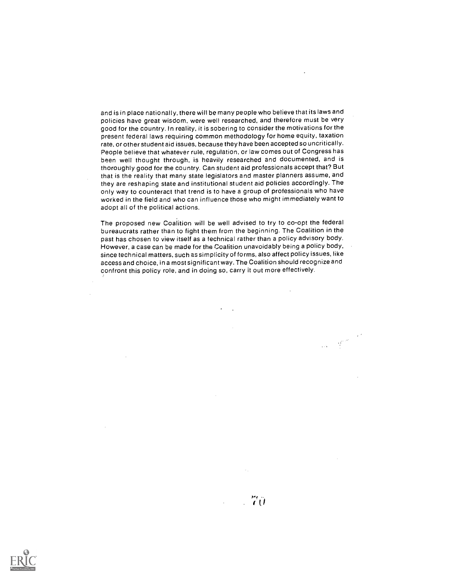and is in place nationally, there will be many people who believe that its laws and policies have great wisdom, were well researched, and therefore must be very good for the country. In reality, it is sobering to consider the motivations for the present federal laws requiring common methodology for home equity, taxation rate, or other student aid issues, because they have been accepted so uncritically. People believe that whatever rule, regulation, or law comes out of Congress has been well thought through, is heavily researched and documented, and is thoroughly good for the country. Can student aid professionals accept that? But that is the reality that many state legislators and master planners assume, and they are reshaping state and institutional student aid policies accordingly. The only way to counteract that trend is to have a group of professionals who have worked in the field and who can influence those who might immediately want to adopt all of the political actions.

The proposed new Coalition will be well advised to try to co-opt the federal bureaucrats rather than to fight them from the beginning. The Coalition in the past has chosen to view itself as a technical rather than a policy advisory body. However, a case can be made for the Coalition unavoidably being a policy body, since technical matters, such as simplicity of forms, also affect policy issues, like access and choice, in a most significant way. The Coalition should recognize and confront this policy role, and in doing so, carry it out more effectively.

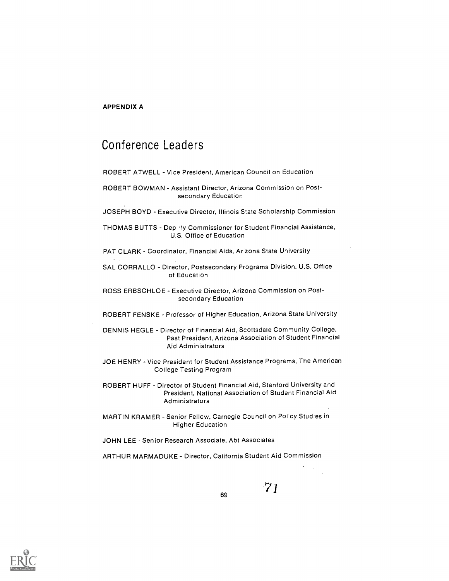# APPENDIX A

# Conference Leaders

ROBERT ATWELL Vice President, American Council on Education

- ROBERT BOWMAN Assistant Director, Arizona Commission on Postsecondary Education
- JOSEPH BOYD Executive Director, Illinois State Scholarship Commission

THOMAS BUTTS - Dep 'ty Commissioner for Student Financial Assistance, U.S. Office of Education

PAT CLARK - Coordinator, Financial Aids, Arizona State University

SAL CORRALLO - Director, Postsecondary Programs Division, U.S. Office of Education

ROSS ERBSCHLOE - Executive Director, Arizona Commission on Postsecondary Education

- ROBERT FENSKE Professor of Higher Education, Arizona State University
- DENNIS HEGLE Director of Financial Aid, Scottsdale Community College, Past President, Arizona Association of Student Financial Aid Administrators
- JOE HENRY Vice President for Student Assistance Programs, The American College Testing Program

ROBERT HUFF - Director of Student Financial Aid, Stanford University and President, National Association of Student Financial Aid Administrators

MARTIN KRAMER - Senior Fellow, Carnegie Council on Policy Studies in Higher Education

JOHN LEE - Senior Research Associate, Abt Associates

ARTHUR MARMADUKE - Director, California Student Aid Commission

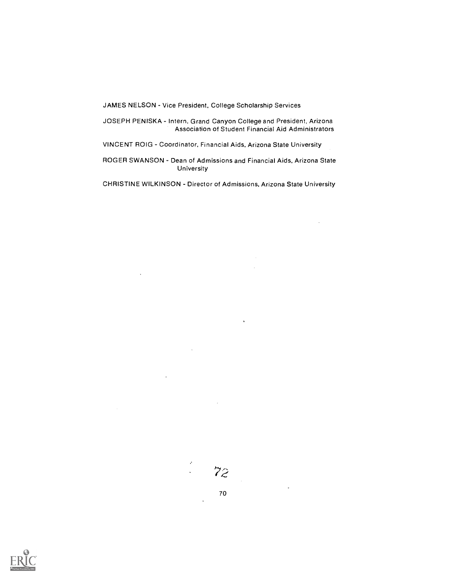JAMES NELSON - Vice President, College Scholarship Services

JOSEPH PENISKA - Intern, Grand Canyon College and President, Arizona Association of Student Financial Aid Administrators

VINCENT ROIG - Coordinator, Financial Aids, Arizona State University

ROGER SWANSON - Dean of Admissions and Financial Aids, Arizona State University

CHRISTINE WILKINSON - Director of Admissions, Arizona State University



 $\bar{z}$ 

 $\ddot{\phantom{a}}$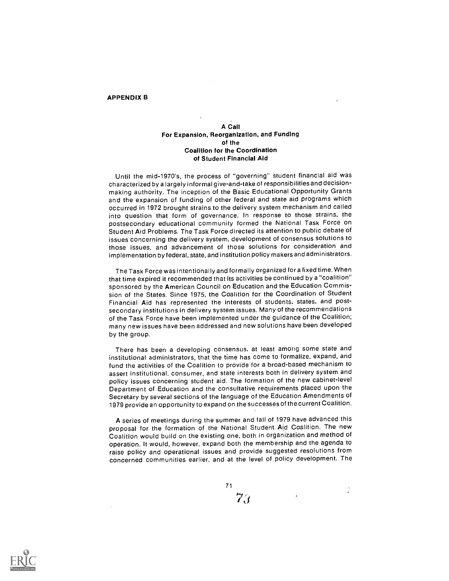## APPENDIX B

## A Call For Expansion, Reorganization, and Funding of the Coalition for the Coordination of Student Financial Aid

Until the mid-1970's, the process of "governing" student financial aid was characterized by a largely informal give-and-take of responsibilities and decisionmaking authority. The inception of the Basic Educational Opportunity Grants and the expansion of funding of other federal and state aid programs which occurred in 1972 brought strains to the delivery system mechanism and called into question that form of governance. In response to those strains, the postsecondary educational community formed the National Task Force on Student Aid Problems. The Task Force directed its attention to public debate of issues concerning the delivery system, development of consensus solutions to those issues, and advancement of those solutions for consideration and implementation by federal, state, and institution policy makers and administrators.

The Task Force was intentionally and formally organized for a fixed time. When that time expired it recommended that its activities be continued by a "coalition" sponsored by the American Council on Education and the Education Commission of the States. Since 1975, the Coalition for the Coordination of Student Financial Aid has represented the interests of students, states, and postsecondary institutions in delivery system issues. Many of the recommendations of the Task Force have been implemented under the guidance of the Coalition; many new issues have been addressed and new solutions have been developed by the group.

There has been a developing consensus, at least among some state and institutional administrators, that the time has come to formalize, expand, and fund the activities of the Coalition to provide for a broad-based mechanism to assert institutional, consumer, and state interests both in delivery system and policy issues concerning student aid. The formation of the new cabinet-level Department of Education and the consultative requirements placed upon the Secretary by several sections of the language of the Education Amendments of 1979 provide an opportunity to expand on the successes of the current Coalition.

A series of meetings during the summer and fall of 1979 have advanced this proposal for the formation of the National Student. Aid Coalition. The new Coalition would build on the existing one, both in organization and method of operation. It would, however, expand both the membership and the agenda to raise policy and operational issues and provide suggested resolutions from concerned communities earlier, and at the level of policy development. The

71

 $7_{\cdot}$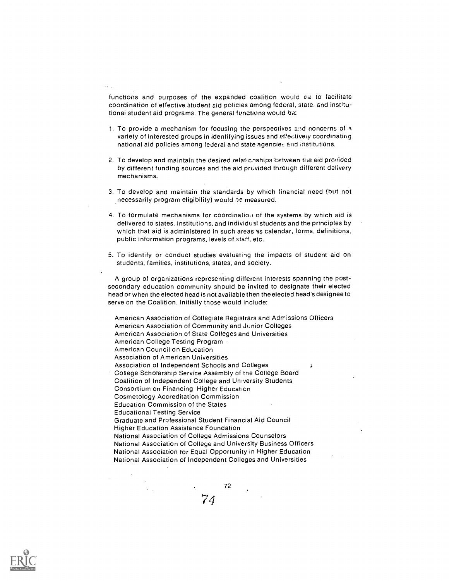functions and purposes of the expanded coalition would to to facilitate coordination of effective student aid policies among federal, state, and institutionai student aid programs. The general functions would be:

- 1. To provide a mechanism for focusing the perspectives and concerns of variety of interested groups in identifying issues and effectively coordinating national aid policies among federal and state agencies and institutions.
- 2. To develop and maintain the desired relationships between the aid provided by different funding sources and the aid provided through different delivery mechanisms.
- 3. To develop and maintain the standards by which financial need but not necessarily program eligibility) would be measured.
- 4. To formulate mechanisms for coordination of the systems by which aid is delivered to states, institutions, and individual students and the principles by which that aid is administered in such areas as calendar, forms, definitions, public information programs, levels of staff, etc.
- 5. To identify or conduct studies evaluating the impacts of student aid on students, families, institutions, states, and society.

A group of organizations representing different interests spanning the postsecondary education community should be invited to designate their elected head or when the elected head is not available then the elected head's designee to serve on the Coalition. Initially those would include:

American Association of Collegiate Registrars and Admissions Officers American Association of Community and Junior Colleges American Association of State Colleges and Universities American College Testing Program American Council on Education Association of American Universities Association of Independent Schools and Colleges Ď. College Scholarship Service Assembly of the College Board Coalition of Independent College and University Students Consortium on Financing Higher Education Cosmetology Accreditation Commission Education Commission of the States Educational Testing Service Graduate and Professional Student Financial Aid Council Higher Education Assistance Foundation National Association of College Admissions Counselors National Association of College and University Business Officers National Association for Equal Opportunity in Higher Education National Association of Independent Colleges and Universities

72

74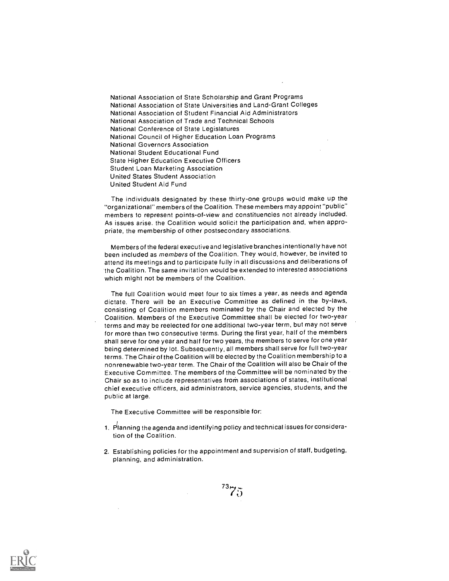National Association of State Scholarship and Grant Programs National Association of State Universities and Land-Grant Colleges National Association of Student Financial Aid Administrators National Association of Trade and Technical Schools National Conference of State Legislatures National Council of Higher Education Loan Programs National Governors Association National Student Educational Fund State Higher Education Executive Officers Student Loan Marketing Association United States Student Association United Student Aid Fund

The individuals designated by these thirty-one groups would make up the "organizational" members of the Coalition. These members may appoint "public" members to represent points-of-view and constituencies not already included. As issues arise, the Coalition would solicit the participation and, when appropriate, the membership of other postsecondary associations.

Members of the federal executive and legislative branches intentionally have not been included as members of the Coalition. They would, however, be invited to attend its meetings and to participate fully in all discussions and deliberations of the Coalition. The same invitation would be extended to interested associations which might not be members of the Coalition.

The full Coalition would meet four to six times a year, as needs and agenda dictate. There will be an Executive Committee as defined in the by-laws, consisting of Coalition members nominated by the Chair and elected by the Coalition. Members of the Executive Committee shall be elected for two-year terms and may be reelected for one additional two-year term, but may not serve for more than two consecutive terms. During the first year, half of the members shall serve for one year and half for two years, the members to serve for one year being determined by lot. Subsequently, all members shall serve for full two-year terms. The Chair of the Coalition will be elected by the Coalition membership to a nonrenewable two-year term. The Chair of the Coalition will also be Chair of the Executive Committee. The members of the Committee will be nominated by the Chair so as to include representatives from associations of states, institutional chief executive officers, aid administrators, service agencies, students, and the public at large.

The Executive Committee will be responsible for:

- 1. Planning the agenda and identifying policy and technical issues for consideration of the Coalition.
- 2. Establishing policies for the appointment and supervision of staff, budgeting, planning, and administration.